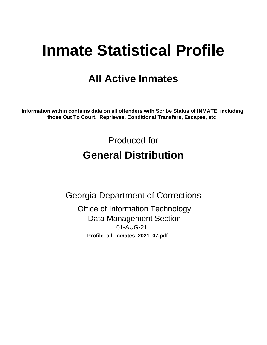# **Inmate Statistical Profile**

## **All Active Inmates**

Information within contains data on all offenders with Scribe Status of INMATE, including those Out To Court, Reprieves, Conditional Transfers, Escapes, etc

> Produced for **General Distribution**

**Georgia Department of Corrections Office of Information Technology Data Management Section** 01-AUG-21 Profile\_all\_inmates\_2021\_07.pdf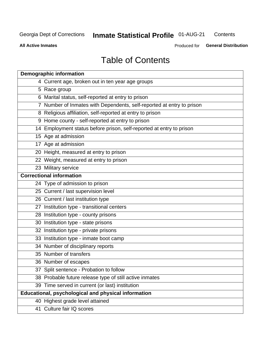#### **Inmate Statistical Profile 01-AUG-21** Contents

**All Active Inmates** 

Produced for General Distribution

## **Table of Contents**

| <b>Demographic information</b>                                        |
|-----------------------------------------------------------------------|
| 4 Current age, broken out in ten year age groups                      |
| 5 Race group                                                          |
| 6 Marital status, self-reported at entry to prison                    |
| 7 Number of Inmates with Dependents, self-reported at entry to prison |
| 8 Religious affiliation, self-reported at entry to prison             |
| 9 Home county - self-reported at entry to prison                      |
| 14 Employment status before prison, self-reported at entry to prison  |
| 15 Age at admission                                                   |
| 17 Age at admission                                                   |
| 20 Height, measured at entry to prison                                |
| 22 Weight, measured at entry to prison                                |
| 23 Military service                                                   |
| <b>Correctional information</b>                                       |
| 24 Type of admission to prison                                        |
| 25 Current / last supervision level                                   |
| 26 Current / last institution type                                    |
| 27 Institution type - transitional centers                            |
| 28 Institution type - county prisons                                  |
| 30 Institution type - state prisons                                   |
| 32 Institution type - private prisons                                 |
| 33 Institution type - inmate boot camp                                |
| 34 Number of disciplinary reports                                     |
| 35 Number of transfers                                                |
| 36 Number of escapes                                                  |
| 37 Split sentence - Probation to follow                               |
| 38 Probable future release type of still active inmates               |
| 39 Time served in current (or last) institution                       |
| Educational, psychological and physical information                   |
| 40 Highest grade level attained                                       |
| 41 Culture fair IQ scores                                             |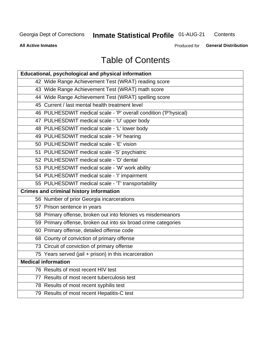## **Inmate Statistical Profile 01-AUG-21**

Contents

**All Active Inmates** 

Produced for General Distribution

## **Table of Contents**

| Educational, psychological and physical information              |
|------------------------------------------------------------------|
| 42 Wide Range Achievement Test (WRAT) reading score              |
| 43 Wide Range Achievement Test (WRAT) math score                 |
| 44 Wide Range Achievement Test (WRAT) spelling score             |
| 45 Current / last mental health treatment level                  |
| 46 PULHESDWIT medical scale - 'P' overall condition ('P'hysical) |
| 47 PULHESDWIT medical scale - 'U' upper body                     |
| 48 PULHESDWIT medical scale - 'L' lower body                     |
| 49 PULHESDWIT medical scale - 'H' hearing                        |
| 50 PULHESDWIT medical scale - 'E' vision                         |
| 51 PULHESDWIT medical scale -'S' psychiatric                     |
| 52 PULHESDWIT medical scale - 'D' dental                         |
| 53 PULHESDWIT medical scale - 'W' work ability                   |
| 54 PULHESDWIT medical scale - 'I' impairment                     |
| 55 PULHESDWIT medical scale - 'T' transportability               |
| <b>Crimes and criminal history information</b>                   |
| 56 Number of prior Georgia incarcerations                        |
| 57 Prison sentence in years                                      |
| 58 Primary offense, broken out into felonies vs misdemeanors     |
| 59 Primary offense, broken out into six broad crime categories   |
| 60 Primary offense, detailed offense code                        |
| 68 County of conviction of primary offense                       |
| 73 Circuit of conviction of primary offense                      |
| 75 Years served (jail + prison) in this incarceration            |
| <b>Medical information</b>                                       |
| 76 Results of most recent HIV test                               |
| 77 Results of most recent tuberculosis test                      |
| 78 Results of most recent syphilis test                          |
| 79 Results of most recent Hepatitis-C test                       |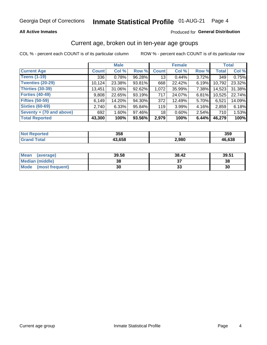#### Inmate Statistical Profile 01-AUG-21 Page 4

#### **All Active Inmates**

#### Produced for General Distribution

### Current age, broken out in ten-year age groups

COL % - percent each COUNT is of its particular column

|                          | <b>Male</b>  |          |        | <b>Female</b> |          |          | <b>Total</b> |        |
|--------------------------|--------------|----------|--------|---------------|----------|----------|--------------|--------|
| <b>Current Age</b>       | <b>Count</b> | Col %    | Row %  | <b>Count</b>  | Col %    | Row %    | <b>Total</b> | Col %  |
| <b>Teens (1-19)</b>      | 336          | 0.78%    | 96.28% | 13            | 0.44%    | 3.72%    | 349          | 0.75%  |
| <b>Twenties (20-29)</b>  | 10,124       | 23.38%   | 93.81% | 668           | 22.42%   | $6.19\%$ | 10,792       | 23.32% |
| Thirties (30-39)         | 13,451       | 31.06%   | 92.62% | 1,072         | 35.99%   | 7.38%    | 14,523       | 31.38% |
| <b>Forties (40-49)</b>   | 9,808        | 22.65%   | 93.19% | 717           | 24.07%   | 6.81%    | 10,525       | 22.74% |
| <b>Fifties (50-59)</b>   | 6,149        | 14.20%   | 94.30% | 372           | 12.49%   | 5.70%    | 6,521        | 14.09% |
| <b>Sixties (60-69)</b>   | 2.740        | 6.33%    | 95.84% | 119           | 3.99%    | 4.16%    | 2,859        | 6.18%  |
| Seventy + (70 and above) | 692          | $1.60\%$ | 97.46% | 18            | $0.60\%$ | $2.54\%$ | 710          | 1.53%  |
| <b>Total Reported</b>    | 43,300       | 100%     | 93.56% | 2,979         | 100%     | 6.44%    | 46,279       | 100%   |

| <b>Not</b><br><b>ported</b> | 358            |       | 359    |
|-----------------------------|----------------|-------|--------|
| <b>Total</b>                | 19 CEO<br>סכס, | 2,980 | 46,638 |

| <b>Mean</b><br>(average) | 39.58 | 38.42 | 39.51 |
|--------------------------|-------|-------|-------|
| Median (middle)          | 38    |       | 38    |
| Mode<br>(most frequent)  | 30    | vu    | 30    |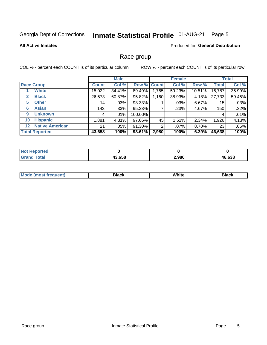#### **Inmate Statistical Profile 01-AUG-21** Page 5

#### **All Active Inmates**

#### Produced for General Distribution

#### Race group

COL % - percent each COUNT is of its particular column

|                                   |              | <b>Male</b> |             |       | <b>Female</b> |           |              | <b>Total</b> |  |
|-----------------------------------|--------------|-------------|-------------|-------|---------------|-----------|--------------|--------------|--|
| <b>Race Group</b>                 | <b>Count</b> | Col %       | Row % Count |       | Col %         | Row %     | <b>Total</b> | Col %        |  |
| <b>White</b>                      | 15,022       | 34.41%      | 89.49%      | 1,765 | 59.23%        | $10.51\%$ | 16,787       | 35.99%       |  |
| <b>Black</b><br>2                 | 26,573       | 60.87%      | 95.82%      | 1,160 | 38.93%        | 4.18%     | 27,733       | 59.46%       |  |
| <b>Other</b><br>5.                | 14           | $.03\%$     | 93.33%      |       | .03%          | 6.67%     | 15           | .03%         |  |
| <b>Asian</b><br>6                 | 143          | .33%        | 95.33%      |       | .23%          | 4.67%     | 150          | .32%         |  |
| <b>Unknown</b><br>9               | 4            | $.01\%$     | 100.00%     |       |               |           | 4            | .01%         |  |
| <b>Hispanic</b><br>10             | .881         | 4.31%       | 97.66%      | 45    | 1.51%         | 2.34%     | 1,926        | 4.13%        |  |
| <b>Native American</b><br>$12 \,$ | 21           | $.05\%$     | 91.30%      | 2     | $.07\%$       | 8.70%     | 23           | .05%         |  |
| <b>Total Reported</b>             | 43,658       | 100%        | 93.61%      | 2,980 | 100%          | 6.39%     | 46,638       | 100%         |  |

| orted<br>NO.        |        |       |        |
|---------------------|--------|-------|--------|
| `otal<br><b>Gra</b> | 43,658 | 2,980 | 46,638 |

| m | <br>w |  |
|---|-------|--|
|   |       |  |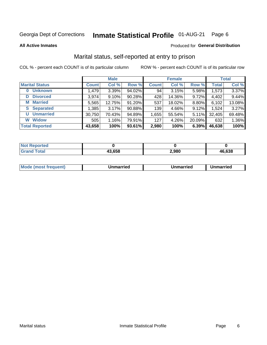#### **Inmate Statistical Profile 01-AUG-21** Page 6

**All Active Inmates** 

#### Produced for General Distribution

### Marital status, self-reported at entry to prison

COL % - percent each COUNT is of its particular column

|                       | <b>Male</b>  |          |        | <b>Female</b> |        |        | <b>Total</b> |        |
|-----------------------|--------------|----------|--------|---------------|--------|--------|--------------|--------|
| <b>Marital Status</b> | <b>Count</b> | Col %    | Row %  | <b>Count</b>  | Col %  | Row %  | <b>Total</b> | Col %  |
| <b>Unknown</b><br>0   | 1,479        | 3.39%    | 94.02% | 94            | 3.15%  | 5.98%  | 1,573        | 3.37%  |
| <b>Divorced</b><br>D  | 3,974        | $9.10\%$ | 90.28% | 428           | 14.36% | 9.72%  | 4,402        | 9.44%  |
| <b>Married</b><br>М   | 5,565        | 12.75%   | 91.20% | 537           | 18.02% | 8.80%  | 6,102        | 13.08% |
| <b>Separated</b><br>S | 1,385        | 3.17%    | 90.88% | 139           | 4.66%  | 9.12%  | 1,524        | 3.27%  |
| <b>Unmarried</b><br>U | 30,750       | 70.43%   | 94.89% | 1,655         | 55.54% | 5.11%  | 32,405       | 69.48% |
| <b>Widow</b><br>W     | 505          | 1.16%    | 79.91% | 127           | 4.26%  | 20.09% | 632          | 1.36%  |
| <b>Total Reported</b> | 43,658       | 100%     | 93.61% | 2,980         | 100%   | 6.39%  | 46,638       | 100%   |

| <b>Not Repe</b><br>orted |       |       |        |
|--------------------------|-------|-------|--------|
| <b>Total</b>             | 3.658 | 2,980 | 46,638 |

|--|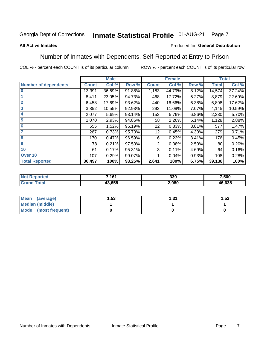#### **Inmate Statistical Profile 01-AUG-21** Page 7

#### **All Active Inmates**

#### Produced for General Distribution

#### Number of Inmates with Dependents, Self-Reported at Entry to Prison

COL % - percent each COUNT is of its particular column

|                             | <b>Male</b>  |        |        |                | <b>Female</b> | <b>Total</b> |              |        |
|-----------------------------|--------------|--------|--------|----------------|---------------|--------------|--------------|--------|
| <b>Number of dependents</b> | <b>Count</b> | Col %  | Row %  | <b>Count</b>   | Col %         | Row %        | <b>Total</b> | Col %  |
| l 0                         | 13,391       | 36.69% | 91.88% | 1,183          | 44.79%        | 8.12%        | 14,574       | 37.24% |
|                             | 8,411        | 23.05% | 94.73% | 468            | 17.72%        | 5.27%        | 8,879        | 22.69% |
| $\overline{2}$              | 6,458        | 17.69% | 93.62% | 440            | 16.66%        | 6.38%        | 6,898        | 17.62% |
| $\mathbf{3}$                | 3,852        | 10.55% | 92.93% | 293            | 11.09%        | 7.07%        | 4,145        | 10.59% |
| $\overline{\mathbf{4}}$     | 2,077        | 5.69%  | 93.14% | 153            | 5.79%         | 6.86%        | 2,230        | 5.70%  |
| 5                           | 1,070        | 2.93%  | 94.86% | 58             | 2.20%         | 5.14%        | 1,128        | 2.88%  |
| 6                           | 555          | 1.52%  | 96.19% | 22             | 0.83%         | 3.81%        | 577          | 1.47%  |
| 7                           | 267          | 0.73%  | 95.70% | 12             | 0.45%         | 4.30%        | 279          | 0.71%  |
| 8                           | 170          | 0.47%  | 96.59% | 6              | 0.23%         | 3.41%        | 176          | 0.45%  |
| 9                           | 78           | 0.21%  | 97.50% | $\overline{2}$ | 0.08%         | 2.50%        | 80           | 0.20%  |
| 10                          | 61           | 0.17%  | 95.31% | 3              | 0.11%         | 4.69%        | 64           | 0.16%  |
| Over 10                     | 107          | 0.29%  | 99.07% |                | 0.04%         | 0.93%        | 108          | 0.28%  |
| <b>Total Reported</b>       | 36,497       | 100%   | 93.25% | 2,641          | 100%          | 6.75%        | 39,138       | 100%   |

| 7404<br>. ש          | 339  | 7,500  |
|----------------------|------|--------|
| $\sim$ $\sim$ $\sim$ | .980 | 46,638 |

| Mean (average)          | l.53 | - 21<br>ו ט.ו | 1.52 |
|-------------------------|------|---------------|------|
| Median (middle)         |      |               |      |
| Mode<br>(most frequent) |      |               |      |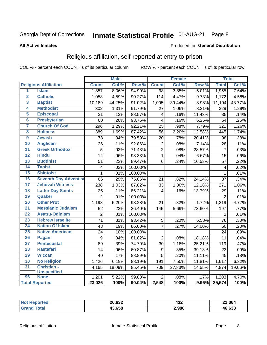#### **Inmate Statistical Profile 01-AUG-21** Page 8

#### **All Active Inmates**

#### Produced for General Distribution

### Religious affiliation, self-reported at entry to prison

COL % - percent each COUNT is of its particular column

|                         |                              |                         | <b>Male</b> |         |                 | <b>Female</b> |                  |                | <b>Total</b> |
|-------------------------|------------------------------|-------------------------|-------------|---------|-----------------|---------------|------------------|----------------|--------------|
|                         | <b>Religious Affiliation</b> | <b>Count</b>            | Col %       | Row %   | <b>Count</b>    | Col %         | Row <sup>%</sup> | <b>Total</b>   | Col %        |
| $\overline{\mathbf{1}}$ | <b>Islam</b>                 | 1,857                   | 8.06%       | 94.99%  | $\overline{98}$ | 3.85%         | 5.01%            | 1,955          | 7.64%        |
| $\overline{\mathbf{2}}$ | <b>Catholic</b>              | 1,058                   | 4.59%       | 90.27%  | 114             | 4.47%         | 9.73%            | 1,172          | 4.58%        |
| 3                       | <b>Baptist</b>               | 10,189                  | 44.25%      | 91.02%  | 1,005           | 39.44%        | 8.98%            | 11,194         | 43.77%       |
| 4                       | <b>Methodist</b>             | 302                     | 1.31%       | 91.79%  | 27              | 1.06%         | 8.21%            | 329            | 1.29%        |
| 5                       | <b>Episcopal</b>             | 31                      | .13%        | 88.57%  | 4               | .16%          | 11.43%           | 35             | .14%         |
| $\overline{6}$          | <b>Presbyterian</b>          | 60                      | .26%        | 93.75%  | $\overline{4}$  | .16%          | 6.25%            | 64             | .25%         |
| 7                       | <b>Church Of God</b>         | 296                     | 1.29%       | 92.21%  | 25              | .98%          | 7.79%            | 321            | 1.26%        |
| 8                       | <b>Holiness</b>              | 389                     | 1.69%       | 87.42%  | 56              | 2.20%         | 12.58%           | 445            | 1.74%        |
| $\overline{9}$          | <b>Jewish</b>                | 78                      | .34%        | 79.59%  | 20              | .78%          | 20.41%           | 98             | .38%         |
| 10                      | <b>Anglican</b>              | 26                      | .11%        | 92.86%  | $\overline{c}$  | .08%          | 7.14%            | 28             | .11%         |
| 11                      | <b>Greek Orthodox</b>        | $\overline{5}$          | .02%        | 71.43%  | $\overline{2}$  | .08%          | 28.57%           | $\overline{7}$ | .03%         |
| 12                      | <b>Hindu</b>                 | 14                      | .06%        | 93.33%  | $\mathbf{1}$    | .04%          | 6.67%            | 15             | .06%         |
| 13                      | <b>Buddhist</b>              | 51                      | .22%        | 89.47%  | 6               | .24%          | 10.53%           | 57             | .22%         |
| 14                      | <b>Taoist</b>                | $\overline{\mathbf{4}}$ | .02%        | 100.00% |                 |               |                  | 4              | .02%         |
| 15                      | <b>Shintoist</b>             | $\mathbf{1}$            | .01%        | 100.00% |                 |               |                  | 1              | .01%         |
| 16                      | <b>Seventh Day Adventist</b> | 66                      | .29%        | 75.86%  | 21              | .82%          | 24.14%           | 87             | .34%         |
| 17                      | <b>Jehovah Witness</b>       | 238                     | 1.03%       | 87.82%  | 33              | 1.30%         | 12.18%           | 271            | 1.06%        |
| 18                      | <b>Latter Day Saints</b>     | 25                      | .11%        | 86.21%  | 4               | .16%          | 13.79%           | 29             | .11%         |
| 19                      | Quaker                       | $\overline{2}$          | .01%        | 100.00% |                 |               |                  | $\overline{2}$ | .01%         |
| 20                      | <b>Other Prot</b>            | 1,198                   | 5.20%       | 98.28%  | 21              | .82%          | 1.72%            | 1,219          | 4.77%        |
| $\overline{21}$         | <b>Messianic Judaism</b>     | 52                      | .23%        | 26.40%  | 145             | 5.69%         | 73.60%           | 197            | .77%         |
| 22                      | <b>Asatru-Odinism</b>        | $\overline{2}$          | .01%        | 100.00% |                 |               |                  | $\overline{2}$ | .01%         |
| 23                      | <b>Hebrew Israelite</b>      | $\overline{71}$         | .31%        | 93.42%  | $\sqrt{5}$      | .20%          | 6.58%            | 76             | .30%         |
| 24                      | <b>Nation Of Islam</b>       | 43                      | .19%        | 86.00%  | $\overline{7}$  | .27%          | 14.00%           | 50             | .20%         |
| 25                      | <b>Native American</b>       | 24                      | .10%        | 100.00% |                 |               |                  | 24             | .09%         |
| 26                      | Pagan                        | 9                       | .04%        | 81.82%  | $\overline{2}$  | .08%          | 18.18%           | 11             | .04%         |
| $\overline{27}$         | <b>Pentecostal</b>           | 89                      | .39%        | 74.79%  | 30              | 1.18%         | 25.21%           | 119            | .47%         |
| 28                      | <b>Rastafari</b>             | 14                      | .06%        | 60.87%  | 9               | .35%          | 39.13%           | 23             | .09%         |
| 29                      | <b>Wiccan</b>                | 40                      | .17%        | 88.89%  | $\overline{5}$  | .20%          | 11.11%           | 45             | .18%         |
| 30                      | <b>No Religion</b>           | 1,426                   | 6.19%       | 88.19%  | 191             | 7.50%         | 11.81%           | 1,617          | 6.32%        |
| 31                      | Christian -                  | 4,165                   | 18.09%      | 85.45%  | 709             | 27.83%        | 14.55%           | 4,874          | 19.06%       |
|                         | <b>Unspecified</b>           |                         |             |         |                 |               |                  |                |              |
| 96                      | <b>None</b>                  | 1,201                   | 5.22%       | 99.83%  | $\overline{2}$  | .08%          | .17%             | 1,203          | 4.70%        |
|                         | <b>Total Reported</b>        | 23,026                  | 100%        | 90.04%  | 2,548           | 100%          | 9.96%            | 25,574         | 100%         |

| $\sim$<br>חה<br>്ഗ | n g<br>−∪∠<br>___ | 21.064 |
|--------------------|-------------------|--------|
| 13.658<br>"        | 2,980             | 46.638 |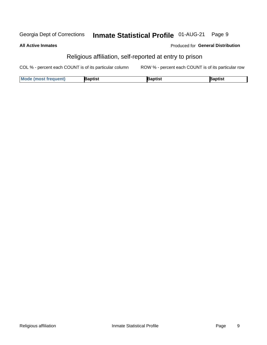#### Inmate Statistical Profile 01-AUG-21 Page 9 Georgia Dept of Corrections

| <b>All Active Inmates</b> | Produced for Genera                                     |
|---------------------------|---------------------------------------------------------|
|                           | Religious affiliation, self-reported at entry to prison |

COL % - percent each COUNT is of its particular column ROW % - percent each COUNT is of its particular row

| <b>Mode</b><br><b>Most frequent</b> ) \ | `aptist | aptist | ີ <sup>R</sup> aptist |
|-----------------------------------------|---------|--------|-----------------------|
|                                         |         |        |                       |

al Distribution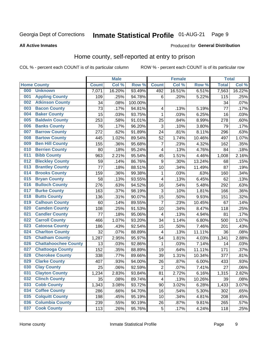#### **Inmate Statistical Profile 01-AUG-21** Page 9

#### **All Active Inmates**

#### Produced for General Distribution

### Home county, self-reported at entry to prison

COL % - percent each COUNT is of its particular column

|     |                             |              | <b>Male</b> |         |                | <b>Female</b> |        | <b>Total</b> |        |
|-----|-----------------------------|--------------|-------------|---------|----------------|---------------|--------|--------------|--------|
|     | <b>Home County</b>          | <b>Count</b> | Col %       | Row %   | <b>Count</b>   | Col %         | Row %  | <b>Total</b> | Col %  |
| 000 | <b>Unknown</b>              | 7,071        | 16.20%      | 93.49%  | 492            | 16.51%        | 6.51%  | 7,563        | 16.22% |
| 001 | <b>Appling County</b>       | 109          | .25%        | 94.78%  | 6              | .20%          | 5.22%  | 115          | .25%   |
| 002 | <b>Atkinson County</b>      | 34           | .08%        | 100.00% |                |               |        | 34           | .07%   |
| 003 | <b>Bacon County</b>         | 73           | .17%        | 94.81%  | 4              | .13%          | 5.19%  | 77           | .17%   |
| 004 | <b>Baker County</b>         | 15           | .03%        | 93.75%  | $\mathbf{1}$   | .03%          | 6.25%  | 16           | .03%   |
| 005 | <b>Baldwin County</b>       | 253          | .58%        | 91.01%  | 25             | .84%          | 8.99%  | 278          | .60%   |
| 006 | <b>Banks County</b>         | 76           | .17%        | 96.20%  | 3              | .10%          | 3.80%  | 79           | .17%   |
| 007 | <b>Barrow County</b>        | 272          | .62%        | 91.89%  | 24             | .81%          | 8.11%  | 296          | .63%   |
| 008 | <b>Bartow County</b>        | 445          | 1.02%       | 89.54%  | 52             | 1.74%         | 10.46% | 497          | 1.07%  |
| 009 | <b>Ben Hill County</b>      | 155          | .36%        | 95.68%  | $\overline{7}$ | .23%          | 4.32%  | 162          | .35%   |
| 010 | <b>Berrien County</b>       | 80           | .18%        | 95.24%  | 4              | .13%          | 4.76%  | 84           | .18%   |
| 011 | <b>Bibb County</b>          | 963          | 2.21%       | 95.54%  | 45             | 1.51%         | 4.46%  | 1,008        | 2.16%  |
| 012 | <b>Bleckley County</b>      | 59           | .14%        | 86.76%  | 9              | .30%          | 13.24% | 68           | .15%   |
| 013 | <b>Brantley County</b>      | 77           | .18%        | 88.51%  | 10             | .34%          | 11.49% | 87           | .19%   |
| 014 | <b>Brooks County</b>        | 159          | .36%        | 99.38%  | 1              | .03%          | .63%   | 160          | .34%   |
| 015 | <b>Bryan County</b>         | 58           | .13%        | 93.55%  | 4              | .13%          | 6.45%  | 62           | .13%   |
| 016 | <b>Bulloch County</b>       | 276          | .63%        | 94.52%  | 16             | .54%          | 5.48%  | 292          | .63%   |
| 017 | <b>Burke County</b>         | 163          | .37%        | 98.19%  | 3              | .10%          | 1.81%  | 166          | .36%   |
| 018 | <b>Butts County</b>         | 136          | .31%        | 90.07%  | 15             | .50%          | 9.93%  | 151          | .32%   |
| 019 | <b>Calhoun County</b>       | 60           | .14%        | 89.55%  | $\overline{7}$ | .23%          | 10.45% | 67           | .14%   |
| 020 | <b>Camden County</b>        | 108          | .25%        | 91.53%  | 10             | .34%          | 8.47%  | 118          | .25%   |
| 021 | <b>Candler County</b>       | 77           | .18%        | 95.06%  | 4              | .13%          | 4.94%  | 81           | .17%   |
| 022 | <b>Carroll County</b>       | 466          | 1.07%       | 93.20%  | 34             | 1.14%         | 6.80%  | 500          | 1.07%  |
| 023 | <b>Catoosa County</b>       | 186          | .43%        | 92.54%  | 15             | .50%          | 7.46%  | 201          | .43%   |
| 024 | <b>Charlton County</b>      | 32           | .07%        | 88.89%  | 4              | .13%          | 11.11% | 36           | .08%   |
| 025 | <b>Chatham County</b>       | 1,287        | 2.95%       | 95.97%  | 54             | 1.81%         | 4.03%  | 1,341        | 2.88%  |
| 026 | <b>Chattahoochee County</b> | 13           | .03%        | 92.86%  | 1              | .03%          | 7.14%  | 14           | .03%   |
| 027 | <b>Chattooga County</b>     | 152          | .35%        | 88.89%  | 19             | .64%          | 11.11% | 171          | .37%   |
| 028 | <b>Cherokee County</b>      | 338          | .77%        | 89.66%  | 39             | 1.31%         | 10.34% | 377          | .81%   |
| 029 | <b>Clarke County</b>        | 407          | .93%        | 94.00%  | 26             | .87%          | 6.00%  | 433          | .93%   |
| 030 | <b>Clay County</b>          | 25           | .06%        | 92.59%  | $\overline{2}$ | .07%          | 7.41%  | 27           | .06%   |
| 031 | <b>Clayton County</b>       | 1,234        | 2.83%       | 93.84%  | 81             | 2.72%         | 6.16%  | 1,315        | 2.82%  |
| 032 | <b>Clinch County</b>        | 35           | .08%        | 89.74%  | 4              | .13%          | 10.26% | 39           | .08%   |
| 033 | <b>Cobb County</b>          | 1,343        | 3.08%       | 93.72%  | 90             | 3.02%         | 6.28%  | 1,433        | 3.07%  |
| 034 | <b>Coffee County</b>        | 286          | .66%        | 94.70%  | 16             | .54%          | 5.30%  | 302          | .65%   |
| 035 | <b>Colquitt County</b>      | 198          | .45%        | 95.19%  | 10             | .34%          | 4.81%  | 208          | .45%   |
| 036 | <b>Columbia County</b>      | 239          | .55%        | 90.19%  | 26             | .87%          | 9.81%  | 265          | .57%   |
| 037 | <b>Cook County</b>          | 113          | .26%        | 95.76%  | $\mathbf 5$    | .17%          | 4.24%  | 118          | .25%   |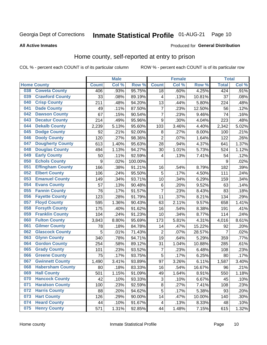## Inmate Statistical Profile 01-AUG-21 Page 10

#### **All Active Inmates**

#### Produced for General Distribution

#### Home county, self-reported at entry to prison

COL % - percent each COUNT is of its particular column

|     |                         |              | <b>Male</b> |         |                         | <b>Female</b> |        | <b>Total</b>   |       |
|-----|-------------------------|--------------|-------------|---------|-------------------------|---------------|--------|----------------|-------|
|     | <b>Home County</b>      | <b>Count</b> | Col %       | Row %   | <b>Count</b>            | Col %         | Row %  | <b>Total</b>   | Col % |
| 038 | <b>Coweta County</b>    | 406          | .93%        | 95.75%  | 18                      | .60%          | 4.25%  | 424            | .91%  |
| 039 | <b>Crawford County</b>  | 33           | .08%        | 89.19%  | 4                       | .13%          | 10.81% | 37             | .08%  |
| 040 | <b>Crisp County</b>     | 211          | .48%        | 94.20%  | 13                      | .44%          | 5.80%  | 224            | .48%  |
| 041 | <b>Dade County</b>      | 49           | .11%        | 87.50%  | $\overline{7}$          | .23%          | 12.50% | 56             | .12%  |
| 042 | <b>Dawson County</b>    | 67           | .15%        | 90.54%  | 7                       | .23%          | 9.46%  | 74             | .16%  |
| 043 | <b>Decatur County</b>   | 214          | .49%        | 95.96%  | 9                       | .30%          | 4.04%  | 223            | .48%  |
| 044 | <b>Dekalb County</b>    | 2,239        | 5.13%       | 95.60%  | 103                     | 3.46%         | 4.40%  | 2,342          | 5.02% |
| 045 | <b>Dodge County</b>     | 92           | .21%        | 92.00%  | 8                       | .27%          | 8.00%  | 100            | .21%  |
| 046 | <b>Dooly County</b>     | 120          | .27%        | 98.36%  | $\overline{2}$          | .07%          | 1.64%  | 122            | .26%  |
| 047 | <b>Dougherty County</b> | 613          | 1.40%       | 95.63%  | 28                      | .94%          | 4.37%  | 641            | 1.37% |
| 048 | <b>Douglas County</b>   | 494          | 1.13%       | 94.27%  | 30                      | 1.01%         | 5.73%  | 524            | 1.12% |
| 049 | <b>Early County</b>     | 50           | .11%        | 92.59%  | 4                       | .13%          | 7.41%  | 54             | .12%  |
| 050 | <b>Echols County</b>    | 9            | .02%        | 100.00% |                         |               |        | 9              | .02%  |
| 051 | <b>Effingham County</b> | 166          | .38%        | 91.21%  | 16                      | .54%          | 8.79%  | 182            | .39%  |
| 052 | <b>Elbert County</b>    | 106          | .24%        | 95.50%  | 5                       | .17%          | 4.50%  | 111            | .24%  |
| 053 | <b>Emanuel County</b>   | 149          | .34%        | 93.71%  | 10                      | .34%          | 6.29%  | 159            | .34%  |
| 054 | <b>Evans County</b>     | 57           | .13%        | 90.48%  | 6                       | .20%          | 9.52%  | 63             | .14%  |
| 055 | <b>Fannin County</b>    | 76           | .17%        | 91.57%  | $\overline{7}$          | .23%          | 8.43%  | 83             | .18%  |
| 056 | <b>Fayette County</b>   | 123          | .28%        | 91.79%  | 11                      | .37%          | 8.21%  | 134            | .29%  |
| 057 | <b>Floyd County</b>     | 595          | 1.36%       | 90.43%  | 63                      | 2.11%         | 9.57%  | 658            | 1.41% |
| 058 | <b>Forsyth County</b>   | 175          | .40%        | 91.62%  | 16                      | .54%          | 8.38%  | 191            | .41%  |
| 059 | <b>Franklin County</b>  | 104          | .24%        | 91.23%  | 10                      | .34%          | 8.77%  | 114            | .24%  |
| 060 | <b>Fulton County</b>    | 3,843        | 8.80%       | 95.69%  | 173                     | 5.81%         | 4.31%  | 4,016          | 8.61% |
| 061 | <b>Gilmer County</b>    | 78           | .18%        | 84.78%  | 14                      | .47%          | 15.22% | 92             | .20%  |
| 062 | <b>Glascock County</b>  | 5            | .01%        | 71.43%  | $\overline{2}$          | .07%          | 28.57% | $\overline{7}$ | .02%  |
| 063 | <b>Glynn County</b>     | 340          | .78%        | 94.71%  | 19                      | .64%          | 5.29%  | 359            | .77%  |
| 064 | <b>Gordon County</b>    | 254          | .58%        | 89.12%  | 31                      | 1.04%         | 10.88% | 285            | .61%  |
| 065 | <b>Grady County</b>     | 101          | .23%        | 93.52%  | $\overline{7}$          | .23%          | 6.48%  | 108            | .23%  |
| 066 | <b>Greene County</b>    | 75           | .17%        | 93.75%  | 5                       | .17%          | 6.25%  | 80             | .17%  |
| 067 | <b>Gwinnett County</b>  | 1,490        | $3.41\%$    | 93.89%  | 97                      | 3.26%         | 6.11%  | 1,587          | 3.40% |
| 068 | <b>Habersham County</b> | 80           | .18%        | 83.33%  | 16                      | .54%          | 16.67% | 96             | .21%  |
| 069 | <b>Hall County</b>      | 501          | 1.15%       | 91.09%  | 49                      | 1.64%         | 8.91%  | 550            | 1.18% |
| 070 | <b>Hancock County</b>   | 42           | .10%        | 93.33%  | 3                       | .10%          | 6.67%  | 45             | .10%  |
| 071 | <b>Haralson County</b>  | 100          | .23%        | 92.59%  | $\bf 8$                 | .27%          | 7.41%  | 108            | .23%  |
| 072 | <b>Harris County</b>    | 88           | .20%        | 94.62%  | 5                       | .17%          | 5.38%  | 93             | .20%  |
| 073 | <b>Hart County</b>      | 126          | .29%        | 90.00%  | 14                      | .47%          | 10.00% | 140            | .30%  |
| 074 | <b>Heard County</b>     | 44           | .10%        | 91.67%  | $\overline{\mathbf{4}}$ | .13%          | 8.33%  | 48             | .10%  |
| 075 | <b>Henry County</b>     | 571          | 1.31%       | 92.85%  | 44                      | 1.48%         | 7.15%  | 615            | 1.32% |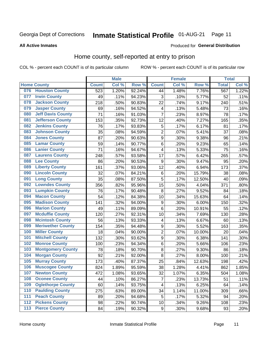#### Inmate Statistical Profile 01-AUG-21 Page 11

**All Active Inmates** 

#### Produced for General Distribution

### Home county, self-reported at entry to prison

COL % - percent each COUNT is of its particular column

|     |                          |              | <b>Male</b> |        |                         | <b>Female</b> |        | <b>Total</b> |       |
|-----|--------------------------|--------------|-------------|--------|-------------------------|---------------|--------|--------------|-------|
|     | <b>Home County</b>       | <b>Count</b> | Col %       | Row %  | <b>Count</b>            | Col %         | Row %  | <b>Total</b> | Col % |
| 076 | <b>Houston County</b>    | 523          | 1.20%       | 92.24% | 44                      | 1.48%         | 7.76%  | 567          | 1.22% |
| 077 | <b>Irwin County</b>      | 49           | .11%        | 94.23% | 3                       | .10%          | 5.77%  | 52           | .11%  |
| 078 | <b>Jackson County</b>    | 218          | .50%        | 90.83% | 22                      | .74%          | 9.17%  | 240          | .51%  |
| 079 | <b>Jasper County</b>     | 69           | .16%        | 94.52% | $\overline{\mathbf{4}}$ | .13%          | 5.48%  | 73           | .16%  |
| 080 | <b>Jeff Davis County</b> | 71           | .16%        | 91.03% | $\overline{7}$          | .23%          | 8.97%  | 78           | .17%  |
| 081 | <b>Jefferson County</b>  | 153          | .35%        | 92.73% | 12                      | .40%          | 7.27%  | 165          | .35%  |
| 082 | <b>Jenkins County</b>    | 76           | .17%        | 93.83% | $\sqrt{5}$              | .17%          | 6.17%  | 81           | .17%  |
| 083 | <b>Johnson County</b>    | 35           | .08%        | 94.59% | $\overline{2}$          | .07%          | 5.41%  | 37           | .08%  |
| 084 | <b>Jones County</b>      | 87           | .20%        | 90.63% | $\boldsymbol{9}$        | .30%          | 9.38%  | 96           | .21%  |
| 085 | <b>Lamar County</b>      | 59           | .14%        | 90.77% | $\,6$                   | .20%          | 9.23%  | 65           | .14%  |
| 086 | <b>Lanier County</b>     | 71           | .16%        | 94.67% | $\overline{\mathbf{4}}$ | .13%          | 5.33%  | 75           | .16%  |
| 087 | <b>Laurens County</b>    | 248          | .57%        | 93.58% | 17                      | .57%          | 6.42%  | 265          | .57%  |
| 088 | <b>Lee County</b>        | 86           | .20%        | 90.53% | $\boldsymbol{9}$        | .30%          | 9.47%  | 95           | .20%  |
| 089 | <b>Liberty County</b>    | 161          | .37%        | 93.06% | 12                      | .40%          | 6.94%  | 173          | .37%  |
| 090 | <b>Lincoln County</b>    | 32           | .07%        | 84.21% | $\,6$                   | .20%          | 15.79% | 38           | .08%  |
| 091 | <b>Long County</b>       | 35           | .08%        | 87.50% | 5                       | .17%          | 12.50% | 40           | .09%  |
| 092 | <b>Lowndes County</b>    | 356          | .82%        | 95.96% | 15                      | .50%          | 4.04%  | 371          | .80%  |
| 093 | <b>Lumpkin County</b>    | 76           | .17%        | 90.48% | $\bf 8$                 | .27%          | 9.52%  | 84           | .18%  |
| 094 | <b>Macon County</b>      | 54           | .12%        | 84.38% | 10                      | .34%          | 15.63% | 64           | .14%  |
| 095 | <b>Madison County</b>    | 141          | .32%        | 94.00% | $\boldsymbol{9}$        | .30%          | 6.00%  | 150          | .32%  |
| 096 | <b>Marion County</b>     | 49           | .11%        | 89.09% | 6                       | .20%          | 10.91% | 55           | .12%  |
| 097 | <b>Mcduffie County</b>   | 120          | .27%        | 92.31% | 10                      | .34%          | 7.69%  | 130          | .28%  |
| 098 | <b>Mcintosh County</b>   | 56           | .13%        | 93.33% | 4                       | .13%          | 6.67%  | 60           | .13%  |
| 099 | <b>Meriwether County</b> | 154          | .35%        | 94.48% | $\boldsymbol{9}$        | .30%          | 5.52%  | 163          | .35%  |
| 100 | <b>Miller County</b>     | 18           | .04%        | 90.00% | $\overline{2}$          | .07%          | 10.00% | 20           | .04%  |
| 101 | <b>Mitchell County</b>   | 132          | .30%        | 93.62% | $\boldsymbol{9}$        | .30%          | 6.38%  | 141          | .30%  |
| 102 | <b>Monroe County</b>     | 100          | .23%        | 94.34% | $\,6$                   | .20%          | 5.66%  | 106          | .23%  |
| 103 | <b>Montgomery County</b> | 78           | .18%        | 90.70% | $\bf 8$                 | .27%          | 9.30%  | 86           | .18%  |
| 104 | <b>Morgan County</b>     | 92           | .21%        | 92.00% | $\bf 8$                 | .27%          | 8.00%  | 100          | .21%  |
| 105 | <b>Murray County</b>     | 173          | .40%        | 87.37% | 25                      | .84%          | 12.63% | 198          | .42%  |
| 106 | <b>Muscogee County</b>   | 824          | 1.89%       | 95.59% | 38                      | 1.28%         | 4.41%  | 862          | 1.85% |
| 107 | <b>Newton County</b>     | 472          | 1.08%       | 93.65% | 32                      | 1.07%         | 6.35%  | 504          | 1.08% |
| 108 | <b>Oconee County</b>     | 44           | .10%        | 86.27% | 7                       | .23%          | 13.73% | 51           | .11%  |
| 109 | <b>Oglethorpe County</b> | 60           | .14%        | 93.75% | 4                       | .13%          | 6.25%  | 64           | .14%  |
| 110 | <b>Paulding County</b>   | 275          | .63%        | 89.00% | 34                      | 1.14%         | 11.00% | 309          | .66%  |
| 111 | <b>Peach County</b>      | 89           | .20%        | 94.68% | 5                       | .17%          | 5.32%  | 94           | .20%  |
| 112 | <b>Pickens County</b>    | 98           | .22%        | 90.74% | 10                      | .34%          | 9.26%  | 108          | .23%  |
| 113 | <b>Pierce County</b>     | 84           | .19%        | 90.32% | $\boldsymbol{9}$        | .30%          | 9.68%  | 93           | .20%  |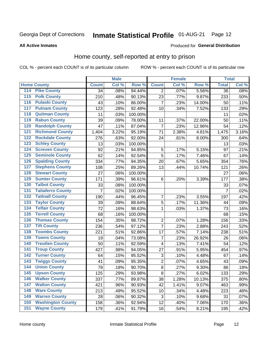### Inmate Statistical Profile 01-AUG-21 Page 12

#### **All Active Inmates**

#### Produced for General Distribution

#### Home county, self-reported at entry to prison

COL % - percent each COUNT is of its particular column

|                    |                          |              | <b>Male</b> |                  |                | <b>Female</b> |        | <b>Total</b>    |       |
|--------------------|--------------------------|--------------|-------------|------------------|----------------|---------------|--------|-----------------|-------|
| <b>Home County</b> |                          | <b>Count</b> | Col %       | Row <sup>%</sup> | <b>Count</b>   | Col %         | Row %  | <b>Total</b>    | Col % |
| 114                | <b>Pike County</b>       | 34           | .08%        | 94.44%           | 2              | .07%          | 5.56%  | $\overline{36}$ | .08%  |
| 115                | <b>Polk County</b>       | 210          | .48%        | 90.13%           | 23             | .77%          | 9.87%  | 233             | .50%  |
| 116                | <b>Pulaski County</b>    | 43           | .10%        | 86.00%           | 7              | .23%          | 14.00% | 50              | .11%  |
| 117                | <b>Putnam County</b>     | 123          | .28%        | 92.48%           | 10             | .34%          | 7.52%  | 133             | .29%  |
| 118                | <b>Quitman County</b>    | 11           | .03%        | 100.00%          |                |               |        | 11              | .02%  |
| 119                | <b>Rabun County</b>      | 39           | .09%        | 78.00%           | 11             | .37%          | 22.00% | 50              | .11%  |
| 120                | <b>Randolph County</b>   | 47           | .11%        | 87.04%           | 7              | .23%          | 12.96% | 54              | .12%  |
| 121                | <b>Richmond County</b>   | 1,404        | 3.22%       | 95.19%           | 71             | 2.38%         | 4.81%  | 1,475           | 3.16% |
| 122                | <b>Rockdale County</b>   | 276          | .63%        | 92.00%           | 24             | .81%          | 8.00%  | 300             | .64%  |
| 123                | <b>Schley County</b>     | 13           | .03%        | 100.00%          |                |               |        | 13              | .03%  |
| 124                | <b>Screven County</b>    | 92           | .21%        | 94.85%           | 5              | .17%          | 5.15%  | 97              | .21%  |
| 125                | <b>Seminole County</b>   | 62           | .14%        | 92.54%           | 5              | .17%          | 7.46%  | 67              | .14%  |
| 126                | <b>Spalding County</b>   | 334          | .77%        | 94.35%           | 20             | .67%          | 5.65%  | 354             | .76%  |
| 127                | <b>Stephens County</b>   | 108          | .25%        | 89.26%           | 13             | .44%          | 10.74% | 121             | .26%  |
| 128                | <b>Stewart County</b>    | 27           | .06%        | 100.00%          |                |               |        | 27              | .06%  |
| 129                | <b>Sumter County</b>     | 171          | .39%        | 96.61%           | 6              | .20%          | 3.39%  | 177             | .38%  |
| 130                | <b>Talbot County</b>     | 33           | .08%        | 100.00%          |                |               |        | 33              | .07%  |
| 131                | <b>Taliaferro County</b> | 7            | .02%        | 100.00%          |                |               |        | $\overline{7}$  | .02%  |
| 132                | <b>Tattnall County</b>   | 190          | .44%        | 96.45%           | 7              | .23%          | 3.55%  | 197             | .42%  |
| 133                | <b>Taylor County</b>     | 39           | .09%        | 88.64%           | 5              | .17%          | 11.36% | 44              | .09%  |
| 134                | <b>Telfair County</b>    | 72           | .16%        | 98.63%           | 1              | .03%          | 1.37%  | 73              | .16%  |
| 135                | <b>Terrell County</b>    | 68           | .16%        | 100.00%          |                |               |        | 68              | .15%  |
| 136                | <b>Thomas County</b>     | 154          | .35%        | 98.72%           | $\overline{2}$ | .07%          | 1.28%  | 156             | .33%  |
| 137                | <b>Tift County</b>       | 236          | .54%        | 97.12%           | $\overline{7}$ | .23%          | 2.88%  | 243             | .52%  |
| 138                | <b>Toombs County</b>     | 221          | .51%        | 92.86%           | 17             | .57%          | 7.14%  | 238             | .51%  |
| 139                | <b>Towns County</b>      | 19           | .04%        | 73.08%           | $\overline{7}$ | .23%          | 26.92% | 26              | .06%  |
| 140                | <b>Treutlen County</b>   | 50           | .11%        | 92.59%           | $\overline{4}$ | .13%          | 7.41%  | 54              | .12%  |
| 141                | <b>Troup County</b>      | 427          | .98%        | 94.05%           | 27             | .91%          | 5.95%  | 454             | .97%  |
| $\overline{142}$   | <b>Turner County</b>     | 64           | .15%        | 95.52%           | $\sqrt{3}$     | .10%          | 4.48%  | 67              | .14%  |
| 143                | <b>Twiggs County</b>     | 41           | .09%        | 95.35%           | $\overline{c}$ | .07%          | 4.65%  | 43              | .09%  |
| 144                | <b>Union County</b>      | 78           | .18%        | 90.70%           | $\overline{8}$ | .27%          | 9.30%  | 86              | .18%  |
| 145                | <b>Upson County</b>      | 125          | .29%        | 93.98%           | 8              | .27%          | 6.02%  | 133             | .29%  |
| 146                | <b>Walker County</b>     | 337          | .77%        | 89.87%           | 38             | 1.28%         | 10.13% | 375             | .80%  |
| 147                | <b>Walton County</b>     | 421          | .96%        | 90.93%           | 42             | 1.41%         | 9.07%  | 463             | .99%  |
| 148                | <b>Ware County</b>       | 213          | .49%        | 95.52%           | 10             | .34%          | 4.48%  | 223             | .48%  |
| 149                | <b>Warren County</b>     | 28           | .06%        | 90.32%           | 3              | .10%          | 9.68%  | 31              | .07%  |
| 150                | <b>Washington County</b> | 158          | .36%        | 92.94%           | 12             | .40%          | 7.06%  | 170             | .36%  |
| 151                | <b>Wayne County</b>      | 179          | .41%        | 91.79%           | 16             | .54%          | 8.21%  | 195             | .42%  |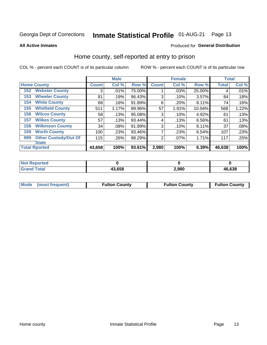## Inmate Statistical Profile 01-AUG-21 Page 13

**All Active Inmates** 

#### Produced for General Distribution

#### Home county, self-reported at entry to prison

COL % - percent each COUNT is of its particular column

|                    |                             |              | <b>Male</b> |        |              | <b>Female</b> |        | <b>Total</b> |       |
|--------------------|-----------------------------|--------------|-------------|--------|--------------|---------------|--------|--------------|-------|
| <b>Home County</b> |                             | <b>Count</b> | Col %       | Row %  | <b>Count</b> | Col %         | Row %  | <b>Total</b> | Col % |
| 152                | <b>Webster County</b>       | 3            | .01%        | 75.00% |              | .03%          | 25.00% | 4            | .01%  |
| 153                | <b>Wheeler County</b>       | 81           | .19%        | 96.43% | 3            | .10%          | 3.57%  | 84           | .18%  |
| 154                | <b>White County</b>         | 68           | .16%        | 91.89% | 6            | .20%          | 8.11%  | 74           | .16%  |
| 155                | <b>Whitfield County</b>     | 511          | 1.17%       | 89.96% | 57           | 1.91%         | 10.04% | 568          | 1.22% |
| 156                | <b>Wilcox County</b>        | 58           | .13%        | 95.08% | 3            | .10%          | 4.92%  | 61           | .13%  |
| 157                | <b>Wilkes County</b>        | 57           | .13%        | 93.44% | 4            | .13%          | 6.56%  | 61           | .13%  |
| 158                | <b>Wilkinson County</b>     | 34           | .08%        | 91.89% | 3            | .10%          | 8.11%  | 37           | .08%  |
| 159                | <b>Worth County</b>         | 100          | .23%        | 93.46% | 7            | .23%          | 6.54%  | 107          | .23%  |
| 999                | <b>Other Custody/Out Of</b> | 115          | .26%        | 98.29% | 2            | .07%          | 1.71%  | 117          | .25%  |
|                    | <b>State</b>                |              |             |        |              |               |        |              |       |
|                    | <b>Total Rported</b>        | 43,658       | 100%        | 93.61% | 2,980        | 100%          | 6.39%  | 46,638       | 100%  |

| 'Not<br><b>Reported</b> |        |       |        |
|-------------------------|--------|-------|--------|
| Гоtal                   | 43,658 | 2,980 | 46,638 |

| Mode (most frequent) | <b>Fulton County</b> | <b>Fulton County</b> | <b>Fulton County</b> |
|----------------------|----------------------|----------------------|----------------------|
|                      |                      |                      |                      |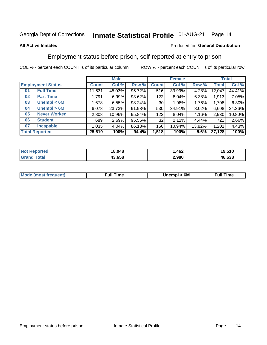#### **Inmate Statistical Profile 01-AUG-21** Page 14

#### **All Active Inmates**

#### Produced for General Distribution

### Employment status before prison, self-reported at entry to prison

COL % - percent each COUNT is of its particular column

|                           |         | <b>Male</b> |        |              | <b>Female</b> |        |        | <b>Total</b> |
|---------------------------|---------|-------------|--------|--------------|---------------|--------|--------|--------------|
| <b>Employment Status</b>  | Count l | Col %       | Row %  | <b>Count</b> | Col %         | Row %  | Total  | Col %        |
| <b>Full Time</b><br>01    | 11,531  | 45.03%      | 95.72% | 516          | 33.99%        | 4.28%  | 12,047 | 44.41%       |
| <b>Part Time</b><br>02    | 1,791   | 6.99%       | 93.62% | 122          | 8.04%         | 6.38%  | 1,913  | 7.05%        |
| Unempl $<$ 6M<br>03       | 1,678   | 6.55%       | 98.24% | 30           | 1.98%         | 1.76%  | 1,708  | 6.30%        |
| Unempl > 6M<br>04         | 6,078   | 23.73%      | 91.98% | 530          | 34.91%        | 8.02%  | 6,608  | 24.36%       |
| <b>Never Worked</b><br>05 | 2,808   | 10.96%      | 95.84% | 122          | 8.04%         | 4.16%  | 2,930  | 10.80%       |
| <b>Student</b><br>06      | 689     | 2.69%       | 95.56% | 32           | 2.11%         | 4.44%  | 721    | 2.66%        |
| <b>Incapable</b><br>07    | 1.035   | 4.04%       | 86.18% | 166          | 10.94%        | 13.82% | 1,201  | 4.43%        |
| <b>Total Reported</b>     | 25,610  | 100%        | 94.4%  | 1,518        | 100%          | 5.6%   | 27,128 | 100%         |

| Reported<br>NOT. | 18.048 | .462  | 19,510 |
|------------------|--------|-------|--------|
| ัวtal<br>Grr     | 43.658 | 2,980 | 46,638 |

| <b>Mode (most frequent)</b> | 6M<br>Inc | ∙ull<br>īme<br>the contract of the contract of the contract of the contract of the contract of the contract of the contract of |
|-----------------------------|-----------|--------------------------------------------------------------------------------------------------------------------------------|
|                             |           |                                                                                                                                |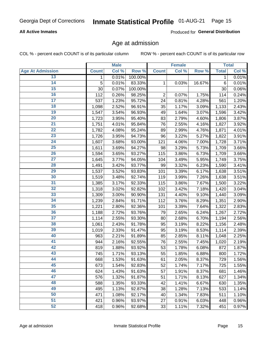## Inmate Statistical Profile 01-AUG-21 Page 15

#### **All Active Inmates**

Produced for General Distribution

#### Age at admission

COL % - percent each COUNT is of its particular column

|                         |              | <b>Male</b> |         |                | <b>Female</b> |        |              | <b>Total</b> |
|-------------------------|--------------|-------------|---------|----------------|---------------|--------|--------------|--------------|
| <b>Age At Admission</b> | <b>Count</b> | Col %       | Row %   | <b>Count</b>   | Col %         | Row %  | <b>Total</b> | Col %        |
| 13                      | 1            | 0.01%       | 100.00% |                |               |        | 1            | 0.01%        |
| $\overline{14}$         | 5            | 0.01%       | 83.33%  | 1              | 0.03%         | 16.67% | $\,6$        | 0.01%        |
| 15                      | 30           | 0.07%       | 100.00% |                |               |        | 30           | 0.06%        |
| 16                      | 112          | 0.26%       | 98.25%  | $\overline{2}$ | 0.07%         | 1.75%  | 114          | 0.24%        |
| $\overline{17}$         | 537          | 1.23%       | 95.72%  | 24             | 0.81%         | 4.28%  | 561          | 1.20%        |
| 18                      | 1,098        | 2.52%       | 96.91%  | 35             | 1.17%         | 3.09%  | 1,133        | 2.43%        |
| 19                      | 1,547        | 3.54%       | 96.93%  | 49             | 1.64%         | 3.07%  | 1,596        | 3.42%        |
| $\overline{20}$         | 1,723        | 3.95%       | 95.40%  | 83             | 2.79%         | 4.60%  | 1,806        | 3.87%        |
| $\overline{21}$         | 1,751        | 4.01%       | 95.84%  | 76             | 2.55%         | 4.16%  | 1,827        | 3.92%        |
| $\overline{22}$         | 1,782        | 4.08%       | 95.24%  | 89             | 2.99%         | 4.76%  | 1,871        | 4.01%        |
| 23                      | 1,726        | 3.95%       | 94.73%  | 96             | 3.22%         | 5.27%  | 1,822        | 3.91%        |
| $\overline{24}$         | 1,607        | 3.68%       | 93.00%  | 121            | 4.06%         | 7.00%  | 1,728        | 3.71%        |
| $\overline{25}$         | 1,611        | 3.69%       | 94.27%  | 98             | 3.29%         | 5.73%  | 1,709        | 3.66%        |
| 26                      | 1,594        | 3.65%       | 93.27%  | 115            | 3.86%         | 6.73%  | 1,709        | 3.66%        |
| $\overline{27}$         | 1,645        | 3.77%       | 94.05%  | 104            | 3.49%         | 5.95%  | 1,749        | 3.75%        |
| 28                      | 1,491        | 3.42%       | 93.77%  | 99             | 3.32%         | 6.23%  | 1,590        | 3.41%        |
| 29                      | 1,537        | 3.52%       | 93.83%  | 101            | 3.39%         | 6.17%  | 1,638        | 3.51%        |
| 30                      | 1,519        | 3.48%       | 92.74%  | 119            | 3.99%         | 7.26%  | 1,638        | 3.51%        |
| 31                      | 1,385        | 3.17%       | 92.33%  | 115            | 3.86%         | 7.67%  | 1,500        | 3.22%        |
| 32                      | 1,318        | 3.02%       | 92.82%  | 102            | 3.42%         | 7.18%  | 1,420        | 3.04%        |
| 33                      | 1,309        | 3.00%       | 90.90%  | 131            | 4.40%         | 9.10%  | 1,440        | 3.09%        |
| 34                      | 1,239        | 2.84%       | 91.71%  | 112            | 3.76%         | 8.29%  | 1,351        | 2.90%        |
| 35                      | 1,221        | 2.80%       | 92.36%  | 101            | 3.39%         | 7.64%  | 1,322        | 2.83%        |
| 36                      | 1,188        | 2.72%       | 93.76%  | 79             | 2.65%         | 6.24%  | 1,267        | 2.72%        |
| $\overline{37}$         | 1,114        | 2.55%       | 93.30%  | 80             | 2.68%         | 6.70%  | 1,194        | 2.56%        |
| 38                      | 1,061        | 2.43%       | 91.78%  | 95             | 3.19%         | 8.22%  | 1,156        | 2.48%        |
| 39                      | 1,019        | 2.33%       | 91.47%  | 95             | 3.19%         | 8.53%  | 1,114        | 2.39%        |
| 40                      | 963          | 2.21%       | 91.89%  | 85             | 2.85%         | 8.11%  | 1,048        | 2.25%        |
| 41                      | 944          | 2.16%       | 92.55%  | 76             | 2.55%         | 7.45%  | 1,020        | 2.19%        |
| 42                      | 819          | 1.88%       | 93.92%  | 53             | 1.78%         | 6.08%  | 872          | 1.87%        |
| 43                      | 745          | 1.71%       | 93.13%  | 55             | 1.85%         | 6.88%  | 800          | 1.72%        |
| 44                      | 668          | 1.53%       | 91.63%  | 61             | 2.05%         | 8.37%  | 729          | 1.56%        |
| 45                      | 673          | 1.54%       | 92.83%  | 52             | 1.74%         | 7.17%  | 725          | 1.55%        |
| 46                      | 624          | 1.43%       | 91.63%  | 57             | 1.91%         | 8.37%  | 681          | 1.46%        |
| 47                      | 576          | 1.32%       | 91.87%  | 51             | 1.71%         | 8.13%  | 627          | 1.34%        |
| 48                      | 588          | 1.35%       | 93.33%  | 42             | 1.41%         | 6.67%  | 630          | 1.35%        |
| 49                      | 495          | 1.13%       | 92.87%  | 38             | 1.28%         | 7.13%  | 533          | 1.14%        |
| 50                      | 471          | 1.08%       | 92.17%  | 40             | 1.34%         | 7.83%  | 511          | 1.10%        |
| $\overline{51}$         | 421          | 0.96%       | 93.97%  | 27             | 0.91%         | 6.03%  | 448          | 0.96%        |
| 52                      | 418          | 0.96%       | 92.68%  | 33             | 1.11%         | 7.32%  | 451          | 0.97%        |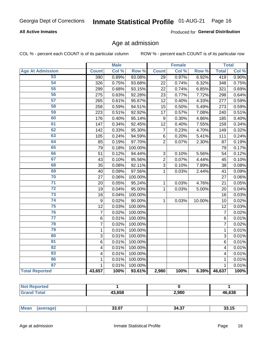## Inmate Statistical Profile 01-AUG-21 Page 16

#### **All Active Inmates**

Produced for General Distribution

#### Age at admission

COL % - percent each COUNT is of its particular column

|                         |                         | <b>Male</b> |         |                 | <b>Female</b> |        |                | <b>Total</b> |
|-------------------------|-------------------------|-------------|---------|-----------------|---------------|--------|----------------|--------------|
| <b>Age At Admission</b> | <b>Count</b>            | Col %       | Row %   | <b>Count</b>    | Col %         | Row %  | <b>Total</b>   | Col %        |
| 53                      | 390                     | 0.89%       | 93.08%  | 29              | 0.97%         | 6.92%  | 419            | 0.90%        |
| 54                      | 326                     | 0.75%       | 93.68%  | 22              | 0.74%         | 6.32%  | 348            | 0.75%        |
| 55                      | 299                     | 0.68%       | 93.15%  | 22              | 0.74%         | 6.85%  | 321            | 0.69%        |
| 56                      | 275                     | 0.63%       | 92.28%  | 23              | 0.77%         | 7.72%  | 298            | 0.64%        |
| $\overline{57}$         | 265                     | 0.61%       | 95.67%  | 12              | 0.40%         | 4.33%  | 277            | 0.59%        |
| 58                      | 258                     | 0.59%       | 94.51%  | 15              | 0.50%         | 5.49%  | 273            | 0.59%        |
| 59                      | 223                     | 0.51%       | 92.92%  | $\overline{17}$ | 0.57%         | 7.08%  | 240            | 0.51%        |
| 60                      | 176                     | 0.40%       | 95.14%  | 9               | 0.30%         | 4.86%  | 185            | 0.40%        |
| 61                      | 147                     | 0.34%       | 92.45%  | 12              | 0.40%         | 7.55%  | 159            | 0.34%        |
| 62                      | 142                     | 0.33%       | 95.30%  | $\overline{7}$  | 0.23%         | 4.70%  | 149            | 0.32%        |
| 63                      | 105                     | 0.24%       | 94.59%  | $\,6$           | 0.20%         | 5.41%  | 111            | 0.24%        |
| 64                      | 85                      | 0.19%       | 97.70%  | $\overline{2}$  | 0.07%         | 2.30%  | 87             | 0.19%        |
| 65                      | 79                      | 0.18%       | 100.00% |                 |               |        | 79             | 0.17%        |
| 66                      | 51                      | 0.12%       | 94.44%  | $\mathbf{3}$    | 0.10%         | 5.56%  | 54             | 0.12%        |
| 67                      | 43                      | 0.10%       | 95.56%  | $\overline{c}$  | 0.07%         | 4.44%  | 45             | 0.10%        |
| 68                      | 35                      | 0.08%       | 92.11%  | 3               | 0.10%         | 7.89%  | 38             | 0.08%        |
| 69                      | 40                      | 0.09%       | 97.56%  | 1               | 0.03%         | 2.44%  | 41             | 0.09%        |
| 70                      | 27                      | 0.06%       | 100.00% |                 |               |        | 27             | 0.06%        |
| $\overline{71}$         | 20                      | 0.05%       | 95.24%  | $\mathbf{1}$    | 0.03%         | 4.76%  | 21             | 0.05%        |
| $\overline{72}$         | 19                      | 0.04%       | 95.00%  | $\mathbf 1$     | 0.03%         | 5.00%  | 20             | 0.04%        |
| $\overline{73}$         | 16                      | 0.04%       | 100.00% |                 |               |        | 16             | 0.03%        |
| $\overline{74}$         | 9                       | 0.02%       | 90.00%  | $\mathbf{1}$    | 0.03%         | 10.00% | 10             | 0.02%        |
| 75                      | $\overline{12}$         | 0.03%       | 100.00% |                 |               |        | 12             | 0.03%        |
| 76                      | $\overline{7}$          | 0.02%       | 100.00% |                 |               |        | $\overline{7}$ | 0.02%        |
| $\overline{77}$         | $\overline{6}$          | 0.01%       | 100.00% |                 |               |        | $\overline{6}$ | 0.01%        |
| 78                      | $\overline{7}$          | 0.02%       | 100.00% |                 |               |        | $\overline{7}$ | 0.02%        |
| 79                      | $\mathbf 1$             | 0.01%       | 100.00% |                 |               |        | $\mathbf{1}$   | 0.01%        |
| 80                      | $\overline{3}$          | 0.01%       | 100.00% |                 |               |        | 3              | 0.01%        |
| 81                      | 6                       | 0.01%       | 100.00% |                 |               |        | 6              | 0.01%        |
| $\overline{82}$         | 4                       | 0.01%       | 100.00% |                 |               |        | 4              | 0.01%        |
| 83                      | $\overline{\mathbf{4}}$ | 0.01%       | 100.00% |                 |               |        | 4              | 0.01%        |
| 86                      | 1                       | 0.01%       | 100.00% |                 |               |        | 1              | 0.01%        |
| 87                      | $\mathbf{1}$            | 0.01%       | 100.00% |                 |               |        | $\mathbf{1}$   | 0.01%        |
| <b>Total Reported</b>   | 43,657                  | 100%        | 93.61%  | 2,980           | 100%          | 6.39%  | 46,637         | 100%         |

| тес |             |       |        |
|-----|-------------|-------|--------|
|     | 1200<br>סכנ | 2,980 | 46,638 |

|  | Mea. | . <del>.</del><br>33.U. | $\sim$<br>34<br>. ט. די<br>____ |  |
|--|------|-------------------------|---------------------------------|--|
|--|------|-------------------------|---------------------------------|--|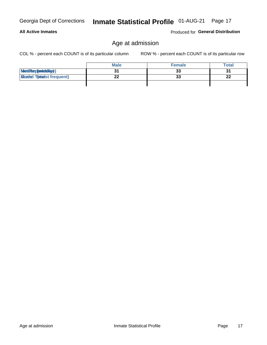**All Active Inmates** 

## Inmate Statistical Profile 01-AUG-21 Page 17

### Age at admission

COL % - percent each COUNT is of its particular column

ROW % - percent each COUNT is of its particular row

Produced for General Distribution

|                                  | <b>Male</b> | <b>Female</b> | <b>Total</b> |
|----------------------------------|-------------|---------------|--------------|
| MetiRep(anicidig)                |             | 33            | 31           |
| <b>Gloaded Tomadst frequent)</b> | ົ           | 33            | 22           |
|                                  |             |               |              |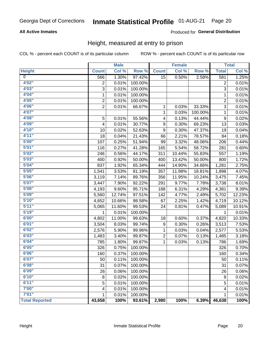## Inmate Statistical Profile 01-AUG-21 Page 20

#### **All Active Inmates**

#### Produced for General Distribution

#### Height, measured at entry to prison

COL % - percent each COUNT is of its particular column

|                       |                | <b>Male</b> |         |                 | <b>Female</b> |         |                 | <b>Total</b> |
|-----------------------|----------------|-------------|---------|-----------------|---------------|---------|-----------------|--------------|
| <b>Height</b>         | <b>Count</b>   | Col %       | Row %   | <b>Count</b>    | Col %         | Row %   | <b>Total</b>    | Col %        |
| $\bf{0}$              | 566            | 1.30%       | 97.42%  | $\overline{15}$ | 0.50%         | 2.58%   | 581             | 1.25%        |
| 4'02''                | $\overline{2}$ | 0.01%       | 100.00% |                 |               |         | 2               | 0.01%        |
| 4'03''                | 3              | 0.01%       | 100.00% |                 |               |         | 3               | 0.01%        |
| 4'04"                 | 1              | 0.01%       | 100.00% |                 |               |         | 1               | 0.01%        |
| 4'05"                 | $\overline{2}$ | 0.01%       | 100.00% |                 |               |         | $\overline{2}$  | 0.01%        |
| 4'06"                 | $\overline{2}$ | 0.01%       | 66.67%  | 1               | 0.03%         | 33.33%  | $\overline{3}$  | 0.01%        |
| 4'07"                 |                |             |         | $\mathbf{1}$    | 0.03%         | 100.00% | 1               | 0.01%        |
| 4'08"                 | 5              | 0.01%       | 55.56%  | 4               | 0.13%         | 44.44%  | 9               | 0.02%        |
| 4'09"                 | 4              | 0.01%       | 30.77%  | 9               | 0.30%         | 69.23%  | 13              | 0.03%        |
| 4'10"                 | 10             | 0.02%       | 52.63%  | 9               | 0.30%         | 47.37%  | 19              | 0.04%        |
| 4'11"                 | 18             | 0.04%       | 21.43%  | 66              | 2.21%         | 78.57%  | 84              | 0.18%        |
| 5'00''                | 107            | 0.25%       | 51.94%  | 99              | 3.32%         | 48.06%  | 206             | 0.44%        |
| 5'01"                 | 116            | 0.27%       | 41.28%  | 165             | 5.54%         | 58.72%  | 281             | 0.60%        |
| 5'02"                 | 246            | 0.56%       | 44.17%  | 311             | 10.44%        | 55.83%  | 557             | 1.19%        |
| 5'03''                | 400            | 0.92%       | 50.00%  | 400             | 13.42%        | 50.00%  | 800             | 1.72%        |
| 5'04"                 | 837            | 1.92%       | 65.34%  | 444             | 14.90%        | 34.66%  | 1,281           | 2.75%        |
| 5'05"                 | 1,541          | 3.53%       | 81.19%  | 357             | 11.98%        | 18.81%  | 1,898           | 4.07%        |
| 5'06''                | 3,119          | 7.14%       | 89.76%  | 356             | 11.95%        | 10.24%  | 3,475           | 7.45%        |
| 5'07"                 | 3,447          | 7.90%       | 92.22%  | 291             | 9.77%         | 7.78%   | 3,738           | 8.01%        |
| 5'08''                | 4,193          | 9.60%       | 95.71%  | 188             | 6.31%         | 4.29%   | 4,381           | 9.39%        |
| 5'09''                | 5,560          | 12.74%      | 97.51%  | 142             | 4.77%         | 2.49%   | 5,702           | 12.23%       |
| 5'10''                | 4,652          | 10.66%      | 98.58%  | 67              | 2.25%         | 1.42%   | 4,719           | 10.12%       |
| 5'11''                | 5,065          | 11.60%      | 99.53%  | 24              | 0.81%         | 0.47%   | 5,089           | 10.91%       |
| 5'19''                | 1              | 0.01%       | 100.00% |                 |               |         | 1               | 0.01%        |
| 6'00''                | 4,802          | 11.00%      | 99.63%  | 18              | 0.60%         | 0.37%   | 4,820           | 10.33%       |
| 6'01''                | 3,504          | 8.03%       | 99.74%  | 9               | 0.30%         | 0.26%   | 3,513           | 7.53%        |
| 6'02"                 | 2,576          | 5.90%       | 99.96%  | $\mathbf{1}$    | 0.03%         | 0.04%   | 2,577           | 5.53%        |
| 6'03''                | 1,483          | 3.40%       | 99.87%  | 2               | 0.07%         | 0.13%   | 1,485           | 3.18%        |
| 6'04"                 | 785            | 1.80%       | 99.87%  | $\mathbf{1}$    | 0.03%         | 0.13%   | 786             | 1.69%        |
| 6'05"                 | 326            | 0.75%       | 100.00% |                 |               |         | 326             | 0.70%        |
| 6'06''                | 160            | 0.37%       | 100.00% |                 |               |         | 160             | 0.34%        |
| 6'07''                | 50             | 0.11%       | 100.00% |                 |               |         | $\overline{50}$ | 0.11%        |
| 6'08''                | 31             | 0.07%       | 100.00% |                 |               |         | 31              | 0.07%        |
| 6'09''                | 26             | 0.06%       | 100.00% |                 |               |         | 26              | 0.06%        |
| 6'10''                | 8              | 0.02%       | 100.00% |                 |               |         | 8               | 0.02%        |
| 6'11''                | 5              | 0.01%       | 100.00% |                 |               |         | 5               | 0.01%        |
| 7'00''                | 4              | 0.01%       | 100.00% |                 |               |         | 4               | 0.01%        |
| 7'01''                | 1              | 0.01%       | 100.00% |                 |               |         | 1               | 0.01%        |
| <b>Total Reported</b> | 43,658         | 100%        | 93.61%  | 2,980           | 100%          | 6.39%   | 46,638          | 100%         |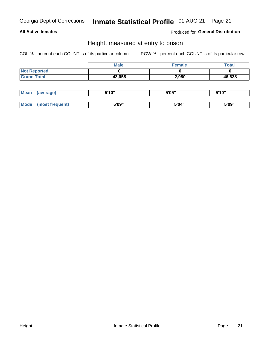## Inmate Statistical Profile 01-AUG-21 Page 21

#### **All Active Inmates**

Produced for General Distribution

#### Height, measured at entry to prison

COL % - percent each COUNT is of its particular column

|                     | <b>Male</b> | Female | $\tau$ otal |
|---------------------|-------------|--------|-------------|
| <b>Not Reported</b> |             |        |             |
| <b>Grand Total</b>  | 43,658      | 2,980  | 46,638      |

| <b>Mean</b> | erage) | 5'10" | 5'05" | <b>CIA AIL</b><br>. . |
|-------------|--------|-------|-------|-----------------------|
|             |        |       |       |                       |
| <b>Mode</b> |        | 5'09" | 5'04" | 5'09"                 |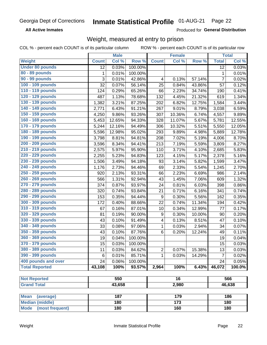#### **Inmate Statistical Profile 01-AUG-21** Page 22

**All Active Inmates** 

Produced for General Distribution

### Weight, measured at entry to prison

COL % - percent each COUNT is of its particular column

|                                |                | <b>Male</b> |         |              | <b>Female</b>   |        |                | <b>Total</b> |
|--------------------------------|----------------|-------------|---------|--------------|-----------------|--------|----------------|--------------|
| Weight                         | <b>Count</b>   | Col %       | Row %   | <b>Count</b> | Col %           | Row %  | <b>Total</b>   | Col %        |
| <b>Under 80 pounds</b>         | 12             | 0.03%       | 100.00% |              |                 |        | 12             | 0.03%        |
| 80 - 89 pounds                 | 1              | 0.01%       | 100.00% |              |                 |        | 1              | 0.01%        |
| 90 - 99 pounds                 | $\overline{3}$ | 0.01%       | 42.86%  | 4            | 0.13%           | 57.14% | $\overline{7}$ | 0.02%        |
| 100 - 109 pounds               | 32             | 0.07%       | 56.14%  | 25           | 0.84%           | 43.86% | 57             | 0.12%        |
| 110 - 119 pounds               | 124            | 0.29%       | 65.26%  | 66           | 2.23%           | 34.74% | 190            | 0.41%        |
| 120 - 129 pounds               | 487            | 1.13%       | 78.68%  | 132          | 4.45%           | 21.32% | 619            | 1.34%        |
| 130 - 139 pounds               | 1,382          | 3.21%       | 87.25%  | 202          | 6.82%           | 12.75% | 1,584          | 3.44%        |
| 140 - 149 pounds               | 2,771          | 6.43%       | 91.21%  | 267          | 9.01%           | 8.79%  | 3,038          | 6.59%        |
| 150 - 159 pounds               | 4,250          | 9.86%       | 93.26%  | 307          | 10.36%          | 6.74%  | 4,557          | 9.89%        |
| 160 - 169 pounds               | 5,453          | 12.65%      | 94.33%  | 328          | 11.07%          | 5.67%  | 5,781          | 12.55%       |
| 170 - 179 pounds               | 5,244          | 12.16%      | 94.49%  | 306          | 10.32%          | 5.51%  | 5,550          | 12.05%       |
| 180 - 189 pounds               | 5,596          | 12.98%      | 95.02%  | 293          | 9.89%           | 4.98%  | 5,889          | 12.78%       |
| 190 - 199 pounds               | 3,798          | 8.81%       | 94.81%  | 208          | 7.02%           | 5.19%  | 4,006          | 8.70%        |
| 200 - 209 pounds               | 3,596          | 8.34%       | 94.41%  | 213          | 7.19%           | 5.59%  | 3,809          | 8.27%        |
| 210 - 219 pounds               | 2,575          | 5.97%       | 95.90%  | 110          | 3.71%           | 4.10%  | 2,685          | 5.83%        |
| 220 - 229 pounds               | 2,255          | 5.23%       | 94.83%  | 123          | 4.15%           | 5.17%  | 2,378          | 5.16%        |
| 230 - 239 pounds               | 1,506          | 3.49%       | 94.18%  | 93           | 3.14%           | 5.82%  | 1,599          | 3.47%        |
| 240 - 249 pounds               | 1,176          | 2.73%       | 94.46%  | 69           | 2.33%           | 5.54%  | 1,245          | 2.70%        |
| 250 - 259 pounds               | 920            | 2.13%       | 93.31%  | 66           | 2.23%           | 6.69%  | 986            | 2.14%        |
| 260 - 269 pounds               | 566            | 1.31%       | 92.94%  | 43           | 1.45%           | 7.06%  | 609            | 1.32%        |
| 270 - 279 pounds               | 374            | 0.87%       | 93.97%  | 24           | 0.81%           | 6.03%  | 398            | 0.86%        |
| 280 - 289 pounds               | 320            | 0.74%       | 93.84%  | 21           | 0.71%           | 6.16%  | 341            | 0.74%        |
| 290 - 299 pounds               | 153            | 0.35%       | 94.44%  | 9            | 0.30%           | 5.56%  | 162            | 0.35%        |
| 300 - 309 pounds               | 172            | 0.40%       | 88.66%  | 22           | 0.74%           | 11.34% | 194            | 0.42%        |
| 310 - 319 pounds               | 67             | 0.16%       | 87.01%  | 10           | 0.34%           | 12.99% | 77             | 0.17%        |
| 320 - 329 pounds               | 81             | 0.19%       | 90.00%  | 9            | 0.30%           | 10.00% | 90             | 0.20%        |
| 330 - 339 pounds               | 43             | 0.10%       | 91.49%  | 4            | 0.13%           | 8.51%  | 47             | 0.10%        |
| 340 - 349 pounds               | 33             | 0.08%       | 97.06%  | 1            | 0.03%           | 2.94%  | 34             | 0.07%        |
| 350 - 359 pounds               | 43             | 0.10%       | 87.76%  | 6            | 0.20%           | 12.24% | 49             | 0.11%        |
| 360 - 369 pounds               | 19             | 0.04%       | 100.00% |              |                 |        | 19             | 0.04%        |
| 370 - 379 pounds               | 15             | 0.03%       | 100.00% |              |                 |        | 15             | 0.03%        |
| 380 - 389 pounds               | 11             | 0.03%       | 84.62%  | $\mathbf 2$  | 0.07%           | 15.38% | 13             | 0.03%        |
| 390 - 399 pounds               | 6              | 0.01%       | 85.71%  | 1            | 0.03%           | 14.29% | $\overline{7}$ | 0.02%        |
| 400 pounds and over            | 24             | 0.06%       | 100.00% |              |                 |        | 24             | 0.05%        |
| <b>Total Reported</b>          | 43,108         | 100%        | 93.57%  | 2,964        | 100%            | 6.43%  | 46,072         | 100.0%       |
|                                |                |             |         |              |                 |        |                |              |
| <b>Not Reported</b>            |                | 550         |         |              | $\overline{16}$ |        |                | 566          |
| <b>Grand Total</b>             |                | 43,658      |         |              | 2,980           |        |                | 46,638       |
| <b>Mean</b><br>(average)       |                | 187         |         |              | 179             |        |                | 186          |
| <b>Median (middle)</b>         |                | 180         |         |              | $\frac{1}{173}$ |        |                | 180          |
| <b>Mode</b><br>(most frequent) |                | 180         |         |              | 160             |        |                | 180          |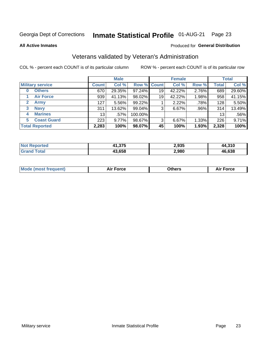#### **Inmate Statistical Profile 01-AUG-21** Page 23

**All Active Inmates** 

#### Produced for General Distribution

### Veterans validated by Veteran's Administration

COL % - percent each COUNT is of its particular column

|                          |                 | <b>Male</b> |         |                    | <b>Female</b> |       |              | <b>Total</b> |
|--------------------------|-----------------|-------------|---------|--------------------|---------------|-------|--------------|--------------|
| <b>Military service</b>  | <b>Count</b>    | Col %       |         | <b>Row % Count</b> | Col %         | Row % | <b>Total</b> | Col %        |
| <b>Others</b><br>0       | 670             | 29.35%      | 97.24%  | 19                 | 42.22%        | 2.76% | 689          | 29.60%       |
| <b>Air Force</b>         | 939             | 41.13%      | 98.02%  | 19                 | 42.22%        | 1.98% | 958          | 41.15%       |
| <b>Army</b><br>2         | 127             | 5.56%       | 99.22%  |                    | 2.22%         | .78%  | 128          | 5.50%        |
| <b>Navy</b><br>3         | 311             | 13.62%      | 99.04%  | 3                  | 6.67%         | .96%  | 314          | 13.49%       |
| <b>Marines</b><br>4      | 13 <sub>1</sub> | .57%        | 100.00% |                    |               |       | 13           | .56%         |
| <b>Coast Guard</b><br>5. | 223             | 9.77%       | 98.67%  | 3                  | 6.67%         | 1.33% | 226          | 9.71%        |
| <b>Total Reported</b>    | 2,283           | 100%        | 98.07%  | 45                 | 100%          | 1.93% | 2,328        | 100%         |

| oorted<br>' Not | 11,375 | 2,935 | .310<br>44   |
|-----------------|--------|-------|--------------|
| ⊺otal           | 43,658 | 2,980 | 16.638<br>ДF |

|  |  | <b>Mode (most frequent)</b> | <b>Force</b><br>Aır | วthers | orce |
|--|--|-----------------------------|---------------------|--------|------|
|--|--|-----------------------------|---------------------|--------|------|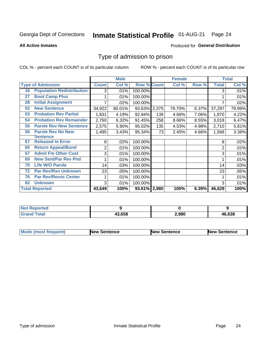#### **Inmate Statistical Profile 01-AUG-21** Page 24

**All Active Inmates** 

#### Produced for General Distribution

### Type of admission to prison

COL % - percent each COUNT is of its particular column

|    |                                  |              | <b>Male</b> |                    |       | <b>Female</b> |       |              | <b>Total</b> |
|----|----------------------------------|--------------|-------------|--------------------|-------|---------------|-------|--------------|--------------|
|    | <b>Type of Admission</b>         | <b>Count</b> | Col %       | <b>Row % Count</b> |       | Col %         | Row % | <b>Total</b> | Col %        |
| 16 | <b>Population Redistribution</b> | 3            | .01%        | 100.00%            |       |               |       | 3            | .01%         |
| 27 | <b>Boot Camp Plus</b>            |              | .01%        | 100.00%            |       |               |       |              | .01%         |
| 28 | <b>Initial Assignment</b>        |              | .02%        | 100.00%            |       |               |       |              | .02%         |
| 52 | <b>New Sentence</b>              | 34,922       | 80.01%      | 93.63%             | 2,375 | 79.70%        | 6.37% | 37,297       | 79.99%       |
| 53 | <b>Probation Rev Partial</b>     | 1,831        | 4.19%       | 92.94%             | 139   | 4.66%         | 7.06% | 1,970        | 4.22%        |
| 54 | <b>Probation Rev Remainder</b>   | 2,760        | 6.32%       | 91.45%             | 258   | 8.66%         | 8.55% | 3,018        | 6.47%        |
| 55 | <b>Parole Rev New Sentence</b>   | 2,575        | 5.90%       | 95.02%             | 135   | 4.53%         | 4.98% | 2,710        | 5.81%        |
| 56 | <b>Parole Rev No New</b>         | 1,495        | 3.43%       | 95.34%             | 73    | 2.45%         | 4.66% | 1,568        | 3.36%        |
|    | <b>Sentence</b>                  |              |             |                    |       |               |       |              |              |
| 57 | <b>Released In Error</b>         | 8            | .02%        | 100.00%            |       |               |       | 8            | .02%         |
| 65 | <b>Return Appeal/Bond</b>        | 2            | .01%        | 100.00%            |       |               |       | 2            | .01%         |
| 67 | <b>Admit Fm Other Cust</b>       | 3            | .01%        | 100.00%            |       |               |       | 3            | .01%         |
| 69 | <b>New Sent/Par Rev Pnd</b>      |              | .01%        | 100.00%            |       |               |       |              | .01%         |
| 70 | <b>Life W/O Parole</b>           | 14           | .03%        | 100.00%            |       |               |       | 14           | .03%         |
| 72 | <b>Par Rev/Rsn Unknown</b>       | 23           | .05%        | 100.00%            |       |               |       | 23           | .05%         |
| 76 | <b>Par Rev/Revoc Center</b>      | 1            | .01%        | 100.00%            |       |               |       |              | .01%         |
| 82 | <b>Unknown</b>                   | 3            | .01%        | 100.00%            |       |               |       | 3            | .01%         |
|    | <b>Total Reported</b>            | 43,649       | 100%        | 93.61% 2,980       |       | 100%          | 6.39% | 46,629       | 100%         |

| <b>Not Reported</b> |        |       |        |
|---------------------|--------|-------|--------|
| <b>Grand Total</b>  | 43.658 | 2,980 | 46,638 |

| <b>Mode (most frequent)</b> | <b>New Sentence</b> | <b>New Sentence</b> | <b>New Sentence</b> |
|-----------------------------|---------------------|---------------------|---------------------|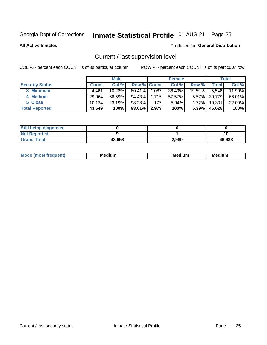## Inmate Statistical Profile 01-AUG-21 Page 25

**All Active Inmates** 

#### Produced for General Distribution

### Current / last supervision level

COL % - percent each COUNT is of its particular column

|                        |              | <b>Male</b> |                    |       | <b>Female</b> |           |        | <b>Total</b> |
|------------------------|--------------|-------------|--------------------|-------|---------------|-----------|--------|--------------|
| <b>Security Status</b> | <b>Count</b> | Col %       | <b>Row % Count</b> |       | Col %         | Row %     | Total  | Col %        |
| 3 Minimum              | 4.461        | $10.22\%$   | $80.41\%$          | 1,087 | 36.49%        | $19.59\%$ | 5,548  | 11.90%       |
| 4 Medium               | 29.064       | 66.59%      | 94.43%             | 1,715 | 57.57%        | $5.57\%$  | 30,779 | 66.01%       |
| 5 Close                | 10.124       | 23.19%      | 98.28%             | 177   | 5.94%         | 1.72%     | 10,301 | 22.09%       |
| <b>Total Reported</b>  | 43,649       | 100%        | 93.61%             | 2,979 | 100%          | $6.39\%$  | 46,628 | 100%         |

| <b>Still being diagnosed</b> |        |       |        |
|------------------------------|--------|-------|--------|
| <b>Not Reported</b>          |        |       |        |
| <b>Grand Total</b>           | 43,658 | 2,980 | 46,638 |

| M | M | . . |
|---|---|-----|
|   |   |     |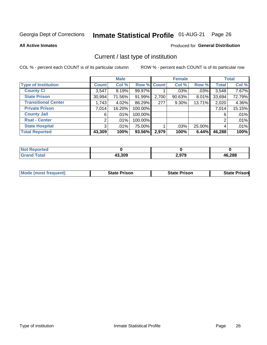## Inmate Statistical Profile 01-AUG-21 Page 26

**All Active Inmates** 

#### Produced for General Distribution

### Current / last type of institution

COL % - percent each COUNT is of its particular column

|                            |                | <b>Male</b> |             |       | <b>Female</b> |        |              | <b>Total</b> |
|----------------------------|----------------|-------------|-------------|-------|---------------|--------|--------------|--------------|
| <b>Type of Institution</b> | <b>Count</b>   | Col %       | Row % Count |       | Col %         | Row %  | <b>Total</b> | Col %        |
| <b>County Ci</b>           | 3,547          | 8.19%       | 99.97%      |       | $.03\%$       | .03%   | 3,548        | 7.67%        |
| <b>State Prison</b>        | 30,994         | 71.56%      | 91.99%      | 2,700 | 90.63%        | 8.01%  | 33,694       | 72.79%       |
| <b>Transitional Center</b> | 1,743          | 4.02%       | 86.29%      | 277   | 9.30%         | 13.71% | 2,020        | 4.36%        |
| <b>Private Prison</b>      | 7,014          | 16.20%      | 100.00%     |       |               |        | 7,014        | 15.15%       |
| <b>County Jail</b>         | 6              | $.01\%$     | 100.00%     |       |               |        | 6            | .01%         |
| <b>Rsat - Center</b>       | 2              | $.01\%$     | 100.00%     |       |               |        | 2            | .01%         |
| <b>State Hospital</b>      | 3 <sup>1</sup> | $.01\%$     | 75.00%      |       | .03%          | 25.00% | 4            | .01%         |
| <b>Total Reported</b>      | 43,309         | 100%        | 93.56%      | 2,979 | 100%          | 6.44%  | 46,288       | 100%         |

| oorted<br><b>NOT</b> |        |       |        |
|----------------------|--------|-------|--------|
| <b>otal</b>          | 43,309 | 2.979 | 46,288 |

| <b>Mode (most frequent)</b> | <b>State Prison</b> | <b>State Prison</b> | <b>State Prison</b> |
|-----------------------------|---------------------|---------------------|---------------------|
|                             |                     |                     |                     |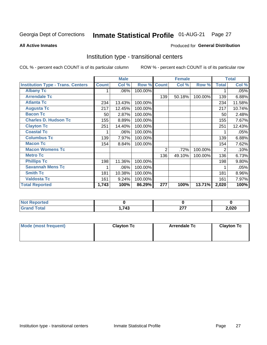## Inmate Statistical Profile 01-AUG-21 Page 27

#### **All Active Inmates**

#### Produced for General Distribution

#### Institution type - transitional centers

COL % - percent each COUNT is of its particular column

|                                          |              | <b>Male</b> |         |                | <b>Female</b> |         |              | <b>Total</b> |
|------------------------------------------|--------------|-------------|---------|----------------|---------------|---------|--------------|--------------|
| <b>Institution Type - Trans. Centers</b> | <b>Count</b> | Col %       | Row %   | <b>Count</b>   | Col %         | Row %   | <b>Total</b> | Col %        |
| <b>Albany Tc</b>                         |              | .06%        | 100.00% |                |               |         |              | .05%         |
| <b>Arrendale Tc</b>                      |              |             |         | 139            | 50.18%        | 100.00% | 139          | 6.88%        |
| <b>Atlanta Tc</b>                        | 234          | 13.43%      | 100.00% |                |               |         | 234          | 11.58%       |
| <b>Augusta Tc</b>                        | 217          | 12.45%      | 100.00% |                |               |         | 217          | 10.74%       |
| <b>Bacon Tc</b>                          | 50           | 2.87%       | 100.00% |                |               |         | 50           | 2.48%        |
| <b>Charles D. Hudson Tc</b>              | 155          | 8.89%       | 100.00% |                |               |         | 155          | 7.67%        |
| <b>Clayton Tc</b>                        | 251          | 14.40%      | 100.00% |                |               |         | 251          | 12.43%       |
| <b>Coastal Tc</b>                        |              | .06%        | 100.00% |                |               |         |              | .05%         |
| <b>Columbus Tc</b>                       | 139          | 7.97%       | 100.00% |                |               |         | 139          | 6.88%        |
| <b>Macon Tc</b>                          | 154          | 8.84%       | 100.00% |                |               |         | 154          | 7.62%        |
| <b>Macon Womens Tc</b>                   |              |             |         | $\overline{2}$ | .72%          | 100.00% | 2            | .10%         |
| <b>Metro Tc</b>                          |              |             |         | 136            | 49.10%        | 100.00% | 136          | 6.73%        |
| <b>Phillips Tc</b>                       | 198          | 11.36%      | 100.00% |                |               |         | 198          | 9.80%        |
| <b>Savannah Mens Tc</b>                  | 1            | .06%        | 100.00% |                |               |         |              | .05%         |
| <b>Smith Tc</b>                          | 181          | 10.38%      | 100.00% |                |               |         | 181          | 8.96%        |
| <b>Valdosta Tc</b>                       | 161          | 9.24%       | 100.00% |                |               |         | 161          | 7.97%        |
| <b>Total Reported</b>                    | 1,743        | 100%        | 86.29%  | 277            | 100%          | 13.71%  | 2,020        | 100%         |

| <b>Reported</b><br><b>NOT</b> |     |          |       |
|-------------------------------|-----|----------|-------|
| `otal                         | 743 | ^77<br>. | 2,020 |

| Mode (most frequent) | <b>Clayton Tc</b> | <b>Arrendale Tc</b> | <b>Clayton Tc</b> |
|----------------------|-------------------|---------------------|-------------------|
|                      |                   |                     |                   |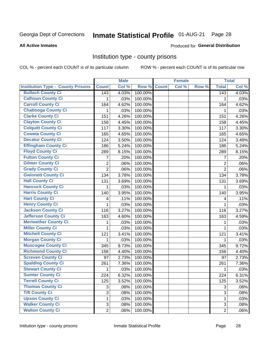## Inmate Statistical Profile 01-AUG-21 Page 28

#### **All Active Inmates**

#### Produced for General Distribution

#### Institution type - county prisons

COL % - percent each COUNT is of its particular column

|                                          |                | <b>Male</b> |         |              | <b>Female</b> |       |                | <b>Total</b> |
|------------------------------------------|----------------|-------------|---------|--------------|---------------|-------|----------------|--------------|
| <b>Institution Type - County Prisons</b> | <b>Count</b>   | Col %       | Row %   | <b>Count</b> | Col %         | Row % | <b>Total</b>   | Col %        |
| <b>Bulloch County Ci</b>                 | 143            | 4.03%       | 100.00% |              |               |       | 143            | 4.03%        |
| <b>Calhoun County Ci</b>                 | 1              | .03%        | 100.00% |              |               |       | 1              | .03%         |
| <b>Carroll County Ci</b>                 | 164            | 4.62%       | 100.00% |              |               |       | 164            | 4.62%        |
| <b>Chattooga County Ci</b>               | 1              | .03%        | 100.00% |              |               |       | 1              | .03%         |
| <b>Clarke County Ci</b>                  | 151            | 4.26%       | 100.00% |              |               |       | 151            | 4.26%        |
| <b>Clayton County Ci</b>                 | 158            | 4.45%       | 100.00% |              |               |       | 158            | 4.45%        |
| <b>Colquitt County Ci</b>                | 117            | 3.30%       | 100.00% |              |               |       | 117            | 3.30%        |
| <b>Coweta County Ci</b>                  | 165            | 4.65%       | 100.00% |              |               |       | 165            | 4.65%        |
| <b>Decatur County Ci</b>                 | 124            | 3.50%       | 100.00% |              |               |       | 124            | 3.49%        |
| <b>Effingham County Ci</b>               | 186            | 5.24%       | 100.00% |              |               |       | 186            | 5.24%        |
| <b>Floyd County Ci</b>                   | 289            | 8.15%       | 100.00% |              |               |       | 289            | 8.15%        |
| <b>Fulton County Ci</b>                  | 7              | .20%        | 100.00% |              |               |       | $\overline{7}$ | .20%         |
| <b>Gilmer County Ci</b>                  | $\overline{2}$ | .06%        | 100.00% |              |               |       | $\overline{2}$ | .06%         |
| <b>Grady County Ci</b>                   | $\overline{2}$ | .06%        | 100.00% |              |               |       | $\overline{2}$ | .06%         |
| <b>Gwinnett County Ci</b>                | 134            | 3.78%       | 100.00% |              |               |       | 134            | 3.78%        |
| <b>Hall County Ci</b>                    | 131            | 3.69%       | 100.00% |              |               |       | 131            | 3.69%        |
| <b>Hancock County Ci</b>                 | 1              | .03%        | 100.00% |              |               |       | 1              | .03%         |
| <b>Harris County Ci</b>                  | 140            | 3.95%       | 100.00% |              |               |       | 140            | 3.95%        |
| <b>Hart County Ci</b>                    | 4              | .11%        | 100.00% |              |               |       | 4              | .11%         |
| <b>Henry County Ci</b>                   | 1              | .03%        | 100.00% |              |               |       | 1              | .03%         |
| <b>Jackson County Ci</b>                 | 116            | 3.27%       | 100.00% |              |               |       | 116            | 3.27%        |
| Jefferson County Ci                      | 163            | 4.60%       | 100.00% |              |               |       | 163            | 4.59%        |
| <b>Meriwether County Ci</b>              | 1              | .03%        | 100.00% |              |               |       | 1              | .03%         |
| <b>Miller County Ci</b>                  | 1              | .03%        | 100.00% |              |               |       | 1              | .03%         |
| <b>Mitchell County Ci</b>                | 121            | 3.41%       | 100.00% |              |               |       | 121            | 3.41%        |
| <b>Morgan County Ci</b>                  | 1              | .03%        | 100.00% |              |               |       | 1              | .03%         |
| <b>Muscogee County Ci</b>                | 345            | 9.73%       | 100.00% |              |               |       | 345            | 9.72%        |
| <b>Richmond County Ci</b>                | 156            | 4.40%       | 100.00% |              |               |       | 156            | 4.40%        |
| <b>Screven County Ci</b>                 | 97             | 2.73%       | 100.00% |              |               |       | 97             | 2.73%        |
| <b>Spalding County Ci</b>                | 261            | 7.36%       | 100.00% |              |               |       | 261            | 7.36%        |
| <b>Stewart County Ci</b>                 | 1              | .03%        | 100.00% |              |               |       | 1              | .03%         |
| <b>Sumter County Ci</b>                  | 224            | 6.32%       | 100.00% |              |               |       | 224            | 6.31%        |
| <b>Terrell County Ci</b>                 | 125            | 3.52%       | 100.00% |              |               |       | 125            | 3.52%        |
| <b>Thomas County Ci</b>                  | 3              | .08%        | 100.00% |              |               |       | 3              | .08%         |
| <b>Tift County Ci</b>                    | $\overline{3}$ | .08%        | 100.00% |              |               |       | 3              | .08%         |
| <b>Upson County Ci</b>                   | 1              | .03%        | 100.00% |              |               |       | 1              | .03%         |
| <b>Walker County Ci</b>                  | 3              | .08%        | 100.00% |              |               |       | 3              | .08%         |
| <b>Walton County Ci</b>                  | $\overline{2}$ | .06%        | 100.00% |              |               |       | $\overline{2}$ | .06%         |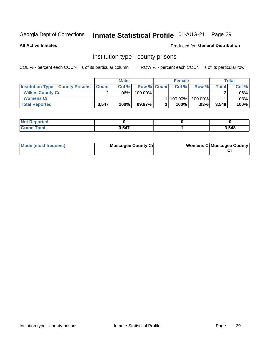### Inmate Statistical Profile 01-AUG-21 Page 29

**All Active Inmates** 

#### Produced for General Distribution

#### Institution type - county prisons

COL % - percent each COUNT is of its particular column

|                                                    | <b>Male</b> |         |                    | <b>Female</b> |         | <b>Total</b> |         |
|----------------------------------------------------|-------------|---------|--------------------|---------------|---------|--------------|---------|
| <b>Institution Type - County Prisons   Count  </b> |             | Col%    | <b>Row % Count</b> | Col%          | Row %   | Total        | Col %   |
| <b>Wilkes County Ci</b>                            | $\sim$      | $.06\%$ | 100.00%            |               |         |              | $.06\%$ |
| <b>Womens Ci</b>                                   |             |         |                    | 1   100.00%   | 100.00% |              | $.03\%$ |
| <b>Total Reported</b>                              | 3,547       | 100%    | 99.97%             | 100%          | $.03\%$ | 3,548        | 100%    |

| Reported |       |       |
|----------|-------|-------|
| Total    | 3.547 | 3,548 |

| Mode (most frequent) | <b>Muscogee County Ci</b> | <b>Womens Cil Muscogee County</b> |  |
|----------------------|---------------------------|-----------------------------------|--|
|----------------------|---------------------------|-----------------------------------|--|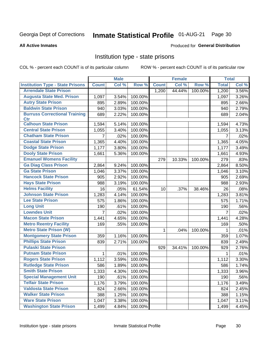## Inmate Statistical Profile 01-AUG-21 Page 30

#### **All Active Inmates**

#### Produced for General Distribution

#### Institution type - state prisons

COL % - percent each COUNT is of its particular column

|                                         |                | <b>Male</b> |         |              | <b>Female</b> |         | <b>Total</b>   |       |
|-----------------------------------------|----------------|-------------|---------|--------------|---------------|---------|----------------|-------|
| <b>Institution Type - State Prisons</b> | <b>Count</b>   | Col %       | Row %   | <b>Count</b> | Col %         | Row %   | <b>Total</b>   | Col % |
| <b>Arrendale State Prison</b>           |                |             |         | 1,200        | 44.44%        | 100.00% | 1,200          | 3.56% |
| <b>Augusta State Med. Prison</b>        | 1,097          | 3.54%       | 100.00% |              |               |         | 1,097          | 3.26% |
| <b>Autry State Prison</b>               | 895            | 2.89%       | 100.00% |              |               |         | 895            | 2.66% |
| <b>Baldwin State Prison</b>             | 940            | 3.03%       | 100.00% |              |               |         | 940            | 2.79% |
| <b>Burruss Correctional Training</b>    | 689            | 2.22%       | 100.00% |              |               |         | 689            | 2.04% |
| <b>Ctr</b>                              |                |             |         |              |               |         |                |       |
| <b>Calhoun State Prison</b>             | 1,594          | 5.14%       | 100.00% |              |               |         | 1,594          | 4.73% |
| <b>Central State Prison</b>             | 1,055          | 3.40%       | 100.00% |              |               |         | 1,055          | 3.13% |
| <b>Chatham State Prison</b>             | $\overline{7}$ | .02%        | 100.00% |              |               |         | $\overline{7}$ | .02%  |
| <b>Coastal State Prison</b>             | 1,365          | 4.40%       | 100.00% |              |               |         | 1,365          | 4.05% |
| <b>Dodge State Prison</b>               | 1,177          | 3.80%       | 100.00% |              |               |         | 1,177          | 3.49% |
| <b>Dooly State Prison</b>               | 1,661          | 5.36%       | 100.00% |              |               |         | 1,661          | 4.93% |
| <b>Emanuel Womens Facility</b>          |                |             |         | 279          | 10.33%        | 100.00% | 279            | .83%  |
| <b>Ga Diag Class Prison</b>             | 2,864          | 9.24%       | 100.00% |              |               |         | 2,864          | 8.50% |
| <b>Ga State Prison</b>                  | 1,046          | 3.37%       | 100.00% |              |               |         | 1,046          | 3.10% |
| <b>Hancock State Prison</b>             | 905            | 2.92%       | 100.00% |              |               |         | 905            | 2.69% |
| <b>Hays State Prison</b>                | 988            | 3.19%       | 100.00% |              |               |         | 988            | 2.93% |
| <b>Helms Facility</b>                   | 16             | .05%        | 61.54%  | 10           | .37%          | 38.46%  | 26             | .08%  |
| <b>Johnson State Prison</b>             | 1,283          | 4.14%       | 100.00% |              |               |         | 1,283          | 3.81% |
| <b>Lee State Prison</b>                 | 575            | 1.86%       | 100.00% |              |               |         | 575            | 1.71% |
| <b>Long Unit</b>                        | 190            | .61%        | 100.00% |              |               |         | 190            | .56%  |
| <b>Lowndes Unit</b>                     | 7              | .02%        | 100.00% |              |               |         | $\overline{7}$ | .02%  |
| <b>Macon State Prison</b>               | 1,441          | 4.65%       | 100.00% |              |               |         | 1,441          | 4.28% |
| <b>Metro Reentry Facility</b>           | 169            | .55%        | 100.00% |              |               |         | 169            | .50%  |
| <b>Metro State Prison (W)</b>           |                |             |         | 1            | .04%          | 100.00% | 1              | .01%  |
| <b>Montgomery State Prison</b>          | 359            | 1.16%       | 100.00% |              |               |         | 359            | 1.07% |
| <b>Phillips State Prison</b>            | 839            | 2.71%       | 100.00% |              |               |         | 839            | 2.49% |
| <b>Pulaski State Prison</b>             |                |             |         | 929          | 34.41%        | 100.00% | 929            | 2.76% |
| <b>Putnam State Prison</b>              | $\mathbf{1}$   | .01%        | 100.00% |              |               |         | 1              | .01%  |
| <b>Rogers State Prison</b>              | 1,112          | 3.59%       | 100.00% |              |               |         | 1,112          | 3.30% |
| <b>Rutledge State Prison</b>            | 586            | 1.89%       | 100.00% |              |               |         | 586            | 1.74% |
| <b>Smith State Prison</b>               | 1,333          | $4.30\%$    | 100.00% |              |               |         | 1,333          | 3.96% |
| <b>Special Management Unit</b>          | 190            | .61%        | 100.00% |              |               |         | 190            | .56%  |
| <b>Telfair State Prison</b>             | 1,176          | 3.79%       | 100.00% |              |               |         | 1,176          | 3.49% |
| <b>Valdosta State Prison</b>            | 824            | 2.66%       | 100.00% |              |               |         | 824            | 2.45% |
| <b>Walker State Prison</b>              | 388            | 1.25%       | 100.00% |              |               |         | 388            | 1.15% |
| <b>Ware State Prison</b>                | 1,047          | 3.38%       | 100.00% |              |               |         | 1,047          | 3.11% |
| <b>Washington State Prison</b>          | 1,499          | 4.84%       | 100.00% |              |               |         | 1,499          | 4.45% |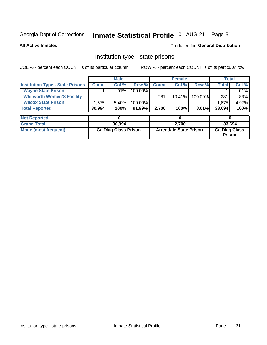#### Inmate Statistical Profile 01-AUG-21 Page 31

**All Active Inmates** 

#### Produced for General Distribution

### Institution type - state prisons

COL % - percent each COUNT is of its particular column

|                                         |              | <b>Male</b> |            |              | <b>Female</b> |          |              | Total   |
|-----------------------------------------|--------------|-------------|------------|--------------|---------------|----------|--------------|---------|
| <b>Institution Type - State Prisons</b> | <b>Count</b> | Col %       | Row %I     | <b>Count</b> | Col %         | Row %    | <b>Total</b> | Col %   |
| <b>Wayne State Prison</b>               |              | $.01\%$     | $100.00\%$ |              |               |          |              | .01%    |
| <b>Whitworth Women'S Facility</b>       |              |             |            | 281          | $10.41\%$     | 100.00%  | 281          | $.83\%$ |
| <b>Wilcox State Prison</b>              | .675         | 5.40%       | 100.00%    |              |               |          | 1,675        | 4.97%   |
| <b>Total Reported</b>                   | 30,994       | 100%        | 91.99%     | 2.700        | 100%          | $8.01\%$ | 33,694       | 100%    |

| <b>Not Reported</b>  |                             |                               |                                       |
|----------------------|-----------------------------|-------------------------------|---------------------------------------|
| <b>Grand Total</b>   | 30,994                      | 2.700                         | 33.694                                |
| Mode (most frequent) | <b>Ga Diag Class Prison</b> | <b>Arrendale State Prison</b> | <b>Ga Diag Class</b><br><b>Prison</b> |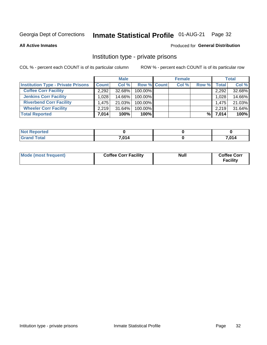## Inmate Statistical Profile 01-AUG-21 Page 32

**All Active Inmates** 

#### Produced for General Distribution

### Institution type - private prisons

COL % - percent each COUNT is of its particular column

|                                           |              | <b>Male</b> |                    | <b>Female</b> |       |                    | <b>Total</b> |
|-------------------------------------------|--------------|-------------|--------------------|---------------|-------|--------------------|--------------|
| <b>Institution Type - Private Prisons</b> | <b>Count</b> | Col %       | <b>Row % Count</b> | Col %         | Row % | Total              | Col %        |
| <b>Coffee Corr Facility</b>               | 2.292        | 32.68%      | 100.00%            |               |       | 2,292              | 32.68%       |
| <b>Jenkins Corr Facility</b>              | .028         | 14.66%      | $100.00\%$         |               |       | 1,028              | 14.66%       |
| <b>Riverbend Corr Facility</b>            | 1.475        | 21.03%      | $100.00\%$         |               |       | 1,475              | 21.03%       |
| <b>Wheeler Corr Facility</b>              | 2.219        | $31.64\%$   | 100.00%            |               |       | 2,219              | 31.64%       |
| <b>Total Reported</b>                     | 7,014        | 100%        | 100%               |               | %     | $\overline{7,014}$ | 100%         |

| <b>Not</b><br>Reported |       |       |
|------------------------|-------|-------|
| <b>Total</b>           | 7,014 | 7,014 |

| Mode (most frequent) | <b>Coffee Corr Facility</b> | <b>Null</b> | <b>Coffee Corr</b><br><b>Facility</b> |
|----------------------|-----------------------------|-------------|---------------------------------------|
|----------------------|-----------------------------|-------------|---------------------------------------|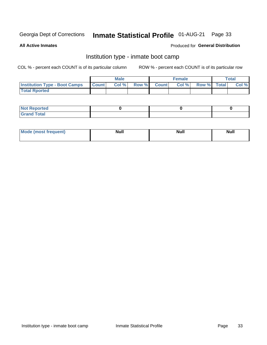#### Inmate Statistical Profile 01-AUG-21 Page 33

**All Active Inmates** 

#### Produced for General Distribution

### Institution type - inmate boot camp

COL % - percent each COUNT is of its particular column

|                                      | <b>Male</b>  |       |               | <b>Female</b> |       |             | <b>Total</b> |       |
|--------------------------------------|--------------|-------|---------------|---------------|-------|-------------|--------------|-------|
| <b>Institution Type - Boot Camps</b> | <b>Count</b> | Col % | <b>Row %I</b> | <b>Count</b>  | Col % | Row % Total |              | Col % |
| <b>Total Rported</b>                 |              |       |               |               |       |             |              |       |

| <b>Not Reported</b>            |  |  |
|--------------------------------|--|--|
| <b>Total</b><br>C <sub>r</sub> |  |  |

| Mod<br>uamo | Nul.<br>$- - - - - -$ | <b>Null</b> | . .<br>uu.<br>------ |
|-------------|-----------------------|-------------|----------------------|
|             |                       |             |                      |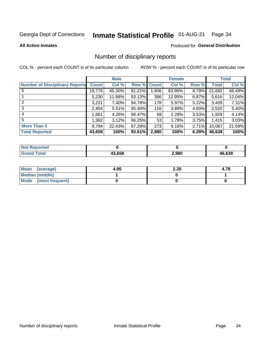## Inmate Statistical Profile 01-AUG-21 Page 34

#### **All Active Inmates**

#### Produced for General Distribution

### Number of disciplinary reports

COL % - percent each COUNT is of its particular column

|                                       |              | <b>Male</b> |             |       | <b>Female</b> |          |        | <b>Total</b> |
|---------------------------------------|--------------|-------------|-------------|-------|---------------|----------|--------|--------------|
| <b>Number of Disciplinary Reports</b> | <b>Count</b> | Col %       | Row % Count |       | Col %         | Row %    | Total  | Col %        |
| $\bf{0}$                              | 19,776       | 45.30%      | 91.21%      | 1,906 | 63.96%        | 8.79%    | 21,682 | 46.49%       |
|                                       | 5,230        | 11.98%      | 93.13%      | 386   | 12.95%        | $6.87\%$ | 5,616  | 12.04%       |
| $\mathbf{2}$                          | 3,231        | 7.40%       | 94.78%      | 178   | 5.97%         | 5.22%    | 3,409  | 7.31%        |
| 3                                     | 2,404        | 5.51%       | 95.40%      | 116   | 3.89%         | 4.60%    | 2,520  | 5.40%        |
|                                       | .861         | 4.26%       | 96.47%      | 68    | 2.28%         | 3.53%    | 1,929  | 4.14%        |
| 5                                     | .362         | 3.12%       | 96.25%      | 53    | 1.78%         | 3.75%    | 1,415  | 3.03%        |
| <b>More Than 5</b>                    | 9,794        | 22.43%      | 97.29%      | 273   | 9.16%         | 2.71%    | 10,067 | 21.59%       |
| <b>Total Reported</b>                 | 43,658       | 100%        | 93.61%      | 2,980 | 100%          | 6.39%    | 46,638 | 100%         |

| <b>Not Reported</b> |        |       |        |
|---------------------|--------|-------|--------|
| <b>Total</b>        | 13.658 | 2,980 | 46.638 |

| Mean (average)       | 4.95 | 2.20 | 4.78 |
|----------------------|------|------|------|
| Median (middle)      |      |      |      |
| Mode (most frequent) |      |      |      |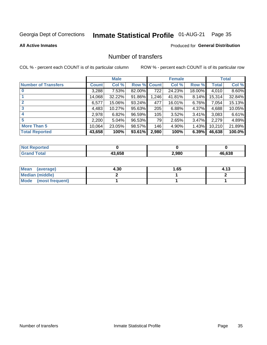## Inmate Statistical Profile 01-AUG-21 Page 35

#### **All Active Inmates**

#### Produced for General Distribution

### Number of transfers

COL % - percent each COUNT is of its particular column

|                            |         | <b>Male</b> |                    |       | <b>Female</b> |          |              | <b>Total</b> |
|----------------------------|---------|-------------|--------------------|-------|---------------|----------|--------------|--------------|
| <b>Number of Transfers</b> | Count l | Col %       | <b>Row % Count</b> |       | Col %         | Row %    | <b>Total</b> | Col %        |
|                            | 3,288   | 7.53%       | 82.00%             | 722   | 24.23%        | 18.00%   | 4,010        | 8.60%        |
|                            | 14,068  | 32.22%      | 91.86%             | 1,246 | 41.81%        | 8.14%    | 15,314       | 32.84%       |
| $\mathbf{2}$               | 6,577   | 15.06%      | 93.24%             | 477   | 16.01%        | 6.76%    | 7,054        | 15.13%       |
| 3                          | 4,483   | 10.27%      | 95.63%             | 205   | 6.88%         | 4.37%    | 4,688        | 10.05%       |
| 4                          | 2,978   | 6.82%       | 96.59%             | 105   | 3.52%         | $3.41\%$ | 3,083        | 6.61%        |
| 5                          | 2,200   | 5.04%       | 96.53%             | 79    | 2.65%         | 3.47%    | 2,279        | 4.89%        |
| <b>More Than 5</b>         | 10,064  | 23.05%      | 98.57%             | 146   | 4.90%         | 1.43%    | 10,210       | 21.89%       |
| <b>Total Reported</b>      | 43,658  | 100%        | 93.61%             | 2,980 | 100%          | 6.39%    | 46,638       | 100.0%       |

| <b>Not Reported</b> |        |       |        |
|---------------------|--------|-------|--------|
| Total               | 43.658 | 2,980 | 46.638 |

| Mean (average)       | 4.30 | . 65 | 4.13 |
|----------------------|------|------|------|
| Median (middle)      |      |      |      |
| Mode (most frequent) |      |      |      |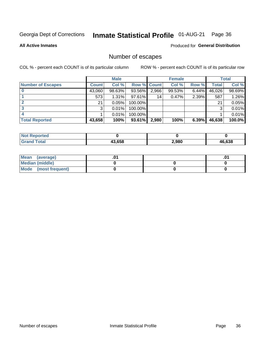## Inmate Statistical Profile 01-AUG-21 Page 36

**All Active Inmates** 

#### Produced for General Distribution

### Number of escapes

COL % - percent each COUNT is of its particular column

|                          |              | <b>Male</b> |             |       | <b>Female</b> |          |        | <b>Total</b> |
|--------------------------|--------------|-------------|-------------|-------|---------------|----------|--------|--------------|
| <b>Number of Escapes</b> | <b>Count</b> | Col %       | Row % Count |       | Col %         | Row %    | Total  | Col %        |
|                          | 43,060       | 98.63%      | 93.56%      | 2,966 | 99.53%        | $6.44\%$ | 46,026 | 98.69%       |
|                          | 573          | 1.31%       | $97.61\%$   | 14    | 0.47%         | 2.39%    | 587    | 1.26%        |
|                          | 21           | 0.05%       | 100.00%     |       |               |          | 21     | 0.05%        |
|                          | 3            | 0.01%       | $100.00\%$  |       |               |          | ົ      | 0.01%        |
|                          |              | 0.01%       | 100.00%     |       |               |          |        | 0.01%        |
| <b>Total Reported</b>    | 43,658       | 100%        | $93.61\%$   | 2,980 | 100%          | 6.39%    | 46,638 | 100.0%       |

| <b>Reported</b> |        |       |             |
|-----------------|--------|-------|-------------|
| Total           | 43.658 | 2,980 | 6.638<br>ДF |

| Mean (average)         |  | .0 |
|------------------------|--|----|
| <b>Median (middle)</b> |  |    |
| Mode (most frequent)   |  |    |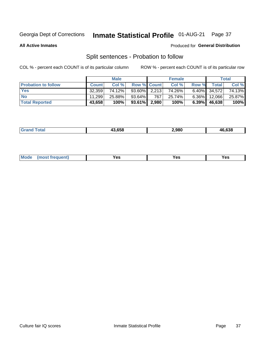#### **Inmate Statistical Profile 01-AUG-21** Page 37

**All Active Inmates** 

#### Produced for General Distribution

### Split sentences - Probation to follow

COL % - percent each COUNT is of its particular column

|                            |              | <b>Male</b> |                   |     | <b>Female</b> |          |                 | <b>Total</b> |
|----------------------------|--------------|-------------|-------------------|-----|---------------|----------|-----------------|--------------|
| <b>Probation to follow</b> | <b>Count</b> | Col%        | Row % Count       |     | Col %         | Row %    | <b>Total</b>    | Col %        |
| <b>Yes</b>                 | 32.359       | 74.12%      | $93.60\%$ 2,213   |     | 74.26%        |          | $6.40\%$ 34,572 | 74.13%       |
| <b>No</b>                  | 11.299       | 25.88%      | 93.64%            | 767 | 25.74%        | $6.36\%$ | 12,066          | 25.87%       |
| <b>Total Reported</b>      | 43,658       | 100%        | $93.61\%$   2,980 |     | 100%          | $6.39\%$ | 46,638          | 100%         |

|  | .638<br>.980<br>- - |
|--|---------------------|
|--|---------------------|

| $Moo$<br>requent<br>′es<br>Yes<br><b>YAC</b><br>. |
|---------------------------------------------------|
|---------------------------------------------------|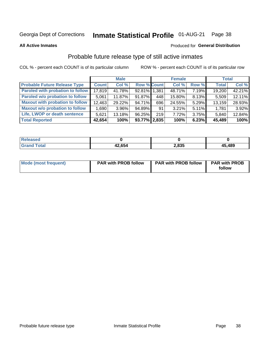# Inmate Statistical Profile 01-AUG-21 Page 38

**All Active Inmates** 

#### Produced for General Distribution

## Probable future release type of still active inmates

COL % - percent each COUNT is of its particular column

|                                         |              | <b>Male</b> |                    |     | <b>Female</b> |          | <b>Total</b> |        |
|-----------------------------------------|--------------|-------------|--------------------|-----|---------------|----------|--------------|--------|
| <b>Probable Future Release Type</b>     | <b>Count</b> | Col %       | <b>Row % Count</b> |     | Col %         | Row %    | <b>Total</b> | Col %  |
| <b>Paroled with probation to follow</b> | 17,819       | 41.78%      | 92.81% 1.381       |     | 48.71%        | 7.19%    | 19,200       | 42.21% |
| Paroled w/o probation to follow         | 5,061        | 11.87%      | 91.87%             | 448 | 15.80%        | 8.13%    | 5,509        | 12.11% |
| <b>Maxout with probation to follow</b>  | 12,463       | 29.22%      | 94.71%             | 696 | 24.55%        | 5.29%    | 13,159       | 28.93% |
| <b>Maxout w/o probation to follow</b>   | 1,690        | 3.96%       | 94.89%             | 91  | 3.21%         | $5.11\%$ | 1,781        | 3.92%  |
| Life, LWOP or death sentence            | 5,621        | 13.18%      | 96.25%             | 219 | 7.72%         | 3.75%    | 5,840        | 12.84% |
| <b>Total Reported</b>                   | 42,654       | 100%        | $93.77\%$   2,835  |     | 100%          | 6.23%    | 45,489       | 100%   |

| eleased      |        |                |        |
|--------------|--------|----------------|--------|
| <b>cotal</b> | 42,654 | n opr<br>–,ರ೨೨ | 45,489 |

| Mode (most frequent) | <b>PAR with PROB follow</b> | <b>PAR with PROB follow</b> | <b>PAR with PROB</b> |
|----------------------|-----------------------------|-----------------------------|----------------------|
|                      |                             |                             | follow               |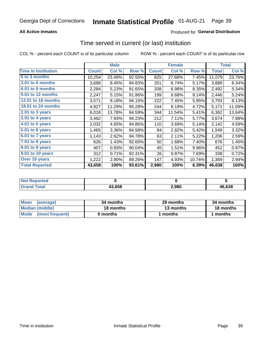### **All Active Inmates**

### Produced for General Distribution

# Time served in current (or last) institution

COL % - percent each COUNT is of its particular column

|                            |              | <b>Male</b> |        |              | <b>Female</b> |        |              | <b>Total</b> |
|----------------------------|--------------|-------------|--------|--------------|---------------|--------|--------------|--------------|
| <b>Time In Institution</b> | <b>Count</b> | Col %       | Row %  | <b>Count</b> | Col %         | Row %  | <b>Total</b> | Col %        |
| 0 to 3 months              | 10,254       | 23.49%      | 92.55% | 825          | 27.68%        | 7.45%  | 11,079       | 23.76%       |
| 3.01 to 6 months           | 3,688        | 8.45%       | 94.83% | 201          | 6.74%         | 5.17%  | 3,889        | 8.34%        |
| 6.01 to 9 months           | 2,284        | 5.23%       | 91.65% | 208          | 6.98%         | 8.35%  | 2,492        | 5.34%        |
| 9.01 to 12 months          | 2,247        | 5.15%       | 91.86% | 199          | 6.68%         | 8.14%  | 2,446        | 5.24%        |
| 12.01 to 18 months         | 3,571        | 8.18%       | 94.15% | 222          | 7.45%         | 5.85%  | 3,793        | 8.13%        |
| <b>18.01 to 24 months</b>  | 4,927        | 11.29%      | 95.28% | 244          | 8.19%         | 4.72%  | 5,171        | 11.09%       |
| $2.01$ to 3 years          | 6,018        | 13.78%      | 94.59% | 344          | 11.54%        | 5.41%  | 6,362        | 13.64%       |
| 3.01 to 4 years            | 3,462        | 7.93%       | 94.23% | 212          | 7.11%         | 5.77%  | 3,674        | 7.88%        |
| $4.01$ to 5 years          | 2,032        | 4.65%       | 94.86% | 110          | 3.69%         | 5.14%  | 2,142        | 4.59%        |
| 5.01 to 6 years            | 1,465        | 3.36%       | 94.58% | 84           | 2.82%         | 5.42%  | 1,549        | 3.32%        |
| $6.01$ to 7 years          | 1,143        | 2.62%       | 94.78% | 63           | 2.11%         | 5.22%  | 1,206        | 2.59%        |
| 7.01 to 8 years            | 626          | 1.43%       | 92.60% | 50           | 1.68%         | 7.40%  | 676          | 1.45%        |
| $8.01$ to 9 years          | 407          | 0.93%       | 90.04% | 45           | 1.51%         | 9.96%  | 452          | 0.97%        |
| 9.01 to 10 years           | 312          | 0.71%       | 92.31% | 26           | 0.87%         | 7.69%  | 338          | 0.72%        |
| Over 10 years              | 1,222        | 2.80%       | 89.26% | 147          | 4.93%         | 10.74% | 1,369        | 2.94%        |
| <b>Total Reported</b>      | 43,658       | 100%        | 93.61% | 2,980        | 100%          | 6.39%  | 46,638       | 100%         |

| <b>NOT</b><br>чес |        |       |        |
|-------------------|--------|-------|--------|
|                   | 43,658 | ∠,980 | 46.638 |

| <b>Mean</b><br>(average) | 34 months | 29 months | 34 months     |
|--------------------------|-----------|-----------|---------------|
| Median (middle)          | 18 months | 13 months | 18 months     |
| Mode (most frequent)     | 0 months  | l months  | <b>months</b> |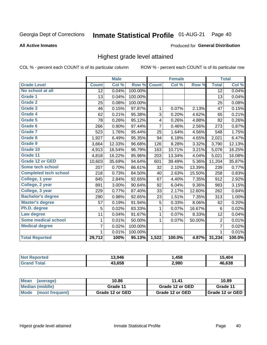#### Inmate Statistical Profile 01-AUG-21 Page 40

#### **All Active Inmates**

# Produced for General Distribution

### Highest grade level attained

COL % - percent each COUNT is of its particular column

|                              |                 | <b>Male</b> |         |                | <b>Female</b> |        |                 | <b>Total</b> |
|------------------------------|-----------------|-------------|---------|----------------|---------------|--------|-----------------|--------------|
| <b>Grade Level</b>           | <b>Count</b>    | Col %       | Row %   | <b>Count</b>   | Col %         | Row %  | <b>Total</b>    | Col %        |
| No school at all             | $\overline{12}$ | 0.04%       | 100.00% |                |               |        | $\overline{12}$ | 0.04%        |
| <b>Grade 1</b>               | 13              | 0.04%       | 100.00% |                |               |        | 13              | 0.04%        |
| <b>Grade 2</b>               | 25              | 0.08%       | 100.00% |                |               |        | 25              | 0.08%        |
| Grade 3                      | 46              | 0.15%       | 97.87%  | 1              | 0.07%         | 2.13%  | 47              | 0.15%        |
| Grade 4                      | 62              | 0.21%       | 95.38%  | 3              | 0.20%         | 4.62%  | 65              | 0.21%        |
| Grade 5                      | 78              | 0.26%       | 95.12%  | 4              | 0.26%         | 4.88%  | 82              | 0.26%        |
| Grade 6                      | 266             | 0.90%       | 97.44%  | $\overline{7}$ | 0.46%         | 2.56%  | 273             | 0.87%        |
| <b>Grade 7</b>               | 523             | 1.76%       | 95.44%  | 25             | 1.64%         | 4.56%  | 548             | 1.75%        |
| Grade 8                      | 1,927           | 6.49%       | 95.35%  | 94             | 6.18%         | 4.65%  | 2,021           | 6.47%        |
| Grade 9                      | 3,664           | 12.33%      | 96.68%  | 126            | 8.28%         | 3.32%  | 3,790           | 12.13%       |
| Grade 10                     | 4,913           | 16.54%      | 96.79%  | 163            | 10.71%        | 3.21%  | 5,076           | 16.25%       |
| Grade 11                     | 4,818           | 16.22%      | 95.96%  | 203            | 13.34%        | 4.04%  | 5,021           | 16.08%       |
| <b>Grade 12 or GED</b>       | 10,603          | 35.69%      | 94.64%  | 601            | 39.49%        | 5.36%  | 11,204          | 35.87%       |
| <b>Some tech school</b>      | 207             | 0.70%       | 86.61%  | 32             | 2.10%         | 13.39% | 239             | 0.77%        |
| <b>Completed tech school</b> | 218             | 0.73%       | 84.50%  | 40             | 2.63%         | 15.50% | 258             | 0.83%        |
| College, 1 year              | 845             | 2.84%       | 92.65%  | 67             | 4.40%         | 7.35%  | 912             | 2.92%        |
| College, 2 year              | 891             | 3.00%       | 90.64%  | 92             | 6.04%         | 9.36%  | 983             | 3.15%        |
| College, 3 year              | 229             | 0.77%       | 87.40%  | 33             | 2.17%         | 12.60% | 262             | 0.84%        |
| <b>Bachelor's degree</b>     | 290             | 0.98%       | 92.65%  | 23             | 1.51%         | 7.35%  | 313             | 1.00%        |
| <b>Master's degree</b>       | 57              | 0.19%       | 91.94%  | 5              | 0.33%         | 8.06%  | 62              | 0.20%        |
| Ph.D. degree                 | 5               | 0.02%       | 83.33%  | 1              | 0.07%         | 16.67% | 6               | 0.02%        |
| Law degree                   | 11              | 0.04%       | 91.67%  | 1              | 0.07%         | 8.33%  | 12              | 0.04%        |
| <b>Some medical school</b>   | 1               | 0.01%       | 50.00%  | 1              | 0.07%         | 50.00% | 2               | 0.01%        |
| <b>Medical degree</b>        | 7               | 0.02%       | 100.00% |                |               |        | $\overline{7}$  | 0.02%        |
|                              | 1               | 0.01%       | 100.00% |                |               |        | 1               | 0.01%        |
| <b>Total Reported</b>        | 29,712          | 100%        | 95.13%  | 1,522          | 100.0%        | 4.87%  | 31,234          | 100.0%       |

| 13.946 | .458  | .101   |
|--------|-------|--------|
| 13.658 | 2,980 | 46.638 |

| <b>Mean</b><br>(average) | 10.86           | 11.41           | 10.89           |
|--------------------------|-----------------|-----------------|-----------------|
| Median (middle)          | Grade 11        | Grade 12 or GED | Grade 11        |
| Mode<br>(most frequent)  | Grade 12 or GED | Grade 12 or GED | Grade 12 or GED |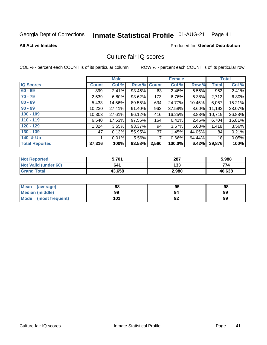# Inmate Statistical Profile 01-AUG-21 Page 41

**All Active Inmates** 

### **Produced for General Distribution**

### Culture fair IQ scores

COL % - percent each COUNT is of its particular column

|                       |              | <b>Male</b> |             |       | <b>Female</b> |        |              | <b>Total</b> |
|-----------------------|--------------|-------------|-------------|-------|---------------|--------|--------------|--------------|
| <b>IQ Scores</b>      | <b>Count</b> | Col %       | Row % Count |       | Col %         | Row %  | <b>Total</b> | Col %        |
| $60 - 69$             | 899          | 2.41%       | 93.45%      | 63    | 2.46%         | 6.55%  | 962          | 2.41%        |
| $70 - 79$             | 2,539        | 6.80%       | 93.62%      | 173   | 6.76%         | 6.38%  | 2,712        | 6.80%        |
| $80 - 89$             | 5,433        | 14.56%      | 89.55%      | 634   | 24.77%        | 10.45% | 6,067        | 15.21%       |
| $90 - 99$             | 10,230       | 27.41%      | 91.40%      | 962   | 37.58%        | 8.60%  | 11,192       | 28.07%       |
| $100 - 109$           | 10,303       | 27.61%      | 96.12%      | 416   | 16.25%        | 3.88%  | 10,719       | 26.88%       |
| $110 - 119$           | 6,540        | 17.53%      | 97.55%      | 164   | 6.41%         | 2.45%  | 6,704        | 16.81%       |
| $120 - 129$           | 1,324        | 3.55%       | 93.37%      | 94    | 3.67%         | 6.63%  | 1,418        | 3.56%        |
| $130 - 139$           | 47           | 0.13%       | 55.95%      | 37    | 1.45%         | 44.05% | 84           | 0.21%        |
| 140 & Up              |              | 0.01%       | 5.56%       | 17    | 0.66%         | 94.44% | 18           | 0.05%        |
| <b>Total Reported</b> | 37,316       | 100%        | 93.58%      | 2,560 | 100.0%        | 6.42%  | 39,876       | 100%         |

| <b>Not Reported</b>         | 5,701  | 287   | 5,988  |
|-----------------------------|--------|-------|--------|
| <b>Not Valid (under 60)</b> | 641    | 133   | 774    |
| <b>Grand Total</b>          | 43,658 | 2,980 | 46,638 |

| <b>Mean</b><br>(average)       | 98  | 95 | 98 |
|--------------------------------|-----|----|----|
| Median (middle)                | 99  | 94 | 99 |
| <b>Mode</b><br>(most frequent) | 101 | 92 | 99 |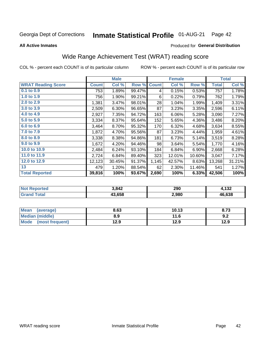#### **Inmate Statistical Profile 01-AUG-21** Page 42

**All Active Inmates** 

#### Produced for General Distribution

## Wide Range Achievement Test (WRAT) reading score

COL % - percent each COUNT is of its particular column

|                           |              | <b>Male</b> |        |              | <b>Female</b> |        |              | <b>Total</b> |
|---------------------------|--------------|-------------|--------|--------------|---------------|--------|--------------|--------------|
| <b>WRAT Reading Score</b> | <b>Count</b> | Col %       | Row %  | <b>Count</b> | Col %         | Row %  | <b>Total</b> | Col %        |
| $0.1$ to $0.9$            | 753          | 1.89%       | 99.47% | 4            | 0.15%         | 0.53%  | 757          | 1.78%        |
| 1.0 to 1.9                | 756          | 1.90%       | 99.21% | 6            | 0.22%         | 0.79%  | 762          | 1.79%        |
| 2.0 to 2.9                | 1,381        | 3.47%       | 98.01% | 28           | 1.04%         | 1.99%  | 1,409        | 3.31%        |
| 3.0 to 3.9                | 2,509        | 6.30%       | 96.65% | 87           | 3.23%         | 3.35%  | 2,596        | 6.11%        |
| 4.0 to 4.9                | 2,927        | 7.35%       | 94.72% | 163          | 6.06%         | 5.28%  | 3,090        | 7.27%        |
| 5.0 to 5.9                | 3,334        | 8.37%       | 95.64% | 152          | 5.65%         | 4.36%  | 3,486        | 8.20%        |
| 6.0 to 6.9                | 3,464        | 8.70%       | 95.32% | 170          | 6.32%         | 4.68%  | 3,634        | 8.55%        |
| 7.0 to 7.9                | 1,872        | 4.70%       | 95.56% | 87           | 3.23%         | 4.44%  | 1,959        | 4.61%        |
| 8.0 to 8.9                | 3,338        | 8.38%       | 94.86% | 181          | 6.73%         | 5.14%  | 3,519        | 8.28%        |
| 9.0 to 9.9                | 1,672        | 4.20%       | 94.46% | 98           | 3.64%         | 5.54%  | 1,770        | 4.16%        |
| 10.0 to 10.9              | 2,484        | 6.24%       | 93.10% | 184          | 6.84%         | 6.90%  | 2,668        | 6.28%        |
| 11.0 to 11.9              | 2,724        | 6.84%       | 89.40% | 323          | 12.01%        | 10.60% | 3,047        | 7.17%        |
| 12.0 to 12.9              | 12,123       | 30.45%      | 91.37% | 1,145        | 42.57%        | 8.63%  | 13,268       | 31.21%       |
| 13                        | 479          | 1.20%       | 88.54% | 62           | 2.30%         | 11.46% | 541          | 1.27%        |
| <b>Total Reported</b>     | 39,816       | 100%        | 93.67% | 2,690        | 100%          | 6.33%  | 42,506       | 100%         |

| rted<br>NOT | 3,842  | 290   | - 122<br>19Z |
|-------------|--------|-------|--------------|
| .Gr         | 13.658 | 2,980 | 46.638       |

| Mean<br>(average)    | 8.63 | 10.13 | 8.73 |
|----------------------|------|-------|------|
| Median (middle)      | 8.9  | 11.6  | 9.2  |
| Mode (most frequent) | 12.9 | 12.9  | 12.9 |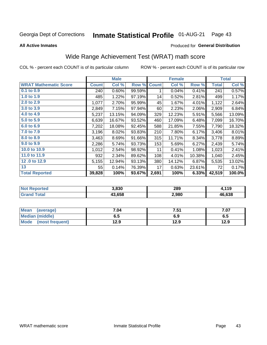#### **Inmate Statistical Profile 01-AUG-21** Page 43

**All Active Inmates** 

#### Produced for General Distribution

## Wide Range Achievement Test (WRAT) math score

COL % - percent each COUNT is of its particular column

|                              |              | <b>Male</b> |        |              | <b>Female</b> |        |              | <b>Total</b> |
|------------------------------|--------------|-------------|--------|--------------|---------------|--------|--------------|--------------|
| <b>WRAT Mathematic Score</b> | <b>Count</b> | Col %       | Row %  | <b>Count</b> | Col %         | Row %  | <b>Total</b> | Col %        |
| 0.1 to 0.9                   | 240          | 0.60%       | 99.59% | 1            | 0.04%         | 0.41%  | 241          | 0.57%        |
| 1.0 to 1.9                   | 485          | 1.22%       | 97.19% | 14           | 0.52%         | 2.81%  | 499          | 1.17%        |
| 2.0 to 2.9                   | 1,077        | 2.70%       | 95.99% | 45           | 1.67%         | 4.01%  | 1,122        | 2.64%        |
| 3.0 to 3.9                   | 2,849        | 7.15%       | 97.94% | 60           | 2.23%         | 2.06%  | 2,909        | 6.84%        |
| 4.0 to 4.9                   | 5,237        | 13.15%      | 94.09% | 329          | 12.23%        | 5.91%  | 5,566        | 13.09%       |
| 5.0 to 5.9                   | 6,639        | 16.67%      | 93.52% | 460          | 17.09%        | 6.48%  | 7,099        | 16.70%       |
| 6.0 to 6.9                   | 7,202        | 18.08%      | 92.45% | 588          | 21.85%        | 7.55%  | 7,790        | 18.32%       |
| 7.0 to 7.9                   | 3,196        | 8.02%       | 93.83% | 210          | 7.80%         | 6.17%  | 3,406        | 8.01%        |
| 8.0 to 8.9                   | 3,463        | 8.69%       | 91.66% | 315          | 11.71%        | 8.34%  | 3,778        | 8.89%        |
| 9.0 to 9.9                   | 2,286        | 5.74%       | 93.73% | 153          | 5.69%         | 6.27%  | 2,439        | 5.74%        |
| 10.0 to 10.9                 | 1,012        | 2.54%       | 98.92% | 11           | 0.41%         | 1.08%  | 1,023        | 2.41%        |
| 11.0 to 11.9                 | 932          | 2.34%       | 89.62% | 108          | 4.01%         | 10.38% | 1,040        | 2.45%        |
| 12.0 to 12.9                 | 5,155        | 12.94%      | 93.13% | 380          | 14.12%        | 6.87%  | 5,535        | 13.02%       |
| 13                           | 55           | 0.14%       | 76.39% | 17           | 0.63%         | 23.61% | 72           | 0.17%        |
| <b>Total Reported</b>        | 39,828       | 100%        | 93.67% | 2,691        | 100%          | 6.33%  | 42,519       | 100.0%       |

| <b>Not</b><br><b>Reported</b> | 3,830  | 289   | 110<br>. |
|-------------------------------|--------|-------|----------|
| `otal                         | 43.658 | 2,980 | 46,638   |

| <b>Mean</b><br>(average) | 7.04 | 7.51 | 7.07 |
|--------------------------|------|------|------|
| Median (middle)          | כ.ס  | 6.9  | ხ.მ  |
| Mode<br>(most frequent)  | 12.9 | 12.9 | 12.9 |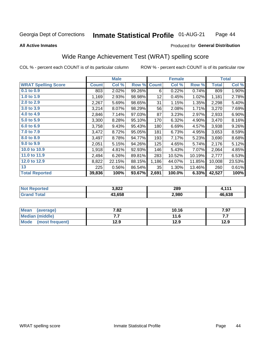#### **Inmate Statistical Profile 01-AUG-21** Page 44

#### **All Active Inmates**

#### Produced for General Distribution

## Wide Range Achievement Test (WRAT) spelling score

COL % - percent each COUNT is of its particular column

|                            |              | <b>Male</b> |        |              | <b>Female</b> |        |              | <b>Total</b> |
|----------------------------|--------------|-------------|--------|--------------|---------------|--------|--------------|--------------|
| <b>WRAT Spelling Score</b> | <b>Count</b> | Col %       | Row %  | <b>Count</b> | Col %         | Row %  | <b>Total</b> | Col %        |
| $0.1$ to $0.9$             | 803          | 2.02%       | 99.26% | 6            | 0.22%         | 0.74%  | 809          | 1.90%        |
| 1.0 to 1.9                 | 1,169        | 2.93%       | 98.98% | 12           | 0.45%         | 1.02%  | 1,181        | 2.78%        |
| 2.0 to 2.9                 | 2,267        | 5.69%       | 98.65% | 31           | 1.15%         | 1.35%  | 2,298        | 5.40%        |
| 3.0 to 3.9                 | 3,214        | 8.07%       | 98.29% | 56           | 2.08%         | 1.71%  | 3,270        | 7.69%        |
| 4.0 to 4.9                 | 2,846        | 7.14%       | 97.03% | 87           | 3.23%         | 2.97%  | 2,933        | 6.90%        |
| 5.0 to 5.9                 | 3,300        | 8.28%       | 95.10% | 170          | 6.32%         | 4.90%  | 3,470        | 8.16%        |
| 6.0 to 6.9                 | 3,758        | 9.43%       | 95.43% | 180          | 6.69%         | 4.57%  | 3,938        | 9.26%        |
| 7.0 to 7.9                 | 3,472        | 8.72%       | 95.05% | 181          | 6.73%         | 4.95%  | 3,653        | 8.59%        |
| 8.0 to 8.9                 | 3,497        | 8.78%       | 94.77% | 193          | 7.17%         | 5.23%  | 3,690        | 8.68%        |
| 9.0 to 9.9                 | 2,051        | 5.15%       | 94.26% | 125          | 4.65%         | 5.74%  | 2,176        | 5.12%        |
| 10.0 to 10.9               | 1,918        | 4.81%       | 92.93% | 146          | 5.43%         | 7.07%  | 2,064        | 4.85%        |
| 11.0 to 11.9               | 2,494        | 6.26%       | 89.81% | 283          | 10.52%        | 10.19% | 2,777        | 6.53%        |
| 12.0 to 12.9               | 8,822        | 22.15%      | 88.15% | 1,186        | 44.07%        | 11.85% | 10,008       | 23.53%       |
| 13                         | 225          | 0.56%       | 86.54% | 35           | 1.30%         | 13.46% | 260          | 0.61%        |
| <b>Total Reported</b>      | 39,836       | 100%        | 93.67% | 2,691        | 100.0%        | 6.33%  | 42,527       | 100%         |

| <b>rted</b><br>NO | s oss<br>J.OZZ | 289   | 444    |
|-------------------|----------------|-------|--------|
| $\sim$ 100        | 43.658         | 2,980 | 46,638 |

| <b>Mean</b><br>(average)       | 7.82 | 10.16 | 7.97 |
|--------------------------------|------|-------|------|
| Median (middle)                | .    | 11.6  | .    |
| <b>Mode</b><br>(most frequent) | 12.9 | 12.9  | 12.9 |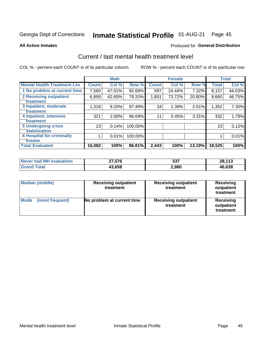# Inmate Statistical Profile 01-AUG-21 Page 45

#### **All Active Inmates**

### **Produced for General Distribution**

### Current / last mental health treatment level

COL % - percent each COUNT is of its particular column

|                                    |              | <b>Male</b> |         |              | <b>Female</b> |        |              | <b>Total</b> |
|------------------------------------|--------------|-------------|---------|--------------|---------------|--------|--------------|--------------|
| <b>Mental Health Treatment Lev</b> | <b>Count</b> | Col %       | Row %   | <b>Count</b> | Col%          | Row %  | <b>Total</b> | Col %        |
| 1 No problem at current time       | 7,560        | 47.01%      | 92.68%  | 597          | 24.44%        | 7.32%  | 8,157        | 44.03%       |
| 2 Receiving outpatient             | 6,859        | 42.65%      | 79.20%  | 1,801        | 73.72%        | 20.80% | 8,660        | 46.75%       |
| <b>Treatment</b>                   |              |             |         |              |               |        |              |              |
| 3 Inpatient, moderate              | 1,318        | 8.20%       | 97.49%  | 34           | 1.39%         | 2.51%  | 1,352        | 7.30%        |
| <b>Treatment</b>                   |              |             |         |              |               |        |              |              |
| 4 Inpatient, intensive             | 321          | 2.00%       | 96.69%  | 11           | 0.45%         | 3.31%  | 332          | 1.79%        |
| <b>Treatment</b>                   |              |             |         |              |               |        |              |              |
| <b>5 Undergoing crisis</b>         | 23           | 0.14%       | 100.00% |              |               |        | 23           | 0.12%        |
| <b>stabilization</b>               |              |             |         |              |               |        |              |              |
| <b>6 Hospital for criminally</b>   |              | 0.01%       | 100.00% |              |               |        |              | 0.01%        |
| <b>Tinsane</b>                     |              |             |         |              |               |        |              |              |
| <b>Total Evaluated</b>             | 16,082       | 100%        | 86.81%  | 2,443        | 100%          | 13.19% | 18,525       | 100%         |

| Never had MH evaluation | 27,576 | 537   | 28,113 |
|-------------------------|--------|-------|--------|
| <b>Grand Total</b>      | 43,658 | 2,980 | 46,638 |

| <b>Median (middle)</b>         | <b>Receiving outpatient</b><br>treatment | <b>Receiving outpatient</b><br>treatment | <b>Receiving</b><br>outpatient<br>treatment |  |
|--------------------------------|------------------------------------------|------------------------------------------|---------------------------------------------|--|
| <b>Mode</b><br>(most frequent) | No problem at current time               | <b>Receiving outpatient</b><br>treatment | Receiving<br>outpatient<br>treatment        |  |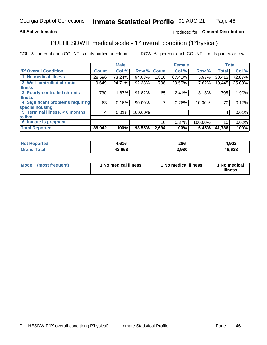### **All Active Inmates**

### Produced for General Distribution

## PULHESDWIT medical scale - 'P' overall condition ('P'hysical)

COL % - percent each COUNT is of its particular column

|                                  |              | <b>Male</b> |         |              | <b>Female</b> |         |                 | <b>Total</b> |
|----------------------------------|--------------|-------------|---------|--------------|---------------|---------|-----------------|--------------|
| 'P' Overall Condition            | <b>Count</b> | Col %       | Row %   | <b>Count</b> | Col %         | Row %   | <b>Total</b>    | Col %        |
| 1 No medical illness             | 28,596       | 73.24%      | 94.03%  | 1,816        | 67.41%        | 5.97%   | 30,412          | 72.87%       |
| 2 Well-controlled chronic        | 9,649        | 24.71%      | 92.38%  | 796          | 29.55%        | 7.62%   | 10,445          | 25.03%       |
| <b>illness</b>                   |              |             |         |              |               |         |                 |              |
| 3 Poorly-controlled chronic      | 730          | 1.87%       | 91.82%  | 65           | 2.41%         | 8.18%   | 795             | 1.90%        |
| <b>illness</b>                   |              |             |         |              |               |         |                 |              |
| 4 Significant problems requiring | 63           | 0.16%       | 90.00%  |              | 0.26%         | 10.00%  | 70              | 0.17%        |
| special housing                  |              |             |         |              |               |         |                 |              |
| 5 Terminal illness, < 6 months   | 4            | 0.01%       | 100.00% |              |               |         | 4               | 0.01%        |
| to live                          |              |             |         |              |               |         |                 |              |
| 6 Inmate is pregnant             |              |             |         | 10           | 0.37%         | 100.00% | 10 <sup>1</sup> | 0.02%        |
| <b>Total Reported</b>            | 39,042       | 100%        | 93.55%  | 2,694        | 100%          | 6.45%   | 41,736          | 100%         |

| тео | C1C<br>.      | 286   | nna<br>∸שפ |
|-----|---------------|-------|------------|
|     | <b>19 CEO</b> | 2,980 | 46638      |

| Mode | (most frequent) | 1 No medical illness | 1 No medical illness | 1 No medical<br>illness |
|------|-----------------|----------------------|----------------------|-------------------------|
|------|-----------------|----------------------|----------------------|-------------------------|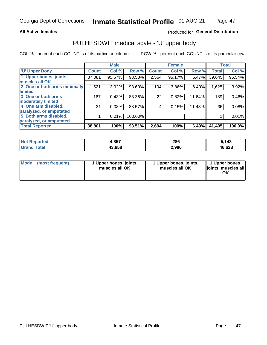#### **All Active Inmates**

### Produced for General Distribution

# PULHESDWIT medical scale - 'U' upper body

COL % - percent each COUNT is of its particular column

|                              |              | <b>Male</b> |         |              | <b>Female</b> |        |              | <b>Total</b> |
|------------------------------|--------------|-------------|---------|--------------|---------------|--------|--------------|--------------|
| <b>U' Upper Body</b>         | <b>Count</b> | Col %       | Row %   | <b>Count</b> | Col %         | Row %  | <b>Total</b> | Col %        |
| 1 Upper bones, joints,       | 37,081       | 95.57%      | 93.53%  | 2,564        | 95.17%        | 6.47%  | 39,645       | 95.54%       |
| muscles all OK               |              |             |         |              |               |        |              |              |
| 2 One or both arms minimally | 1,521        | 3.92%       | 93.60%  | 104          | 3.86%         | 6.40%  | 1,625        | 3.92%        |
| limited                      |              |             |         |              |               |        |              |              |
| 3 One or both arms           | 167          | 0.43%       | 88.36%  | 22           | 0.82%         | 11.64% | 189          | 0.46%        |
| <b>moderately limited</b>    |              |             |         |              |               |        |              |              |
| 4 One arm disabled,          | 31           | 0.08%       | 88.57%  | 4            | 0.15%         | 11.43% | 35           | 0.08%        |
| paralyzed, or amputated      |              |             |         |              |               |        |              |              |
| 5 Both arms disabled,        |              | 0.01%       | 100.00% |              |               |        |              | 0.01%        |
| paralyzed, or amputated      |              |             |         |              |               |        |              |              |
| <b>Total Reported</b>        | 38,801       | 100%        | 93.51%  | 2,694        | 100%          | 6.49%  | 41,495       | 100.0%       |

| <b>Not Reported</b> | 957<br>ו טר | 286   | 143.   |
|---------------------|-------------|-------|--------|
| <b>Grand Total</b>  | 43,658      | 2,980 | 46,638 |

| Mode | (most frequent) | 1 Upper bones, joints,<br>muscles all OK | 1 Upper bones, joints,<br>muscles all OK | 1 Upper bones,<br>joints, muscles all<br>ΟK |
|------|-----------------|------------------------------------------|------------------------------------------|---------------------------------------------|
|------|-----------------|------------------------------------------|------------------------------------------|---------------------------------------------|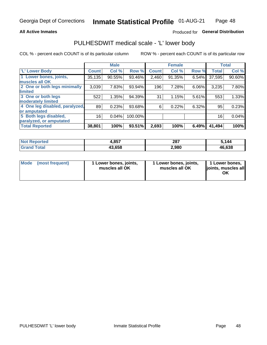#### **All Active Inmates**

### Produced for General Distribution

### PULHESDWIT medical scale - 'L' lower body

COL % - percent each COUNT is of its particular column

|                                |              | <b>Male</b> |         |              | <b>Female</b> |       |              | <b>Total</b> |
|--------------------------------|--------------|-------------|---------|--------------|---------------|-------|--------------|--------------|
| 'L' Lower Body                 | <b>Count</b> | Col %       | Row %   | <b>Count</b> | Col %         | Row % | <b>Total</b> | Col %        |
| 1 Lower bones, joints,         | 35,135       | 90.55%      | 93.46%  | 2,460        | 91.35%        | 6.54% | 37,595       | 90.60%       |
| muscles all OK                 |              |             |         |              |               |       |              |              |
| 2 One or both legs minimally   | 3,039        | 7.83%       | 93.94%  | 196          | 7.28%         | 6.06% | 3,235        | 7.80%        |
| limited                        |              |             |         |              |               |       |              |              |
| 3 One or both legs             | 522          | 1.35%       | 94.39%  | 31           | 1.15%         | 5.61% | 553          | 1.33%        |
| moderately limited             |              |             |         |              |               |       |              |              |
| 4 One leg disabled, paralyzed, | 89           | 0.23%       | 93.68%  | 6            | 0.22%         | 6.32% | 95           | 0.23%        |
| or amputated                   |              |             |         |              |               |       |              |              |
| 5 Both legs disabled,          | 16           | 0.04%       | 100.00% |              |               |       | 16           | 0.04%        |
| paralyzed, or amputated        |              |             |         |              |               |       |              |              |
| <b>Total Reported</b>          | 38,801       | 100%        | 93.51%  | 2,693        | 100%          | 6.49% | 41,494       | 100%         |

| <b>Not Reported</b>  | 957<br>+,ου | 287   | $\cdot$ ,144 |
|----------------------|-------------|-------|--------------|
| $\tau$ otal<br>Grand | 43,658      | 2,980 | 46.638       |

| Mode | (most frequent) | 1 Lower bones, joints,<br>muscles all OK | 1 Lower bones, joints,<br>muscles all OK | 1 Lower bones,<br>joints, muscles all<br>ΟK |
|------|-----------------|------------------------------------------|------------------------------------------|---------------------------------------------|
|------|-----------------|------------------------------------------|------------------------------------------|---------------------------------------------|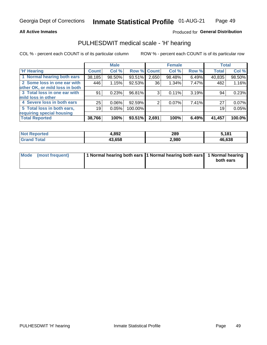#### **All Active Inmates**

### Produced for General Distribution

### PULHESDWIT medical scale - 'H' hearing

COL % - percent each COUNT is of its particular column

|                                |              | <b>Male</b> |         |             | <b>Female</b> |       | <b>Total</b> |        |
|--------------------------------|--------------|-------------|---------|-------------|---------------|-------|--------------|--------|
| <b>'H' Hearing</b>             | <b>Count</b> | Col %       |         | Row % Count | Col %         | Row % | <b>Total</b> | Col %  |
| 1 Normal hearing both ears     | 38,185       | 98.50%      | 93.51%  | 2,650       | 98.48%        | 6.49% | 40,835       | 98.50% |
| 2 Some loss in one ear with    | 446          | 1.15%       | 92.53%  | 36          | 1.34%         | 7.47% | 482          | 1.16%  |
| other OK, or mild loss in both |              |             |         |             |               |       |              |        |
| 3 Total loss in one ear with   | 91           | 0.23%       | 96.81%  | 3           | 0.11%         | 3.19% | 94           | 0.23%  |
| mild loss in other             |              |             |         |             |               |       |              |        |
| 4 Severe loss in both ears     | 25           | 0.06%       | 92.59%  | 2           | $0.07\%$      | 7.41% | 27           | 0.07%  |
| 5 Total loss in both ears,     | 19           | 0.05%       | 100.00% |             |               |       | 19           | 0.05%  |
| requiring special housing      |              |             |         |             |               |       |              |        |
| <b>Total Reported</b>          | 38,766       | 100%        | 93.51%  | 2,691       | 100%          | 6.49% | 41,457       | 100.0% |

| <b>Not Reno</b><br>ాorted | l.892  | 289   | 5.181  |
|---------------------------|--------|-------|--------|
| Total                     | 43.658 | 2,980 | 46,638 |

| Mode (most frequent) | 1 Normal hearing both ears 1 Normal hearing both ears 1 Normal hearing | both ears |
|----------------------|------------------------------------------------------------------------|-----------|
|                      |                                                                        |           |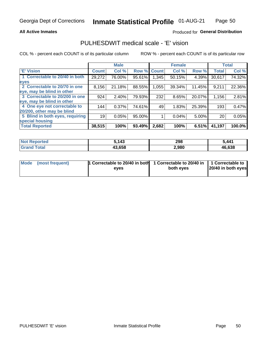#### **All Active Inmates**

### Produced for General Distribution

### PULHESDWIT medical scale - 'E' vision

COL % - percent each COUNT is of its particular column

|                                 |              | <b>Male</b> |        |              | <b>Female</b> |        |              | <b>Total</b> |
|---------------------------------|--------------|-------------|--------|--------------|---------------|--------|--------------|--------------|
| 'E' Vision                      | <b>Count</b> | Col %       | Row %  | <b>Count</b> | Col %         | Row %  | <b>Total</b> | Col %        |
| 1 Correctable to 20/40 in both  | 29,272       | 76.00%      | 95.61% | .345         | 50.15%        | 4.39%  | 30,617       | 74.32%       |
| eyes                            |              |             |        |              |               |        |              |              |
| 2 Correctable to 20/70 in one   | 8,156        | 21.18%      | 88.55% | 1,055        | 39.34%        | 11.45% | 9,211        | 22.36%       |
| eye, may be blind in other      |              |             |        |              |               |        |              |              |
| 3 Correctable to 20/200 in one  | 924          | 2.40%       | 79.93% | 232          | 8.65%         | 20.07% | 1,156        | 2.81%        |
| eye, may be blind in other      |              |             |        |              |               |        |              |              |
| 4 One eye not correctable to    | 144          | 0.37%       | 74.61% | 49           | 1.83%         | 25.39% | 193          | 0.47%        |
| 20/200, other may be blind      |              |             |        |              |               |        |              |              |
| 5 Blind in both eyes, requiring | 19           | 0.05%       | 95.00% |              | 0.04%         | 5.00%  | 20           | 0.05%        |
| special housing                 |              |             |        |              |               |        |              |              |
| <b>Total Reported</b>           | 38,515       | 100%        | 93.49% | 2,682        | 100%          | 6.51%  | 41,197       | 100.0%       |

| <b>Not Reported</b> | .143   | 298   | 5 AA1  |
|---------------------|--------|-------|--------|
| Гоtа                | 43,658 | 2,980 | 46,638 |

| Mode (most frequent) | 1 Correctable to 20/40 in both<br>eves | 1 Correctable to 20/40 in   1 Correctable to  <br>both eves | 20/40 in both eyes |
|----------------------|----------------------------------------|-------------------------------------------------------------|--------------------|
|                      |                                        |                                                             |                    |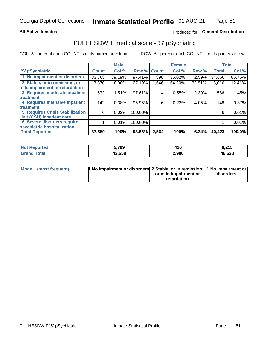#### **All Active Inmates**

### Produced for General Distribution

## PULHESDWIT medical scale - 'S' pSychiatric

COL % - percent each COUNT is of its particular column

|                                        |              | <b>Male</b> |         |              | <b>Female</b> |        |              | <b>Total</b> |
|----------------------------------------|--------------|-------------|---------|--------------|---------------|--------|--------------|--------------|
| 'S' pSychiatric                        | <b>Count</b> | Col %       | Row %   | <b>Count</b> | Col %         | Row %  | <b>Total</b> | Col %        |
| 1 No impairment or disorders           | 33,768       | 89.19%      | 97.41%  | 898          | 35.02%        | 2.59%  | 34,666       | 85.76%       |
| 2 Stable, or in remission, or          | 3,370        | $8.90\%$    | 67.19%  | 1,646        | 64.20%        | 32.81% | 5,016        | 12.41%       |
| mild impairment or retardation         |              |             |         |              |               |        |              |              |
| 3 Requires moderate inpatient          | 572          | 1.51%       | 97.61%  | 14           | 0.55%         | 2.39%  | 586          | 1.45%        |
| treatment                              |              |             |         |              |               |        |              |              |
| 4 Requires intensive inpatient         | 142          | 0.38%       | 95.95%  | 6            | 0.23%         | 4.05%  | 148          | 0.37%        |
| treatment                              |              |             |         |              |               |        |              |              |
| <b>5 Requires Crisis Stabilization</b> | 6            | 0.02%       | 100.00% |              |               |        | 6            | 0.01%        |
| Unit (CSU) inpatient care              |              |             |         |              |               |        |              |              |
| <b>6 Severe disorders require</b>      |              | 0.01%       | 100.00% |              |               |        |              | 0.01%        |
| psychiatric hospitalization            |              |             |         |              |               |        |              |              |
| <b>Total Reported</b>                  | 37,859       | 100%        | 93.66%  | 2,564        | 100%          | 6.34%  | 40,423       | 100.0%       |

| <b>Not Reported</b>  | 799    | 416   | 6,215  |
|----------------------|--------|-------|--------|
| <b>Total</b><br>Grar | 43.658 | 2,980 | 46,638 |

| Mode | (most frequent) | <b>1 No impairment or disorders</b> 2 Stable, or in remission, 1 No impairment or |                       |           |
|------|-----------------|-----------------------------------------------------------------------------------|-----------------------|-----------|
|      |                 |                                                                                   | or mild impairment or | disorders |
|      |                 |                                                                                   | retardation           |           |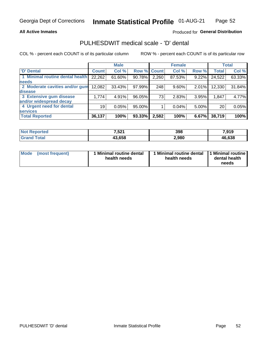### **All Active Inmates**

### Produced for General Distribution

## PULHESDWIT medical scale - 'D' dental

COL % - percent each COUNT is of its particular column

|                                 |              | <b>Male</b> |        |              | <b>Female</b> |          |              | <b>Total</b> |
|---------------------------------|--------------|-------------|--------|--------------|---------------|----------|--------------|--------------|
| <b>D'</b> Dental                | <b>Count</b> | Col %       | Row %  | <b>Count</b> | Col %         | Row %    | <b>Total</b> | Col %        |
| 1 Minimal routine dental health | 22,262       | 61.60%      | 90.78% | 2,260        | 87.53%        | $9.22\%$ | 24,522       | 63.33%       |
| <b>needs</b>                    |              |             |        |              |               |          |              |              |
| 2 Moderate cavities and/or gum  | 12,082       | 33.43%      | 97.99% | 248          | 9.60%         | 2.01%    | 12,330       | 31.84%       |
| disease                         |              |             |        |              |               |          |              |              |
| 3 Extensive gum disease         | 1,774        | 4.91%       | 96.05% | 73           | 2.83%         | 3.95%    | 1,847        | 4.77%        |
| and/or widespread decay         |              |             |        |              |               |          |              |              |
| 4 Urgent need for dental        | 19           | 0.05%       | 95.00% |              | 0.04%         | 5.00%    | 20           | 0.05%        |
| <b>services</b>                 |              |             |        |              |               |          |              |              |
| <b>Total Reported</b>           | 36,137       | 100%        | 93.33% | 2,582        | 100%          | 6.67%    | 38,719       | 100%         |

| Reported<br>NO. | E <sub>04</sub><br>ו 22, | 398   | 7 01 Q<br>, , J<br>. . |
|-----------------|--------------------------|-------|------------------------|
| `otal           | 19 C.E.O<br>סכס.כו       | 2,980 | 46,638                 |

| <b>Mode</b> | (most frequent) | <b>Minimal routine dental</b><br>health needs | 1 Minimal routine dental   1 Minimal routine  <br>health needs | dental health<br>needs |
|-------------|-----------------|-----------------------------------------------|----------------------------------------------------------------|------------------------|
|-------------|-----------------|-----------------------------------------------|----------------------------------------------------------------|------------------------|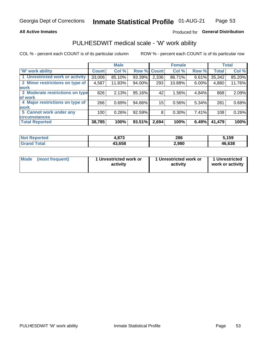### **All Active Inmates**

### Produced for General Distribution

### PULHESDWIT medical scale - 'W' work ability

COL % - percent each COUNT is of its particular column

|                                 |              | <b>Male</b> |        |              | <b>Female</b> |       |              | <b>Total</b> |
|---------------------------------|--------------|-------------|--------|--------------|---------------|-------|--------------|--------------|
| <b>W' work ability</b>          | <b>Count</b> | Col %       | Row %  | <b>Count</b> | Col %         | Row % | <b>Total</b> | Col %        |
| 1 Unrestricted work or activity | 33,006       | 85.10%      | 93.39% | 2,336        | 86.71%        | 6.61% | 35,342       | 85.20%       |
| 2 Minor restrictions on type of | 4,587        | 11.83%      | 94.00% | 293          | 10.88%        | 6.00% | 4,880        | 11.76%       |
| <b>work</b>                     |              |             |        |              |               |       |              |              |
| 3 Moderate restrictions on type | 826          | 2.13%       | 95.16% | 42           | 1.56%         | 4.84% | 868          | 2.09%        |
| lof work                        |              |             |        |              |               |       |              |              |
| 4 Major restrictions on type of | 266          | 0.69%       | 94.66% | 15           | 0.56%         | 5.34% | 281          | 0.68%        |
| <b>work</b>                     |              |             |        |              |               |       |              |              |
| 5 Cannot work under any         | 100          | 0.26%       | 92.59% | 8            | 0.30%         | 7.41% | 108          | 0.26%        |
| <b>circumstances</b>            |              |             |        |              |               |       |              |              |
| <b>Total Reported</b>           | 38,785       | 100%        | 93.51% | 2,694        | 100%          | 6.49% | 41,479       | 100%         |

| <b>Not Reported</b>   | - 220<br>7,0 <i>i</i> J | 286   | ,159   |
|-----------------------|-------------------------|-------|--------|
| Total<br><b>Grand</b> | 43,658                  | 2,980 | 46,638 |

| <b>Mode</b>     | 1 Unrestricted work or | 1 Unrestricted work or | 1 Unrestricted   |
|-----------------|------------------------|------------------------|------------------|
| (most frequent) | activity               | activity               | work or activity |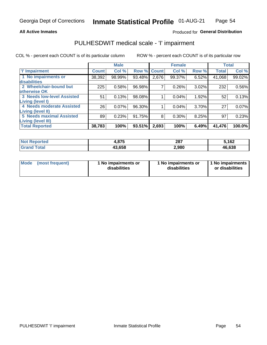### **All Active Inmates**

### Produced for General Distribution

## PULHESDWIT medical scale - 'I' impairment

COL % - percent each COUNT is of its particular column

|                                                              |              | <b>Male</b> |        |             | <b>Female</b> |       |              | <b>Total</b> |
|--------------------------------------------------------------|--------------|-------------|--------|-------------|---------------|-------|--------------|--------------|
| <b>T' Impairment</b>                                         | <b>Count</b> | Col %       |        | Row % Count | Col %         | Row % | <b>Total</b> | Col %        |
| 1 No impairments or<br>disabilities                          | 38,392       | 98.99%      | 93.48% | 2,676       | 99.37%        | 6.52% | 41,068       | 99.02%       |
| 2 Wheelchair-bound but<br>otherwise OK                       | 225          | 0.58%       | 96.98% | 7           | 0.26%         | 3.02% | 232          | 0.56%        |
| <b>3 Needs low-level Assisted</b><br>Living (level I)        | 51           | 0.13%       | 98.08% |             | 0.04%         | 1.92% | 52           | 0.13%        |
| 4 Needs moderate Assisted<br>Living (level II)               | 26           | 0.07%       | 96.30% |             | 0.04%         | 3.70% | 27           | 0.07%        |
| <b>5 Needs maximal Assisted</b><br><b>Living (level III)</b> | 89           | 0.23%       | 91.75% | 8           | 0.30%         | 8.25% | 97           | 0.23%        |
| <b>Total Reported</b>                                        | 38,783       | 100%        | 93.51% | 2,693       | 100%          | 6.49% | 41,476       | $100.0\%$    |

| <b>Not</b> | 07E     | 287   | 5,162        |
|------------|---------|-------|--------------|
| Reported   | 1.O / J | ___   |              |
| Total      | 43.658  | 2,980 | 46,638<br>46 |

| Mode | (most frequent) | 1 No impairments or<br>disabilities | 1 No impairments or<br>disabilities | 1 No impairments<br>or disabilities |
|------|-----------------|-------------------------------------|-------------------------------------|-------------------------------------|
|------|-----------------|-------------------------------------|-------------------------------------|-------------------------------------|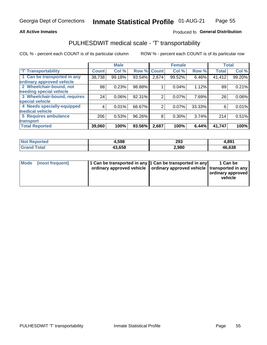### **All Active Inmates**

### Produced fo General Distribution

### PULHESDWIT medical scale - 'T' transportability

COL % - percent each COUNT is of its particular column

|                              |                    | <b>Male</b> |        |              | <b>Female</b> |        |              | <b>Total</b> |
|------------------------------|--------------------|-------------|--------|--------------|---------------|--------|--------------|--------------|
| <b>T' Transportability</b>   | Count <sup>!</sup> | Col %       | Row %  | <b>Count</b> | Col %         | Row %  | <b>Total</b> | Col %        |
| 1 Can be transported in any  | 38,738             | 99.18%      | 93.54% | 2,674        | 99.52%        | 6.46%  | 41,412       | 99.20%       |
| ordinary approved vehicle    |                    |             |        |              |               |        |              |              |
| 2 Wheelchair-bound, not      | 88                 | 0.23%       | 98.88% |              | 0.04%         | 1.12%  | 89           | 0.21%        |
| needing special vehicle      |                    |             |        |              |               |        |              |              |
| 3 Wheelchair-bound, requires | 24                 | 0.06%       | 92.31% | 2            | 0.07%         | 7.69%  | 26           | 0.06%        |
| special vehicle              |                    |             |        |              |               |        |              |              |
| 4 Needs specially-equipped   | 4                  | 0.01%       | 66.67% | 2            | 0.07%         | 33.33% | 6            | 0.01%        |
| medical vehicle              |                    |             |        |              |               |        |              |              |
| <b>5 Requires ambulance</b>  | 206                | 0.53%       | 96.26% | 8            | 0.30%         | 3.74%  | 214          | 0.51%        |
| transport                    |                    |             |        |              |               |        |              |              |
| <b>Total Reported</b>        | 39,060             | 100%        | 93.56% | 2,687        | 100%          | 6.44%  | 41,747       | 100%         |

| <b>Not</b><br>Reported | 1,598  | 293   | 4,891  |
|------------------------|--------|-------|--------|
| Total                  | 43,658 | 980.∠ | 46,638 |

|  | Mode (most frequent) | 1 Can be transported in any 1 Can be transported in any<br>ordinary approved vehicle   ordinary approved vehicle   transported in any |  | 1 Can be<br>  ordinary approved  <br>vehicle |
|--|----------------------|---------------------------------------------------------------------------------------------------------------------------------------|--|----------------------------------------------|
|--|----------------------|---------------------------------------------------------------------------------------------------------------------------------------|--|----------------------------------------------|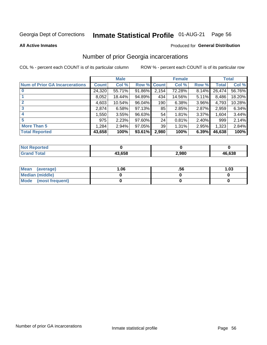# Inmate Statistical Profile 01-AUG-21 Page 56

**All Active Inmates** 

#### Produced for General Distribution

### Number of prior Georgia incarcerations

COL % - percent each COUNT is of its particular column

|                                       |              | <b>Male</b> |             |       | <b>Female</b> |       |        | <b>Total</b> |
|---------------------------------------|--------------|-------------|-------------|-------|---------------|-------|--------|--------------|
| <b>Num of Prior GA Incarcerations</b> | <b>Count</b> | Col %       | Row % Count |       | Col %         | Row % | Total  | Col %        |
| $\bf{0}$                              | 24,320       | 55.71%      | 91.86%      | 2,154 | 72.28%        | 8.14% | 26,474 | 56.76%       |
|                                       | 8,052        | 18.44%      | 94.89%      | 434   | 14.56%        | 5.11% | 8,486  | 18.20%       |
|                                       | 4,603        | 10.54%      | 96.04%      | 190   | 6.38%         | 3.96% | 4,793  | 10.28%       |
| 3                                     | 2,874        | 6.58%       | 97.13%      | 85    | 2.85%         | 2.87% | 2,959  | 6.34%        |
| 4                                     | 1,550        | 3.55%       | 96.63%      | 54    | 1.81%         | 3.37% | 1,604  | 3.44%        |
| 5                                     | 975          | 2.23%       | 97.60%      | 24    | 0.81%         | 2.40% | 999    | 2.14%        |
| <b>More Than 5</b>                    | 1,284        | 2.94%       | 97.05%      | 39    | 1.31%         | 2.95% | 1,323  | 2.84%        |
| <b>Total Reported</b>                 | 43,658       | 100%        | 93.61%      | 2,980 | 100%          | 6.39% | 46,638 | 100%         |

| <b>Not</b><br>Reported         |        |       |        |
|--------------------------------|--------|-------|--------|
| <b>Total</b><br><b>'</b> Gran⊾ | 43,658 | 2,980 | 46,638 |

| Mean (average)       | 06.، | .56 | 1.03 |
|----------------------|------|-----|------|
| Median (middle)      |      |     |      |
| Mode (most frequent) |      |     |      |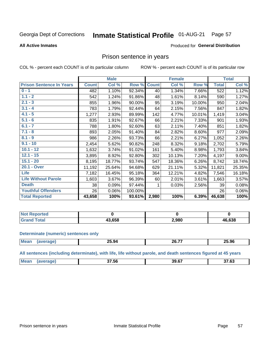#### Inmate Statistical Profile 01-AUG-21 Page 57

#### **All Active Inmates**

#### Produced for General Distribution

### Prison sentence in years

COL % - percent each COUNT is of its particular column

ROW % - percent each COUNT is of its particular row

|                                 |              | <b>Male</b> |         |              | <b>Female</b> |        |                  | <b>Total</b> |
|---------------------------------|--------------|-------------|---------|--------------|---------------|--------|------------------|--------------|
| <b>Prison Sentence In Years</b> | <b>Count</b> | Col %       | Row %   | <b>Count</b> | Col %         | Row %  | <b>Total</b>     | Col %        |
| $0 - 1$                         | 482          | 1.10%       | 92.34%  | 40           | 1.34%         | 7.66%  | $\overline{522}$ | 1.12%        |
| $1.1 - 2$                       | 542          | 1.24%       | 91.86%  | 48           | 1.61%         | 8.14%  | 590              | 1.27%        |
| $2.1 - 3$                       | 855          | 1.96%       | 90.00%  | 95           | 3.19%         | 10.00% | 950              | 2.04%        |
| $3.1 - 4$                       | 783          | 1.79%       | 92.44%  | 64           | 2.15%         | 7.56%  | 847              | 1.82%        |
| $4.1 - 5$                       | 1,277        | 2.93%       | 89.99%  | 142          | 4.77%         | 10.01% | 1,419            | 3.04%        |
| $5.1 - 6$                       | 835          | 1.91%       | 92.67%  | 66           | 2.21%         | 7.33%  | 901              | 1.93%        |
| $6.1 - 7$                       | 788          | 1.80%       | 92.60%  | 63           | 2.11%         | 7.40%  | 851              | 1.82%        |
| $7.1 - 8$                       | 893          | 2.05%       | 91.40%  | 84           | 2.82%         | 8.60%  | 977              | 2.09%        |
| $8.1 - 9$                       | 986          | 2.26%       | 93.73%  | 66           | 2.21%         | 6.27%  | 1,052            | 2.26%        |
| $9.1 - 10$                      | 2,454        | 5.62%       | 90.82%  | 248          | 8.32%         | 9.18%  | 2,702            | 5.79%        |
| $10.1 - 12$                     | 1,632        | 3.74%       | 91.02%  | 161          | 5.40%         | 8.98%  | 1,793            | 3.84%        |
| $12.1 - 15$                     | 3,895        | 8.92%       | 92.80%  | 302          | 10.13%        | 7.20%  | 4,197            | 9.00%        |
| $15.1 - 20$                     | 8,195        | 18.77%      | 93.74%  | 547          | 18.36%        | 6.26%  | 8,742            | 18.74%       |
| 20.1 - Over                     | 11,192       | 25.64%      | 94.68%  | 629          | 21.11%        | 5.32%  | 11,821           | 25.35%       |
| <b>Life</b>                     | 7,182        | 16.45%      | 95.18%  | 364          | 12.21%        | 4.82%  | 7,546            | 16.18%       |
| <b>Life Without Parole</b>      | 1,603        | 3.67%       | 96.39%  | 60           | 2.01%         | 3.61%  | 1,663            | 3.57%        |
| <b>Death</b>                    | 38           | 0.09%       | 97.44%  |              | 0.03%         | 2.56%  | 39               | 0.08%        |
| <b>Youthful Offenders</b>       | 26           | 0.06%       | 100.00% |              |               |        | 26               | 0.06%        |
| <b>Total Reported</b>           | 43,658       | 100%        | 93.61%  | 2,980        | 100%          | 6.39%  | 46,638           | 100%         |

| <b>Not Reported</b> |        |       |               |
|---------------------|--------|-------|---------------|
| $\sim$ 10           | 13.658 | 2,980 | 46,638<br>л ь |

#### **Determinate (numeric) sentences only**

| <b>Mean</b> | $- - -$<br>_ა.94 | ss 77<br><b>20.77</b> | 25.96 |
|-------------|------------------|-----------------------|-------|
|             |                  |                       |       |

All sentences (including determinate), with life, life without parole, and death sentences figured at 45 years

| Me: | $- - - -$<br>סכ. י | 39.67 | 27.02<br>′.໐ພ |
|-----|--------------------|-------|---------------|
|     |                    |       |               |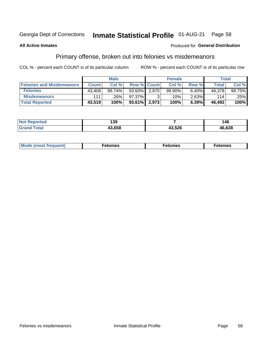#### **Inmate Statistical Profile 01-AUG-21** Page 58

#### **All Active Inmates**

#### Produced for General Distribution

### Primary offense, broken out into felonies vs misdemeanors

COL % - percent each COUNT is of its particular column

|                                  |              | <b>Male</b> |           |                    | <b>Female</b> |       | Total  |        |
|----------------------------------|--------------|-------------|-----------|--------------------|---------------|-------|--------|--------|
| <b>Felonies and Misdemeanors</b> | <b>Count</b> | Col%        |           | <b>Row % Count</b> | Col%          | Row % | Total  | Col %  |
| <b>Felonies</b>                  | 43,408       | 99.74%      | $93.60\%$ | 2.970              | 99.90%        | 6.40% | 46,378 | 99.75% |
| <b>Misdemeanors</b>              | 111          | .26%        | 97.37%    | 2                  | .10% '        | 2.63% | 114    | .25%   |
| <b>Total Reported</b>            | 43,519       | 100%        | $93.61\%$ | 2,973              | 100%          | 6.39% | 46,492 | 100%   |

| <b>Not</b>    | 400    |        | $\overline{\phantom{a}}$ |
|---------------|--------|--------|--------------------------|
| Reported      | ເວນ    |        | 46                       |
| Gran<br>™otaï | המה הו | 43,526 | 46,638                   |

| Mo | ____ | 11 C.S<br>. | onies<br>. |
|----|------|-------------|------------|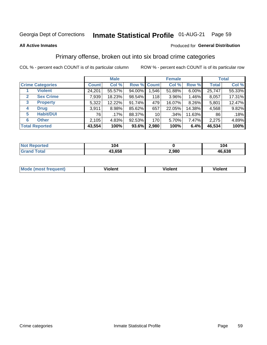#### **Inmate Statistical Profile 01-AUG-21** Page 59

#### **All Active Inmates**

#### Produced for General Distribution

### Primary offense, broken out into six broad crime categories

COL % - percent each COUNT is of its particular column

|                                 |              | <b>Male</b> |        |                 | <b>Female</b> |          |              | <b>Total</b> |  |
|---------------------------------|--------------|-------------|--------|-----------------|---------------|----------|--------------|--------------|--|
| <b>Crime Categories</b>         | <b>Count</b> | Col %       |        | Row % Count     | Col %         | Row %    | <b>Total</b> | Col %        |  |
| <b>Violent</b>                  | 24,201       | 55.57%      | 94.00% | 1,546           | 51.88%        | $6.00\%$ | 25,747       | 55.33%       |  |
| <b>Sex Crime</b><br>2           | 7,939        | 18.23%      | 98.54% | 118             | $3.96\%$      | 1.46%    | 8,057        | 17.31%       |  |
| $\mathbf{3}$<br><b>Property</b> | 5,322        | 12.22%      | 91.74% | 479             | 16.07%        | 8.26%    | 5,801        | 12.47%       |  |
| <b>Drug</b><br>4                | 3,911        | 8.98%       | 85.62% | 657             | 22.05%        | 14.38%   | 4,568        | 9.82%        |  |
| <b>Habit/DUI</b><br>5           | 76           | $.17\%$     | 88.37% | 10 <sup>1</sup> | .34%          | 11.63%   | 86           | .18%         |  |
| <b>Other</b><br>6               | 2,105        | 4.83%       | 92.53% | 170             | 5.70%         | 7.47%    | 2,275        | 4.89%        |  |
| <b>Total Reported</b>           | 43,554       | 100%        | 93.6%  | 2,980           | 100%          | 6.4%     | 46,534       | 100%         |  |

| Reported<br>NOT F | 104    |       | 104    |
|-------------------|--------|-------|--------|
| <b>Total</b>      | 43,658 | 2,980 | 46,638 |

| M | - --<br>100011 | .<br><b>VIOIGIIL</b> | 1.91311 |
|---|----------------|----------------------|---------|
|   |                |                      |         |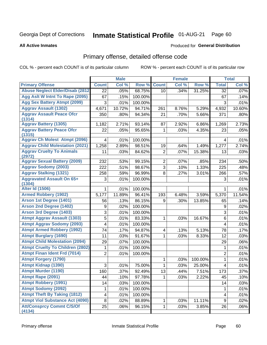# Inmate Statistical Profile 01-AUG-21 Page 60

**All Active Inmates** 

#### Produced for General Distribution

## Primary offense, detailed offense code

COL % - percent each COUNT is of its particular column

|                                            |                | <b>Male</b> |         |                         | <b>Female</b> |         |                  | <b>Total</b> |
|--------------------------------------------|----------------|-------------|---------|-------------------------|---------------|---------|------------------|--------------|
| <b>Primary Offense</b>                     | <b>Count</b>   | Col %       | Row %   | <b>Count</b>            | Col %         | Row %   | <b>Total</b>     | Col %        |
| <b>Abuse Neglect Elder/Disab (2812)</b>    | 22             | .05%        | 68.75%  | 10                      | .34%          | 31.25%  | 32               | .07%         |
| Agg Aslt W Intnt To Rape (2095)            | 67             | .15%        | 100.00% |                         |               |         | 67               | .14%         |
| <b>Agg Sex Battery Atmpt (2099)</b>        | 3              | .01%        | 100.00% |                         |               |         | 3                | .01%         |
| <b>Aggrav Assault (1302)</b>               | 4,671          | 10.72%      | 94.71%  | 261                     | 8.76%         | 5.29%   | 4,932            | 10.60%       |
| <b>Aggrav Assault Peace Ofcr</b>           | 350            | .80%        | 94.34%  | 21                      | .70%          | 5.66%   | 371              | .80%         |
| (1314)<br><b>Aggrav Battery (1305)</b>     | 1,182          | 2.71%       | 93.14%  | 87                      | 2.92%         | 6.86%   | 1,269            | 2.73%        |
| <b>Aggrav Battery Peace Ofcr</b>           | 22             | .05%        | 95.65%  | 1                       | .03%          | 4.35%   | 23               | .05%         |
| (1315)                                     |                |             |         |                         |               |         |                  |              |
| <b>Aggrav Ch Molest Atmpt (2096)</b>       | 4              | .01%        | 100.00% |                         |               |         | 4                | .01%         |
| <b>Aggrav Child Molestation (2021)</b>     | 1,258          | 2.89%       | 98.51%  | 19                      | .64%          | 1.49%   | 1,277            | 2.74%        |
| <b>Aggrav Cruelty To Animals</b><br>(2972) | 11             | .03%        | 84.62%  | $\overline{2}$          | .07%          | 15.38%  | 13               | .03%         |
| <b>Aggrav Sexual Battery (2009)</b>        | 232            | .53%        | 99.15%  | $\overline{2}$          | .07%          | .85%    | 234              | .50%         |
| <b>Aggrav Sodomy (2003)</b>                | 222            | .51%        | 98.67%  | 3                       | .10%          | 1.33%   | 225              | .48%         |
| <b>Aggrav Stalking (1321)</b>              | 258            | .59%        | 96.99%  | 8                       | .27%          | 3.01%   | 266              | .57%         |
| <b>Aggravated Assault On 65+</b>           | 3              | .01%        | 100.00% |                         |               |         | 3                | .01%         |
| (1304)                                     |                |             |         |                         |               |         |                  |              |
| <b>Alter Id (1506)</b>                     | 1              | .01%        | 100.00% |                         |               |         | 1                | .01%         |
| <b>Armed Robbery (1902)</b>                | 5,177          | 11.89%      | 96.41%  | 193                     | 6.48%         | 3.59%   | 5,370            | 11.54%       |
| Arson 1st Degree (1401)                    | 56             | .13%        | 86.15%  | 9                       | .30%          | 13.85%  | 65               | .14%         |
| <b>Arson 2nd Degree (1402)</b>             | 9              | .02%        | 100.00% |                         |               |         | 9                | .02%         |
| <b>Arson 3rd Degree (1403)</b>             | 3              | .01%        | 100.00% |                         |               |         | 3                | .01%         |
| <b>Atmpt Aggrav Assault (1303)</b>         | 5              | .01%        | 83.33%  | 1                       | .03%          | 16.67%  | 6                | .01%         |
| <b>Atmpt Aggrav Sodomy (2093)</b>          | 4              | .01%        | 100.00% |                         |               |         | 4                | .01%         |
| <b>Atmpt Armed Robbery (1992)</b>          | 74             | .17%        | 94.87%  | $\overline{\mathbf{4}}$ | .13%          | 5.13%   | 78               | .17%         |
| <b>Atmpt Burglary (1690)</b>               | 11             | .03%        | 91.67%  | 1                       | .03%          | 8.33%   | 12               | .03%         |
| <b>Atmpt Child Molestation (2094)</b>      | 29             | .07%        | 100.00% |                         |               |         | 29               | .06%         |
| <b>Atmpt Cruelty To Children (2802)</b>    | 1              | .01%        | 100.00% |                         |               |         | 1                | .01%         |
| <b>Atmpt Finan Ident Frd (7014)</b>        | $\overline{2}$ | .01%        | 100.00% |                         |               |         | $\overline{2}$   | .01%         |
| <b>Atmpt Forgery (1790)</b>                |                |             |         | 1                       | .03%          | 100.00% | $\mathbf{1}$     | .01%         |
| <b>Atmpt Kidnap (1390)</b>                 | 3              | .01%        | 75.00%  | 1                       | .03%          | 25.00%  | 4                | .01%         |
| <b>Atmpt Murder (1190)</b>                 | 160            | .37%        | 92.49%  | 13                      | .44%          | 7.51%   | 173              | .37%         |
| Atmpt Rape (2091)                          | 44             | .10%        | 97.78%  | 1                       | .03%          | 2.22%   | 45               | .10%         |
| <b>Atmpt Robbery (1991)</b>                | 14             | .03%        | 100.00% |                         |               |         | 14               | .03%         |
| <b>Atmpt Sodomy (2092)</b>                 | 1              | .01%        | 100.00% |                         |               |         | 1                | .01%         |
| <b>Atmpt Theft By Taking (1812)</b>        | 4              | .01%        | 100.00% |                         |               |         | 4                | .01%         |
| <b>Atmpt Viol Substance Act (4090)</b>     | 8              | .02%        | 88.89%  | 1                       | .03%          | 11.11%  | $\boldsymbol{9}$ | .02%         |
| <b>Att/Consprcy Commt C/S/Of</b><br>(4134) | 25             | .06%        | 96.15%  | $\mathbf{1}$            | .03%          | 3.85%   | 26               | .06%         |
|                                            |                |             |         |                         |               |         |                  |              |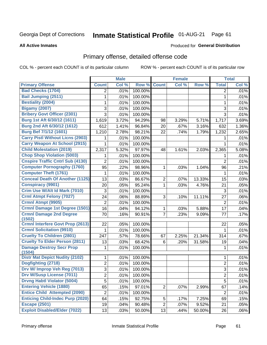# Inmate Statistical Profile 01-AUG-21 Page 61

**All Active Inmates** 

#### Produced for General Distribution

## Primary offense, detailed offense code

COL % - percent each COUNT is of its particular column

|                                           |                | <b>Male</b> |         |                | <b>Female</b> |        |                | <b>Total</b>        |
|-------------------------------------------|----------------|-------------|---------|----------------|---------------|--------|----------------|---------------------|
| <b>Primary Offense</b>                    | <b>Count</b>   | Col %       | Row %   | <b>Count</b>   | Col %         | Row %  | <b>Total</b>   | Col %               |
| <b>Bad Checks (1704)</b>                  | $\overline{2}$ | .01%        | 100.00% |                |               |        | $\overline{2}$ | .01%                |
| <b>Bail Jumping (2511)</b>                | 1              | .01%        | 100.00% |                |               |        | 1              | .01%                |
| <b>Bestiality (2004)</b>                  | 1              | .01%        | 100.00% |                |               |        | 1              | .01%                |
| <b>Bigamy (2007)</b>                      | 3              | .01%        | 100.00% |                |               |        | 3              | .01%                |
| <b>Bribery Govt Officer (2301)</b>        | $\overline{3}$ | .01%        | 100.00% |                |               |        | 3              | .01%                |
| Burg 1st Aft 6/30/12 (1611)               | 1,619          | 3.72%       | 94.29%  | 98             | 3.29%         | 5.71%  | 1,717          | 3.69%               |
| Burg 2nd Aft 6/30/12 (1612)               | 612            | 1.41%       | 96.84%  | 20             | .67%          | 3.16%  | 632            | $\overline{1.36\%}$ |
| Burg Bef 7/1/12 (1601)                    | 1,210          | 2.78%       | 98.21%  | 22             | .74%          | 1.79%  | 1,232          | 2.65%               |
| <b>Carry Pistl Without Licns (2903)</b>   |                | .01%        | 100.00% |                |               |        |                | .01%                |
| <b>Carry Weapon At School (2915)</b>      | 1              | .01%        | 100.00% |                |               |        | 1              | .01%                |
| <b>Child Molestation (2019)</b>           | 2,317          | 5.32%       | 97.97%  | 48             | 1.61%         | 2.03%  | 2,365          | 5.08%               |
| <b>Chop Shop Violation (5003)</b>         | 1              | .01%        | 100.00% |                |               |        | 1              | .01%                |
| <b>Cnspire Traffic Cntrl Sub (4130)</b>   | $\overline{2}$ | .01%        | 100.00% |                |               |        | $\overline{2}$ | .01%                |
| <b>Computer Pornography (1760)</b>        | 95             | .22%        | 98.96%  | 1              | .03%          | 1.04%  | 96             | .21%                |
| <b>Computer Theft (1761)</b>              | 1              | .01%        | 100.00% |                |               |        | 1              | .01%                |
| <b>Conceal Death Of Another (1125)</b>    | 13             | .03%        | 86.67%  | $\overline{2}$ | .07%          | 13.33% | 15             | .03%                |
| <b>Conspiracy (9901)</b>                  | 20             | .05%        | 95.24%  | 1              | .03%          | 4.76%  | 21             | .05%                |
| Crim Use W/Alt Id Mark (7010)             | 3              | .01%        | 100.00% |                |               |        | 3              | .01%                |
| <b>Crml Atmpt Felony (7027)</b>           | 24             | .06%        | 88.89%  | 3              | .10%          | 11.11% | 27             | .06%                |
| Crmnl Atmpt (9905)                        | $\overline{2}$ | .01%        | 100.00% |                |               |        | $\overline{2}$ | .01%                |
| <b>Crmnl Damage 1st Degree (1501)</b>     | 16             | .04%        | 94.12%  | $\mathbf{1}$   | .03%          | 5.88%  | 17             | .04%                |
| <b>Crmnl Damage 2nd Degree</b>            | 70             | .16%        | 90.91%  | $\overline{7}$ | .23%          | 9.09%  | 77             | .17%                |
| (1502)                                    |                |             |         |                |               |        |                |                     |
| <b>Crmnl Interfere Govt Prop (2613)</b>   | 22             | .05%        | 100.00% |                |               |        | 22             | .05%                |
| <b>Crmnl Solicitation (9910)</b>          | 1              | .01%        | 100.00% |                |               |        | 1              | .01%                |
| <b>Cruelty To Children (2801)</b>         | 247            | .57%        | 78.66%  | 67             | 2.25%         | 21.34% | 314            | .67%                |
| <b>Cruelty To Elder Person (2811)</b>     | 13             | .03%        | 68.42%  | 6              | .20%          | 31.58% | 19             | .04%                |
| <b>Damage Destroy Secr Prop</b><br>(1504) | 1              | .01%        | 100.00% |                |               |        | 1              | .01%                |
| <b>Distr Mat Depict Nudity (2102)</b>     | 1              | .01%        | 100.00% |                |               |        | 1              | .01%                |
| Dogfighting (2718)                        | $\overline{2}$ | .01%        | 100.00% |                |               |        | $\overline{2}$ | .01%                |
| Drv W/ Improp Veh Reg (7013)              | $\overline{3}$ | .01%        | 100.00% |                |               |        | 3              | .01%                |
| Drv W/Susp License (7011)                 | $\overline{c}$ | .01%        | 100.00% |                |               |        | $\overline{2}$ | .01%                |
| <b>Drvng Habtl Violator (5004)</b>        | $\overline{5}$ | .01%        | 100.00% |                |               |        | 5              | .01%                |
| <b>Entering Vehicle (1880)</b>            | 65             | .15%        | 97.01%  | $\overline{2}$ | .07%          | 2.99%  | 67             | .14%                |
| <b>Entice Child Attempted (2090)</b>      | $\overline{c}$ | .01%        | 100.00% |                |               |        | $\overline{2}$ | .01%                |
| <b>Enticing Child-Indec Purp (2020)</b>   | 64             | .15%        | 92.75%  | 5              | .17%          | 7.25%  | 69             | .15%                |
| <b>Escape (2501)</b>                      | 19             | .04%        | 90.48%  | $\overline{2}$ | .07%          | 9.52%  | 21             | .05%                |
| <b>Exploit Disabled/Elder (7022)</b>      | 13             | .03%        | 50.00%  | 13             | .44%          | 50.00% | 26             | .06%                |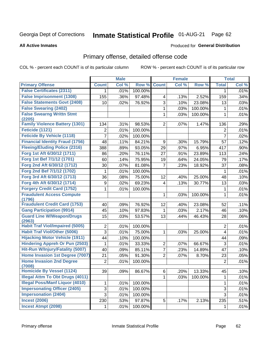#### **Inmate Statistical Profile 01-AUG-21** Page 62

#### **All Active Inmates**

### **Produced for General Distribution**

### Primary offense, detailed offense code

COL % - percent each COUNT is of its particular column

|                                            |                | <b>Male</b> |         |                | <b>Female</b> |         |                | <b>Total</b> |
|--------------------------------------------|----------------|-------------|---------|----------------|---------------|---------|----------------|--------------|
| <b>Primary Offense</b>                     | <b>Count</b>   | Col %       | Row %   | <b>Count</b>   | Col %         | Row %   | <b>Total</b>   | Col %        |
| <b>False Certificates (2311)</b>           | 1              | .01%        | 100.00% |                |               |         | 1              | .01%         |
| <b>False Imprisonment (1308)</b>           | 155            | .36%        | 97.48%  | 4              | .13%          | 2.52%   | 159            | .34%         |
| <b>False Statements Govt (2408)</b>        | 10             | .02%        | 76.92%  | 3              | .10%          | 23.08%  | 13             | .03%         |
| <b>False Swearing (2402)</b>               |                |             |         | $\mathbf{1}$   | .03%          | 100.00% | 1              | .01%         |
| <b>False Swearng Writtn Stmt</b>           |                |             |         | 1              | .03%          | 100.00% | $\mathbf{1}$   | .01%         |
| (2205)                                     |                |             |         |                |               |         |                |              |
| <b>Family Violence Battery (1301)</b>      | 134            | .31%        | 98.53%  | $\overline{2}$ | .07%          | 1.47%   | 136            | .29%         |
| Feticide (1121)                            | 2              | .01%        | 100.00% |                |               |         | 2              | .01%         |
| Feticide By Vehicle (1118)                 | $\overline{7}$ | .02%        | 100.00% |                |               |         | $\overline{7}$ | .02%         |
| <b>Financial Identity Fraud (1756)</b>     | 48             | .11%        | 84.21%  | 9              | .30%          | 15.79%  | 57             | .12%         |
| <b>Fleeing/Eluding Police (2316)</b>       | 388            | .89%        | 93.05%  | 29             | .97%          | 6.95%   | 417            | .90%         |
| Forg 1st Aft 6/30/12 (1711)                | 86             | .20%        | 76.11%  | 27             | .91%          | 23.89%  | 113            | .24%         |
| Forg 1st Bef 7/1/12 (1701)                 | 60             | .14%        | 75.95%  | 19             | .64%          | 24.05%  | 79             | .17%         |
| Forg 2nd Aft 6/30/12 (1712)                | 30             | .07%        | 81.08%  | $\overline{7}$ | .23%          | 18.92%  | 37             | .08%         |
| Forg 2nd Bef 7/1/12 (1702)                 | 1              | .01%        | 100.00% |                |               |         | 1              | .01%         |
| Forg 3rd Aft 6/30/12 (1713)                | 36             | .08%        | 75.00%  | 12             | .40%          | 25.00%  | 48             | .10%         |
| Forg 4th Aft 6/30/12 (1714)                | 9              | .02%        | 69.23%  | 4              | .13%          | 30.77%  | 13             | .03%         |
| <b>Forgery Credit Card (1752)</b>          | 1              | .01%        | 100.00% |                |               |         | 1              | .01%         |
| <b>Fraudulent Access Compute</b><br>(1796) |                |             |         | 1              | .03%          | 100.00% | $\mathbf{1}$   | .01%         |
| <b>Fraudulent Credit Card (1753)</b>       | 40             | .09%        | 76.92%  | 12             | .40%          | 23.08%  | 52             | .11%         |
| <b>Gang Participation (9914)</b>           | 45             | .10%        | 97.83%  | $\mathbf{1}$   | .03%          | 2.17%   | 46             | .10%         |
| <b>Guard Line W/Weapon/Drugs</b>           | 15             | .03%        | 53.57%  | 13             | .44%          | 46.43%  | 28             | .06%         |
| (2963)                                     |                |             |         |                |               |         |                |              |
| <b>Habit Traf Viol/Impaired (5005)</b>     | 2              | .01%        | 100.00% |                |               |         | 2              | .01%         |
| <b>Habit Traf Viol/Other (5006)</b>        | 3              | .01%        | 75.00%  | 1              | .03%          | 25.00%  | 4              | .01%         |
| <b>Hijacking Motor Vehicle (1911)</b>      | 44             | .10%        | 100.00% |                |               |         | 44             | .09%         |
| <b>Hindering Appreh Or Pun (2503)</b>      | 1              | .01%        | 33.33%  | $\overline{c}$ | .07%          | 66.67%  | 3              | .01%         |
| Hit-Run W/Injury/Fatality (5007)           | 40             | .09%        | 85.11%  | $\overline{7}$ | .23%          | 14.89%  | 47             | .10%         |
| Home Invasion 1st Degree (7007)            | 21             | .05%        | 91.30%  | $\overline{2}$ | .07%          | 8.70%   | 23             | .05%         |
| <b>Home Invasion 2nd Degree</b><br>(7008)  | $\overline{c}$ | .01%        | 100.00% |                |               |         | $\overline{2}$ | .01%         |
| <b>Homicide By Vessel (1124)</b>           | 39             | .09%        | 86.67%  | $6\vert$       | $.20\%$       | 13.33%  | 45             | .10%         |
| <b>Illegal Attm To Obt Drugs (4011)</b>    |                |             |         | 1              | .03%          | 100.00% | 1              | .01%         |
| <b>Illegal Poss/Manf Liquor (4010)</b>     | 1              | .01%        | 100.00% |                |               |         | 1              | .01%         |
| <b>Impersonating Officer (2405)</b>        | 3              | .01%        | 100.00% |                |               |         | $\mathfrak{S}$ | .01%         |
| <b>Impersonation (2404)</b>                | $\overline{3}$ | .01%        | 100.00% |                |               |         | 3              | .01%         |
| <b>Incest (2006)</b>                       | 230            | .53%        | 97.87%  | 5 <sup>1</sup> | .17%          | 2.13%   | 235            | .51%         |
| <b>Incest Atmpt (2098)</b>                 | 1              | .01%        | 100.00% |                |               |         | $\mathbf{1}$   | .01%         |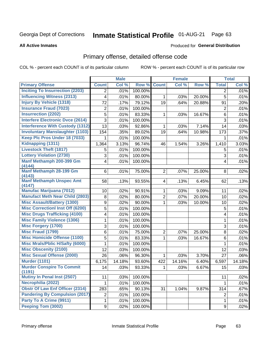# Inmate Statistical Profile 01-AUG-21 Page 63

#### **All Active Inmates**

#### Produced for General Distribution

## Primary offense, detailed offense code

COL % - percent each COUNT is of its particular column

|                                          |                | <b>Male</b> |         |                | <b>Female</b> |        |                | <b>Total</b> |
|------------------------------------------|----------------|-------------|---------|----------------|---------------|--------|----------------|--------------|
| <b>Primary Offense</b>                   | <b>Count</b>   | Col %       | Row %   | <b>Count</b>   | Col %         | Row %  | <b>Total</b>   | Col %        |
| <b>Inciting To Insurrection (2203)</b>   | 2              | .01%        | 100.00% |                |               |        | $\overline{2}$ | .01%         |
| <b>Influencing Witness (2313)</b>        | 4              | .01%        | 80.00%  | $\mathbf{1}$   | .03%          | 20.00% | 5              | .01%         |
| <b>Injury By Vehicle (1318)</b>          | 72             | .17%        | 79.12%  | 19             | .64%          | 20.88% | 91             | .20%         |
| <b>Insurance Fraud (7023)</b>            | $\overline{2}$ | .01%        | 100.00% |                |               |        | $\overline{2}$ | .01%         |
| <b>Insurrection (2202)</b>               | 5              | .01%        | 83.33%  | $\mathbf 1$    | .03%          | 16.67% | 6              | .01%         |
| <b>Interfere Electronic Dvce (2614)</b>  | 3              | .01%        | 100.00% |                |               |        | 3              | .01%         |
| <b>Interference With Custody (1312)</b>  | 13             | .03%        | 92.86%  | 1.             | .03%          | 7.14%  | 14             | .03%         |
| <b>Involuntary Manslaughter (1103)</b>   | 154            | .35%        | 89.02%  | 19             | .64%          | 10.98% | 173            | .37%         |
| Keep Plc Pros Under 18 (7033)            | 1              | .01%        | 100.00% |                |               |        | 1              | .01%         |
| Kidnapping (1311)                        | 1,364          | 3.13%       | 96.74%  | 46             | 1.54%         | 3.26%  | 1,410          | 3.03%        |
| <b>Livestock Theft (1817)</b>            | 5              | .01%        | 100.00% |                |               |        | 5              | .01%         |
| <b>Lottery Violation (2730)</b>          | $\overline{3}$ | .01%        | 100.00% |                |               |        | 3              | .01%         |
| Manf Methamph 200-399 Gm                 | 4              | .01%        | 100.00% |                |               |        | 4              | .01%         |
| (4144)                                   |                |             |         |                |               |        |                |              |
| <b>Manf Methamph 28-199 Gm</b><br>(4143) | 6              | .01%        | 75.00%  | $\overline{2}$ | .07%          | 25.00% | 8              | .02%         |
| <b>Manf Methamph Unspec Amt</b>          | 58             | .13%        | 93.55%  | $\overline{4}$ | .13%          | 6.45%  | 62             | .13%         |
| (4147)                                   |                |             |         |                |               |        |                |              |
| <b>Manufac Marijuana (7012)</b>          | 10             | .02%        | 90.91%  | $\mathbf{1}$   | .03%          | 9.09%  | 11             | .02%         |
| <b>Manufact Meth Near Child (2803)</b>   | 8              | .02%        | 80.00%  | $\overline{2}$ | .07%          | 20.00% | 10             | .02%         |
| <b>Misc Assault/Battery (1300)</b>       | 9              | .02%        | 90.00%  | $\mathbf{1}$   | .03%          | 10.00% | 10             | .02%         |
| <b>Misc Correctionl Inst Off (6200)</b>  | 5              | .01%        | 100.00% |                |               |        | 5              | .01%         |
| <b>Misc Drugs Trafficking (4100)</b>     | 4              | .01%        | 100.00% |                |               |        | 4              | .01%         |
| <b>Misc Family Violence (1306)</b>       | 1              | .01%        | 100.00% |                |               |        | 1              | .01%         |
| <b>Misc Forgery (1700)</b>               | 3              | .01%        | 100.00% |                |               |        | 3              | .01%         |
| <b>Misc Fraud (1799)</b>                 | 6              | .01%        | 75.00%  | $\overline{2}$ | .07%          | 25.00% | 8              | .02%         |
| <b>Misc Homicide Offense (1100)</b>      | 5              | .01%        | 83.33%  | 1              | .03%          | 16.67% | 6              | .01%         |
| <b>Misc Mrals/Pblic H/Safty (6000)</b>   | 1              | .01%        | 100.00% |                |               |        | 1              | .01%         |
| <b>Misc Obscenity (2100)</b>             | 12             | .03%        | 100.00% |                |               |        | 12             | .03%         |
| <b>Misc Sexual Offense (2000)</b>        | 26             | .06%        | 96.30%  | $\mathbf 1$    | .03%          | 3.70%  | 27             | .06%         |
| <b>Murder (1101)</b>                     | 6,175          | 14.18%      | 93.60%  | 422            | 14.16%        | 6.40%  | 6,597          | 14.18%       |
| <b>Murder Conspire To Commit</b>         | 14             | .03%        | 93.33%  | $\mathbf 1$    | .03%          | 6.67%  | 15             | .03%         |
| (1191)                                   |                |             |         |                |               |        |                |              |
| <b>Mutiny In Penal Inst (2507)</b>       | 11             | .03%        | 100.00% |                |               |        | 11             | .02%         |
| Necrophilia (2022)                       | 1              | .01%        | 100.00% |                |               |        | 1              | .01%         |
| <b>Obstr Of Law Enf Officer (2314)</b>   | 283            | .65%        | 90.13%  | 31             | 1.04%         | 9.87%  | 314            | .67%         |
| <b>Pandering By Compulsion (2017)</b>    | $\overline{c}$ | .01%        | 100.00% |                |               |        | $\overline{2}$ | .01%         |
| Party To A Crime (9911)                  | 1              | .01%        | 100.00% |                |               |        | 1              | .01%         |
| Peeping Tom (3002)                       | 9              | .02%        | 100.00% |                |               |        | 9              | .02%         |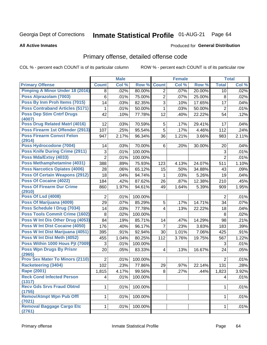# Inmate Statistical Profile 01-AUG-21 Page 64

#### **All Active Inmates**

#### Produced for General Distribution

## Primary offense, detailed offense code

COL % - percent each COUNT is of its particular column

|                                            |                | <b>Male</b> |         |                | <b>Female</b> |        |                | <b>Total</b> |
|--------------------------------------------|----------------|-------------|---------|----------------|---------------|--------|----------------|--------------|
| <b>Primary Offense</b>                     | <b>Count</b>   | Col %       | Row %   | <b>Count</b>   | Col %         | Row %  | <b>Total</b>   | Col %        |
| <b>Pimping A Minor Under 18 (2016)</b>     | 8              | .02%        | 80.00%  | $\overline{2}$ | .07%          | 20.00% | 10             | .02%         |
| Poss Alprazolam (7003)                     | 6              | .01%        | 75.00%  | 2              | .07%          | 25.00% | 8              | .02%         |
| Poss By Inm Proh Items (7015)              | 14             | .03%        | 82.35%  | 3              | .10%          | 17.65% | 17             | .04%         |
| <b>Poss Contraband Articles (5171)</b>     | 1              | .01%        | 50.00%  | $\mathbf{1}$   | .03%          | 50.00% | $\overline{2}$ | .01%         |
| <b>Poss Dep Stim Cntrf Drugs</b>           | 42             | .10%        | 77.78%  | 12             | .40%          | 22.22% | 54             | .12%         |
| (4007)                                     |                |             |         |                |               |        |                |              |
| Poss Drug Related Matrl (4016)             | 12             | .03%        | 70.59%  | 5              | .17%          | 29.41% | 17             | .04%         |
| Poss Firearm 1st Offender (2913)           | 107            | .25%        | 95.54%  | 5              | .17%          | 4.46%  | 112            | .24%         |
| <b>Poss Firearm Convct Felon</b>           | 947            | 2.17%       | 96.34%  | 36             | 1.21%         | 3.66%  | 983            | 2.11%        |
| (2914)<br>Poss Hydrocodone (7004)          | 14             | .03%        | 70.00%  | 6              | .20%          | 30.00% | 20             | .04%         |
| <b>Poss Knife During Crime (2911)</b>      | 3              | .01%        | 100.00% |                |               |        | 3              | .01%         |
| Poss Mda/Extsy (4033)                      | $\overline{2}$ | .01%        | 100.00% |                |               |        | $\overline{2}$ | .01%         |
| Poss Methamphetamine (4031)                | 388            | .89%        |         |                |               | 24.07% | 511            |              |
| <b>Poss Narcotics Opiates (4006)</b>       |                |             | 75.93%  | 123            | 4.13%         |        |                | 1.10%        |
|                                            | 28             | .06%        | 65.12%  | 15             | .50%          | 34.88% | 43             | .09%         |
| <b>Poss Of Certain Weapons (2912)</b>      | 18             | .04%        | 94.74%  | 1              | .03%          | 5.26%  | 19             | .04%         |
| <b>Poss Of Cocaine (4022)</b>              | 184            | .42%        | 87.62%  | 26             | .87%          | 12.38% | 210            | .45%         |
| <b>Poss Of Firearm Dur Crime</b><br>(2910) | 860            | 1.97%       | 94.61%  | 49             | 1.64%         | 5.39%  | 909            | 1.95%        |
| <b>Poss Of Lsd (4008)</b>                  | $\overline{2}$ | .01%        | 100.00% |                |               |        | $\overline{2}$ | .01%         |
| Poss Of Marijuana (4009)                   | 29             | .07%        | 85.29%  | 5              | .17%          | 14.71% | 34             | .07%         |
| Poss Schedule I Drug (7034)                | 14             | .03%        | 77.78%  | 4              | .13%          | 22.22% | 18             | .04%         |
| <b>Poss Tools Commit Crime (1602)</b>      | 8              | .02%        | 100.00% |                |               |        | 8              | .02%         |
| Poss W Int Dis Other Drug (4053)           | 84             | .19%        | 85.71%  | 14             | .47%          | 14.29% | 98             | .21%         |
| Poss W Int Dist Cocaine (4050)             | 176            | .40%        | 96.17%  | $\overline{7}$ | .23%          | 3.83%  | 183            | .39%         |
| Poss W Int Dist Marijuana (4051)           | 395            | .91%        | 92.94%  | 30             | 1.01%         | 7.06%  | 425            | .91%         |
| Poss W Int Dist Meth (4052)                | 455            | 1.04%       | 80.25%  | 112            | 3.76%         | 19.75% | 567            | 1.22%        |
| Poss Within 1000 Hous Pjt (7009)           | 3              | .01%        | 100.00% |                |               |        | 3              | .01%         |
| <b>Poss Wpn Drugs By Prisnr</b>            | 20             | .05%        | 83.33%  | 4              | .13%          | 16.67% | 24             | .05%         |
| (2965)                                     |                |             |         |                |               |        |                |              |
| <b>Prov Sex Mater To Minors (2110)</b>     | $\overline{2}$ | .01%        | 100.00% |                |               |        | $\overline{2}$ | .01%         |
| <b>Racketeering (3404)</b>                 | 102            | .23%        | 77.86%  | 29             | .97%          | 22.14% | 131            | .28%         |
| Rape (2001)                                | 1,815          | 4.17%       | 99.56%  | $\overline{8}$ | .27%          | .44%   | 1,823          | 3.92%        |
| <b>Reck Cond Infected Person</b><br>(1317) | $\overline{4}$ | .01%        | 100.00% |                |               |        | 4              | .01%         |
| <b>Recv Gds Srvs Fraud Obtnd</b><br>(1755) | $\mathbf{1}$   | .01%        | 100.00% |                |               |        | $\mathbf{1}$   | .01%         |
| <b>Remov/Atmpt Wpn Pub Offl</b><br>(7021)  | $\mathbf{1}$   | .01%        | 100.00% |                |               |        | 1              | .01%         |
| <b>Removal Baggage Cargo Etc</b><br>(2761) | $1\vert$       | .01%        | 100.00% |                |               |        | $\mathbf{1}$   | .01%         |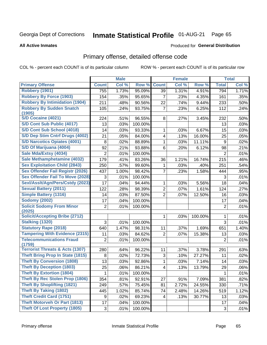#### **Inmate Statistical Profile 01-AUG-21** Page 65

**Produced for General Distribution** 

#### **All Active Inmates**

### Primary offense, detailed offense code

COL % - percent each COUNT is of its particular column

|                                            |                           | <b>Male</b> |         |                | <b>Female</b> |         |                | <b>Total</b> |
|--------------------------------------------|---------------------------|-------------|---------|----------------|---------------|---------|----------------|--------------|
| <b>Primary Offense</b>                     | <b>Count</b>              | Col %       | Row %   | <b>Count</b>   | Col %         | Row %   | <b>Total</b>   | Col %        |
| <b>Robbery (1901)</b>                      | 755                       | 1.73%       | 95.09%  | 39             | 1.31%         | 4.91%   | 794            | 1.71%        |
| <b>Robbery By Force (1903)</b>             | 154                       | .35%        | 95.65%  | 7              | .23%          | 4.35%   | 161            | .35%         |
| <b>Robbery By Intimidation (1904)</b>      | 211                       | .48%        | 90.56%  | 22             | .74%          | 9.44%   | 233            | .50%         |
| <b>Robbery By Sudden Snatch</b>            | 105                       | .24%        | 93.75%  | $\overline{7}$ | .23%          | 6.25%   | 112            | .24%         |
| (1905)                                     |                           |             |         |                |               |         |                |              |
| <b>S/D Cocaine (4021)</b>                  | 224                       | .51%        | 96.55%  | 8              | .27%          | 3.45%   | 232            | .50%         |
| S/D Cont Sub Public (4017)                 | 13                        | .03%        | 100.00% |                |               |         | 13             | .03%         |
| S/D Cont Sub School (4018)                 | 14                        | .03%        | 93.33%  | 1              | .03%          | 6.67%   | 15             | .03%         |
| S/D Dep Stim Cntrf Drugs (4002)            | 21                        | .05%        | 84.00%  | 4              | .13%          | 16.00%  | 25             | .05%         |
| <b>S/D Narcotics Opiates (4001)</b>        | 8                         | .02%        | 88.89%  | 1              | .03%          | 11.11%  | 9              | .02%         |
| S/D Of Marijuana (4004)                    | 92                        | .21%        | 93.88%  | 6              | .20%          | 6.12%   | 98             | .21%         |
| Sale Mda/Extsy (4034)                      | $\overline{2}$            | .01%        | 100.00% |                |               |         | $\overline{c}$ | .01%         |
| Sale Methamphetamine (4032)                | 179                       | .41%        | 83.26%  | 36             | 1.21%         | 16.74%  | 215            | .46%         |
| <b>Sex Exploitation Child (2843)</b>       | 250                       | .57%        | 99.60%  | 1              | .03%          | .40%    | 251            | .54%         |
| <b>Sex Offender Fail Registr (2026)</b>    | 437                       | 1.00%       | 98.42%  | $\overline{7}$ | .23%          | 1.58%   | 444            | .95%         |
| <b>Sex Offender Fail To Move (2028)</b>    | $\ensuremath{\mathsf{3}}$ | .01%        | 100.00% |                |               |         | 3              | .01%         |
| Sexl/Asslt/Agn/Pers/Cstdy (2023)           | 17                        | .04%        | 94.44%  | 1              | .03%          | 5.56%   | 18             | .04%         |
| <b>Sexual Battery (2011)</b>               | 122                       | .28%        | 98.39%  | $\overline{2}$ | .07%          | 1.61%   | 124            | .27%         |
| <b>Simple Battery (1316)</b>               | 14                        | .03%        | 87.50%  | $\overline{2}$ | .07%          | 12.50%  | 16             | .03%         |
| <b>Sodomy (2002)</b>                       | 17                        | .04%        | 100.00% |                |               |         | 17             | .04%         |
| <b>Solicit Sodomy From Minor</b><br>(2025) | $\overline{2}$            | .01%        | 100.00% |                |               |         | $\overline{2}$ | .01%         |
| <b>Solicit/Accepting Bribe (2712)</b>      |                           |             |         | 1              | .03%          | 100.00% | 1              | .01%         |
| <b>Stalking (1320)</b>                     | 3                         | .01%        | 100.00% |                |               |         | 3              | .01%         |
| <b>Statutory Rape (2018)</b>               | 640                       | 1.47%       | 98.31%  | 11             | .37%          | 1.69%   | 651            | 1.40%        |
| <b>Tampering With Evidence (2315)</b>      | 11                        | .03%        | 84.62%  | $\overline{2}$ | .07%          | 15.38%  | 13             | .03%         |
| <b>Telecommunications Fraud</b>            | 2                         | .01%        | 100.00% |                |               |         | $\overline{2}$ | .01%         |
| (1759)                                     |                           |             |         |                |               |         |                |              |
| <b>Terrorist Threats &amp; Acts (1307)</b> | 280                       | .64%        | 96.22%  | 11             | .37%          | 3.78%   | 291            | .63%         |
| <b>Theft Bring Prop In State (1815)</b>    | 8                         | .02%        | 72.73%  | 3              | .10%          | 27.27%  | 11             | .02%         |
| <b>Theft By Conversion (1808)</b>          | 13                        | .03%        | 92.86%  | 1              | .03%          | 7.14%   | 14             | .03%         |
| <b>Theft By Deception (1803)</b>           | 25                        | .06%        | 86.21%  | 4              | .13%          | 13.79%  | 29             | .06%         |
| <b>Theft By Extortion (1804)</b>           | $\mathbf 1$               | .01%        | 100.00% |                |               |         | $\mathbf{1}$   | .01%         |
| Theft By Rec Stolen Prop (1806)            | 354                       | .81%        | 92.91%  | 27             | .91%          | 7.09%   | 381            | .82%         |
| <b>Theft By Shoplifting (1821)</b>         | 249                       | .57%        | 75.45%  | 81             | 2.72%         | 24.55%  | 330            | .71%         |
| <b>Theft By Taking (1802)</b>              | 445                       | 1.02%       | 85.74%  | 74             | 2.48%         | 14.26%  | 519            | 1.12%        |
| <b>Theft Credit Card (1751)</b>            | 9                         | .02%        | 69.23%  | 4              | .13%          | 30.77%  | 13             | .03%         |
| <b>Theft Motorveh Or Part (1813)</b>       | 17                        | .04%        | 100.00% |                |               |         | 17             | .04%         |
| <b>Theft Of Lost Property (1805)</b>       | $\mathfrak{S}$            | .01%        | 100.00% |                |               |         | $\mathbf{3}$   | .01%         |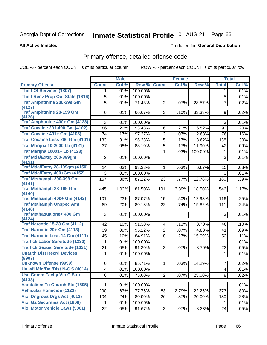# Inmate Statistical Profile 01-AUG-21 Page 66

**All Active Inmates** 

#### Produced for General Distribution

## Primary offense, detailed offense code

COL % - percent each COUNT is of its particular column

|                                                                   |                         | <b>Male</b> |         |                | <b>Female</b> |         |                | <b>Total</b> |
|-------------------------------------------------------------------|-------------------------|-------------|---------|----------------|---------------|---------|----------------|--------------|
| <b>Primary Offense</b>                                            | <b>Count</b>            | Col %       | Row %   | <b>Count</b>   | Col %         | Row %   | <b>Total</b>   | Col %        |
| <b>Theft Of Services (1807)</b>                                   | 1.                      | .01%        | 100.00% |                |               |         | $\mathbf 1$    | .01%         |
| <b>Theft Recv Prop Out State (1816)</b>                           | 5                       | .01%        | 100.00% |                |               |         | 5              | .01%         |
| <b>Traf Amphtmine 200-399 Gm</b><br>(4127)                        | 5                       | .01%        | 71.43%  | $\overline{2}$ | .07%          | 28.57%  | $\overline{7}$ | .02%         |
| <b>Traf Amphtmine 28-199 Gm</b><br>(4126)                         | 6                       | .01%        | 66.67%  | 3              | .10%          | 33.33%  | 9              | .02%         |
| Traf Amphtmine 400+ Gm (4128)                                     | 3                       | .01%        | 100.00% |                |               |         | 3              | .01%         |
| <b>Traf Cocaine 201-400 Gm (4102)</b>                             | 86                      | .20%        | 93.48%  | 6              | .20%          | 6.52%   | 92             | .20%         |
| <b>Traf Cocaine 401+ Gm (4103)</b>                                | 74                      | .17%        | 97.37%  | $\overline{2}$ | .07%          | 2.63%   | 76             | .16%         |
| Traf Cocaine Less 200 Gm (4101)                                   | 133                     | .31%        | 96.38%  | $\overline{5}$ | .17%          | 3.62%   | 138            | .30%         |
| <b>Traf Marijna 10-2000 Lb (4121)</b>                             | 37                      | .08%        | 88.10%  | $\overline{5}$ | .17%          | 11.90%  | 42             | .09%         |
| <b>Traf Marijna 10001+ Lb (4123)</b>                              |                         |             |         | $\mathbf{1}$   | .03%          | 100.00% | $\mathbf 1$    | .01%         |
| Traf Mda/Extsy 200-399gm<br>(4151)                                | 3                       | .01%        | 100.00% |                |               |         | 3              | .01%         |
| <b>Traf Mda/Extsy 28-199gm (4150)</b>                             | 14                      | .03%        | 93.33%  | $\mathbf{1}$   | .03%          | 6.67%   | 15             | .03%         |
| Traf Mda/Extsy 400+Gm (4152)                                      | 3                       | .01%        | 100.00% |                |               |         | 3              | .01%         |
| Traf Methamph 200-399 Gm                                          | 157                     | .36%        | 87.22%  | 23             | .77%          | 12.78%  | 180            | .39%         |
| (4141)                                                            |                         |             |         |                |               |         |                |              |
| <b>Traf Methamph 28-199 Gm</b>                                    | 445                     | 1.02%       | 81.50%  | 101            | 3.39%         | 18.50%  | 546            | 1.17%        |
| (4140)<br>Traf Methamph 400+ Gm (4142)                            | 101                     | .23%        | 87.07%  | 15             | .50%          | 12.93%  | 116            | .25%         |
| <b>Traf Methamph Unspec Amt</b>                                   | 89                      | .20%        | 80.18%  | 22             | .74%          | 19.82%  | 111            | .24%         |
| (4146)                                                            |                         |             |         |                |               |         |                |              |
| <b>Traf Methaqualone&lt; 400 Gm</b>                               | 3                       | .01%        | 100.00% |                |               |         | 3              | .01%         |
| (4124)                                                            |                         |             |         |                |               |         |                |              |
| <b>Traf Narcotic 15-28 Gm (4112)</b>                              | 42                      | .10%        | 91.30%  | $\overline{4}$ | .13%          | 8.70%   | 46             | .10%         |
| Traf Narcotic 29+ Gm (4113)                                       | 39                      | .09%        | 95.12%  | $\overline{2}$ | $.07\%$       | 4.88%   | 41             | .09%         |
| Traf Narcotic Less 14 Gm (4111)                                   | 45                      | .10%        | 84.91%  | 8              | .27%          | 15.09%  | 53             | .11%         |
| <b>Traffick Labor Servitude (1330)</b>                            | 1                       | .01%        | 100.00% |                |               |         | $\mathbf{1}$   | .01%         |
| <b>Traffick Sexual Servitude (1331)</b>                           | 21                      | .05%        | 91.30%  | $\overline{2}$ | $.07\%$       | 8.70%   | 23             | .05%         |
| <b>Unauth Dist Recrd Devices</b>                                  | 1                       | .01%        | 100.00% |                |               |         | 1              | .01%         |
| (9907)                                                            |                         |             |         |                |               |         |                |              |
| <b>Unknown Offense (9999)</b><br>Uniwfl Mfg/Del/Dist N-C S (4014) | 6                       | .01%        | 85.71%  | $\mathbf 1$    | .03%          | 14.29%  | 7              | .02%         |
|                                                                   | $\overline{\mathbf{4}}$ | .01%        | 100.00% |                |               |         | $\overline{4}$ | .01%         |
| <b>Use Comm Facity Vio C Sub</b><br>(4133)                        | 6                       | .01%        | 75.00%  | $\overline{2}$ | .07%          | 25.00%  | 8              | .02%         |
| Vandalism To Church Etc (1505)                                    | 1                       | .01%        | 100.00% |                |               |         | $\mathbf{1}$   | .01%         |
| <b>Vehicular Homicide (1123)</b>                                  | 290                     | .67%        | 77.75%  | 83             | 2.79%         | 22.25%  | 373            | .80%         |
| <b>Viol Dngrous Drgs Act (4013)</b>                               | 104                     | .24%        | 80.00%  | 26             | .87%          | 20.00%  | 130            | .28%         |
| <b>Viol Ga Securities Act (1800)</b>                              | 1.                      | .01%        | 100.00% |                |               |         | 1              | .01%         |
| <b>Viol Motor Vehicle Laws (5001)</b>                             | 22                      | .05%        | 91.67%  | $\overline{2}$ | .07%          | 8.33%   | 24             | .05%         |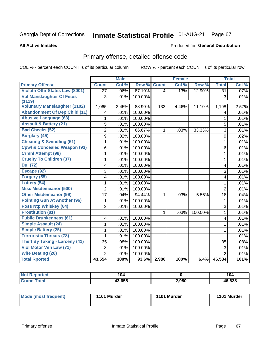#### **Inmate Statistical Profile 01-AUG-21** Page 67

**All Active Inmates** 

#### Produced for General Distribution

## Primary offense, detailed offense code

COL % - percent each COUNT is of its particular column

|                                         |                 | <b>Male</b> |         |              | <b>Female</b> |         |                | <b>Total</b> |
|-----------------------------------------|-----------------|-------------|---------|--------------|---------------|---------|----------------|--------------|
| <b>Primary Offense</b>                  | <b>Count</b>    | Col %       | Row %   | <b>Count</b> | Col%          | Row %   | <b>Total</b>   | Col %        |
| <b>Violatn Othr States Law (8001)</b>   | $\overline{27}$ | .06%        | 87.10%  | 4            | .13%          | 12.90%  | 31             | .07%         |
| <b>Vol Manslaughter Of Fetus</b>        | 3               | .01%        | 100.00% |              |               |         | 3              | .01%         |
| (1119)                                  |                 |             |         |              |               |         |                |              |
| <b>Voluntary Manslaughter (1102)</b>    | 1,065           | 2.45%       | 88.90%  | 133          | 4.46%         | 11.10%  | 1,198          | 2.57%        |
| <b>Abandonment Of Dep Child (11)</b>    | 4               | .01%        | 100.00% |              |               |         | 4              | .01%         |
| <b>Abusive Language (63)</b>            | 1               | .01%        | 100.00% |              |               |         | $\mathbf{1}$   | .01%         |
| <b>Assault &amp; Battery (21)</b>       | 5               | .01%        | 100.00% |              |               |         | 5              | .01%         |
| <b>Bad Checks (52)</b>                  | $\overline{2}$  | .01%        | 66.67%  | 1            | .03%          | 33.33%  | 3              | .01%         |
| <b>Burglary (45)</b>                    | 9               | .02%        | 100.00% |              |               |         | 9              | .02%         |
| <b>Cheating &amp; Swindling (51)</b>    | 1               | .01%        | 100.00% |              |               |         | $\mathbf{1}$   | .01%         |
| <b>Cpwl &amp; Concealed Weapon (93)</b> | 6               | .01%        | 100.00% |              |               |         | 6              | .01%         |
| <b>Crmnl Attempt (98)</b>               | 1               | .01%        | 100.00% |              |               |         | 1              | .01%         |
| <b>Cruelty To Children (37)</b>         | 1               | .01%        | 100.00% |              |               |         | 1              | .01%         |
| <b>Dui</b> (72)                         | 4               | .01%        | 100.00% |              |               |         | 4              | .01%         |
| Escape (92)                             | 3               | .01%        | 100.00% |              |               |         | 3              | .01%         |
| Forgery (55)                            | 4               | .01%        | 100.00% |              |               |         | 4              | .01%         |
| Lottery (54)                            | 1               | .01%        | 100.00% |              |               |         | $\mathbf{1}$   | .01%         |
| <b>Misc Misdemeanor (500)</b>           | $\overline{2}$  | .01%        | 100.00% |              |               |         | $\overline{2}$ | .01%         |
| <b>Other Misdemeanor (99)</b>           | 17              | .04%        | 94.44%  | $\mathbf{1}$ | .03%          | 5.56%   | 18             | .04%         |
| <b>Pointing Gun At Another (96)</b>     | 1               | .01%        | 100.00% |              |               |         | 1              | .01%         |
| <b>Poss Ntp Whiskey (64)</b>            | 3               | .01%        | 100.00% |              |               |         | $\overline{3}$ | .01%         |
| <b>Prostitution (81)</b>                |                 |             |         | $\mathbf{1}$ | .03%          | 100.00% | $\mathbf{1}$   | .01%         |
| <b>Public Drunkenness (61)</b>          | 4               | .01%        | 100.00% |              |               |         | 4              | .01%         |
| <b>Simple Assault (24)</b>              | 1               | .01%        | 100.00% |              |               |         | 1              | .01%         |
| <b>Simple Battery (25)</b>              | 1               | .01%        | 100.00% |              |               |         | 1              | .01%         |
| <b>Terroristic Threats (78)</b>         | 1               | .01%        | 100.00% |              |               |         | 1              | .01%         |
| <b>Theft By Taking - Larceny (41)</b>   | 35              | .08%        | 100.00% |              |               |         | 35             | .08%         |
| Viol Motor Veh Law (71)                 | 3               | .01%        | 100.00% |              |               |         | 3              | .01%         |
| <b>Wife Beating (28)</b>                | $\overline{2}$  | .01%        | 100.00% |              |               |         | $\overline{2}$ | .01%         |
| <b>Total Rported</b>                    | 43,554          | 100%        | 93.6%   | 2,980        | 100%          | 6.4%    | 46,534         | 101%         |

| <b>Not Reported</b> | 104    |       | 104   |
|---------------------|--------|-------|-------|
| ⊺otal               | 43,658 | 2,980 | 6.638 |

| Mode (most frequent) | 1101 Murder | 1101 Murder | 1101 Murder |
|----------------------|-------------|-------------|-------------|
|                      |             |             |             |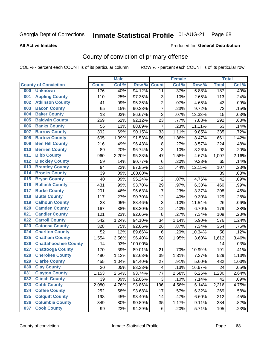# Inmate Statistical Profile 01-AUG-21 Page 68

Produced for General Distribution

#### **All Active Inmates**

## County of conviction of primary offense

COL % - percent each COUNT is of its particular column

|     |                             |              | <b>Male</b> |         |                           | <b>Female</b> |        |              | <b>Total</b> |
|-----|-----------------------------|--------------|-------------|---------|---------------------------|---------------|--------|--------------|--------------|
|     | <b>County of Conviction</b> | <b>Count</b> | Col %       | Row %   | <b>Count</b>              | Col %         | Row %  | <b>Total</b> | Col %        |
| 000 | <b>Unknown</b>              | 176          | .40%        | 94.12%  | 11                        | .37%          | 5.88%  | 187          | .40%         |
| 001 | <b>Appling County</b>       | 110          | .25%        | 97.35%  | 3                         | .10%          | 2.65%  | 113          | .24%         |
| 002 | <b>Atkinson County</b>      | 41           | .09%        | 95.35%  | $\overline{2}$            | .07%          | 4.65%  | 43           | .09%         |
| 003 | <b>Bacon County</b>         | 65           | .15%        | 90.28%  | $\overline{7}$            | .23%          | 9.72%  | 72           | .15%         |
| 004 | <b>Baker County</b>         | 13           | .03%        | 86.67%  | $\overline{2}$            | .07%          | 13.33% | 15           | .03%         |
| 005 | <b>Baldwin County</b>       | 269          | .62%        | 92.12%  | 23                        | .77%          | 7.88%  | 292          | .63%         |
| 006 | <b>Banks County</b>         | 56           | .13%        | 88.89%  | $\overline{7}$            | .23%          | 11.11% | 63           | .14%         |
| 007 | <b>Barrow County</b>        | 302          | .69%        | 90.15%  | 33                        | 1.11%         | 9.85%  | 335          | .72%         |
| 008 | <b>Bartow County</b>        | 605          | 1.39%       | 91.53%  | 56                        | 1.88%         | 8.47%  | 661          | 1.42%        |
| 009 | <b>Ben Hill County</b>      | 216          | .49%        | 96.43%  | 8                         | .27%          | 3.57%  | 224          | .48%         |
| 010 | <b>Berrien County</b>       | 89           | .20%        | 96.74%  | 3                         | .10%          | 3.26%  | 92           | .20%         |
| 011 | <b>Bibb County</b>          | 960          | 2.20%       | 95.33%  | 47                        | 1.58%         | 4.67%  | 1,007        | 2.16%        |
| 012 | <b>Bleckley County</b>      | 59           | .14%        | 90.77%  | 6                         | .20%          | 9.23%  | 65           | .14%         |
| 013 | <b>Brantley County</b>      | 94           | .22%        | 87.85%  | 13                        | .44%          | 12.15% | 107          | .23%         |
| 014 | <b>Brooks County</b>        | 39           | .09%        | 100.00% |                           |               |        | 39           | .08%         |
| 015 | <b>Bryan County</b>         | 40           | .09%        | 95.24%  | $\overline{2}$            | .07%          | 4.76%  | 42           | .09%         |
| 016 | <b>Bulloch County</b>       | 431          | .99%        | 93.70%  | 29                        | .97%          | 6.30%  | 460          | .99%         |
| 017 | <b>Burke County</b>         | 201          | .46%        | 96.63%  | $\overline{7}$            | .23%          | 3.37%  | 208          | .45%         |
| 018 | <b>Butts County</b>         | 117          | .27%        | 90.70%  | 12                        | .40%          | 9.30%  | 129          | .28%         |
| 019 | <b>Calhoun County</b>       | 23           | .05%        | 88.46%  | $\ensuremath{\mathsf{3}}$ | .10%          | 11.54% | 26           | .06%         |
| 020 | <b>Camden County</b>        | 167          | .38%        | 93.30%  | 12                        | .40%          | 6.70%  | 179          | .38%         |
| 021 | <b>Candler County</b>       | 101          | .23%        | 92.66%  | $\, 8$                    | .27%          | 7.34%  | 109          | .23%         |
| 022 | <b>Carroll County</b>       | 542          | 1.24%       | 94.10%  | 34                        | 1.14%         | 5.90%  | 576          | 1.24%        |
| 023 | <b>Catoosa County</b>       | 328          | .75%        | 92.66%  | 26                        | .87%          | 7.34%  | 354          | .76%         |
| 024 | <b>Charlton County</b>      | 52           | .12%        | 89.66%  | 6                         | .20%          | 10.34% | 58           | .12%         |
| 025 | <b>Chatham County</b>       | 1,554        | 3.56%       | 96.40%  | 58                        | 1.95%         | 3.60%  | 1,612        | 3.46%        |
| 026 | <b>Chattahoochee County</b> | 14           | .03%        | 100.00% |                           |               |        | 14           | .03%         |
| 027 | <b>Chattooga County</b>     | 170          | .39%        | 89.01%  | 21                        | .70%          | 10.99% | 191          | .41%         |
| 028 | <b>Cherokee County</b>      | 490          | 1.12%       | 92.63%  | 39                        | 1.31%         | 7.37%  | 529          | 1.13%        |
| 029 | <b>Clarke County</b>        | 455          | 1.04%       | 94.40%  | 27                        | .91%          | 5.60%  | 482          | 1.03%        |
| 030 | <b>Clay County</b>          | 20           | .05%        | 83.33%  | $\overline{\mathcal{A}}$  | .13%          | 16.67% | 24           | .05%         |
| 031 | <b>Clayton County</b>       | 1,153        | 2.64%       | 93.74%  | 77                        | 2.58%         | 6.26%  | 1,230        | 2.64%        |
| 032 | <b>Clinch County</b>        | 39           | .09%        | 92.86%  | 3                         | .10%          | 7.14%  | 42           | .09%         |
| 033 | <b>Cobb County</b>          | 2,080        | 4.76%       | 93.86%  | 136                       | 4.56%         | 6.14%  | 2,216        | 4.75%        |
| 034 | <b>Coffee County</b>        | 252          | .58%        | 93.68%  | 17                        | .57%          | 6.32%  | 269          | .58%         |
| 035 | <b>Colquitt County</b>      | 198          | .45%        | 93.40%  | 14                        | .47%          | 6.60%  | 212          | .45%         |
| 036 | <b>Columbia County</b>      | 349          | .80%        | 90.89%  | 35                        | 1.17%         | 9.11%  | 384          | .82%         |
| 037 | <b>Cook County</b>          | 99           | .23%        | 94.29%  | 6                         | .20%          | 5.71%  | 105          | .23%         |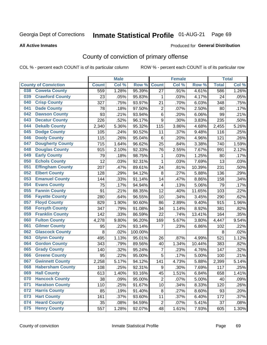# Inmate Statistical Profile 01-AUG-21 Page 69

Produced for General Distribution

#### **All Active Inmates**

## County of conviction of primary offense

COL % - percent each COUNT is of its particular column

|                                |              | <b>Male</b> |         |                         | <b>Female</b> |        |              | <b>Total</b> |
|--------------------------------|--------------|-------------|---------|-------------------------|---------------|--------|--------------|--------------|
| <b>County of Conviction</b>    | <b>Count</b> | Col %       | Row %   | <b>Count</b>            | Col %         | Row %  | <b>Total</b> | Col %        |
| <b>Coweta County</b><br>038    | 559          | 1.28%       | 95.39%  | 27                      | .91%          | 4.61%  | 586          | 1.26%        |
| <b>Crawford County</b><br>039  | 23           | .05%        | 95.83%  | 1                       | .03%          | 4.17%  | 24           | .05%         |
| <b>Crisp County</b><br>040     | 327          | .75%        | 93.97%  | 21                      | .70%          | 6.03%  | 348          | .75%         |
| <b>Dade County</b><br>041      | 78           | .18%        | 97.50%  | $\overline{2}$          | .07%          | 2.50%  | 80           | .17%         |
| <b>Dawson County</b><br>042    | 93           | .21%        | 93.94%  | 6                       | .20%          | 6.06%  | 99           | .21%         |
| 043<br><b>Decatur County</b>   | 226          | .52%        | 96.17%  | 9                       | .30%          | 3.83%  | 235          | .50%         |
| <b>Dekalb County</b><br>044    | 2,340        | 5.36%       | 95.32%  | 115                     | 3.86%         | 4.68%  | 2,455        | 5.26%        |
| <b>Dodge County</b><br>045     | 105          | .24%        | 90.52%  | 11                      | .37%          | 9.48%  | 116          | .25%         |
| <b>Dooly County</b><br>046     | 115          | .26%        | 95.04%  | 6                       | .20%          | 4.96%  | 121          | .26%         |
| 047<br><b>Dougherty County</b> | 715          | 1.64%       | 96.62%  | 25                      | .84%          | 3.38%  | 740          | 1.59%        |
| <b>Douglas County</b><br>048   | 915          | 2.10%       | 92.33%  | 76                      | 2.55%         | 7.67%  | 991          | 2.12%        |
| <b>Early County</b><br>049     | 79           | .18%        | 98.75%  | 1                       | .03%          | 1.25%  | 80           | .17%         |
| <b>Echols County</b><br>050    | 12           | .03%        | 92.31%  | $\mathbf{1}$            | .03%          | 7.69%  | 13           | .03%         |
| 051<br><b>Effingham County</b> | 207          | .47%        | 89.61%  | 24                      | .81%          | 10.39% | 231          | .50%         |
| <b>Elbert County</b><br>052    | 128          | .29%        | 94.12%  | 8                       | .27%          | 5.88%  | 136          | .29%         |
| <b>Emanuel County</b><br>053   | 144          | .33%        | 91.14%  | 14                      | .47%          | 8.86%  | 158          | .34%         |
| <b>Evans County</b><br>054     | 75           | .17%        | 94.94%  | $\overline{\mathbf{4}}$ | .13%          | 5.06%  | 79           | .17%         |
| <b>Fannin County</b><br>055    | 91           | .21%        | 88.35%  | 12                      | .40%          | 11.65% | 103          | .22%         |
| <b>Fayette County</b><br>056   | 280          | .64%        | 96.55%  | 10                      | .34%          | 3.45%  | 290          | .62%         |
| <b>Floyd County</b><br>057     | 829          | 1.90%       | 90.60%  | 86                      | 2.89%         | 9.40%  | 915          | 1.96%        |
| <b>Forsyth County</b><br>058   | 347          | .79%        | 91.08%  | 34                      | 1.14%         | 8.92%  | 381          | .82%         |
| <b>Franklin County</b><br>059  | 142          | .33%        | 86.59%  | 22                      | .74%          | 13.41% | 164          | .35%         |
| <b>Fulton County</b><br>060    | 4,278        | 9.80%       | 96.20%  | 169                     | 5.67%         | 3.80%  | 4,447        | 9.54%        |
| <b>Gilmer County</b><br>061    | 95           | .22%        | 93.14%  | 7                       | .23%          | 6.86%  | 102          | .22%         |
| <b>Glascock County</b><br>062  | 8            | .02%        | 100.00% |                         |               |        | 8            | .02%         |
| 063<br><b>Glynn County</b>     | 495          | 1.13%       | 95.01%  | 26                      | .87%          | 4.99%  | 521          | 1.12%        |
| <b>Gordon County</b><br>064    | 343          | .79%        | 89.56%  | 40                      | 1.34%         | 10.44% | 383          | .82%         |
| <b>Grady County</b><br>065     | 140          | .32%        | 95.24%  | $\overline{7}$          | .23%          | 4.76%  | 147          | .32%         |
| <b>Greene County</b><br>066    | 95           | .22%        | 95.00%  | 5                       | .17%          | 5.00%  | 100          | .21%         |
| <b>Gwinnett County</b><br>067  | 2,258        | 5.17%       | 94.12%  | 141                     | 4.73%         | 5.88%  | 2,399        | 5.14%        |
| <b>Habersham County</b><br>068 | 108          | .25%        | 92.31%  | 9                       | .30%          | 7.69%  | 117          | .25%         |
| 069<br><b>Hall County</b>      | 613          | 1.40%       | 93.16%  | 45                      | 1.51%         | 6.84%  | 658          | 1.41%        |
| <b>Hancock County</b><br>070   | 38           | .09%        | 95.00%  | $\overline{2}$          | .07%          | 5.00%  | 40           | .09%         |
| <b>Haralson County</b><br>071  | 110          | .25%        | 91.67%  | 10                      | .34%          | 8.33%  | 120          | .26%         |
| <b>Harris County</b><br>072    | 85           | .19%        | 91.40%  | 8                       | .27%          | 8.60%  | 93           | .20%         |
| <b>Hart County</b><br>073      | 161          | .37%        | 93.60%  | 11                      | .37%          | 6.40%  | 172          | .37%         |
| <b>Heard County</b><br>074     | 35           | .08%        | 94.59%  | $\overline{2}$          | .07%          | 5.41%  | 37           | .08%         |
| <b>Henry County</b><br>075     | 557          | 1.28%       | 92.07%  | 48                      | 1.61%         | 7.93%  | 605          | 1.30%        |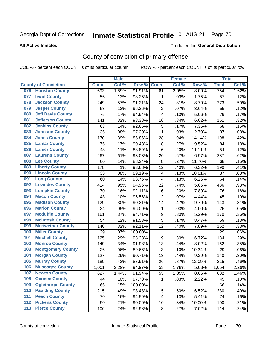# Inmate Statistical Profile 01-AUG-21 Page 70

#### **All Active Inmates**

#### Produced for General Distribution

## County of conviction of primary offense

COL % - percent each COUNT is of its particular column

|     |                             |                 | <b>Male</b> |         |                         | <b>Female</b> |        |              | <b>Total</b> |
|-----|-----------------------------|-----------------|-------------|---------|-------------------------|---------------|--------|--------------|--------------|
|     | <b>County of Conviction</b> | <b>Count</b>    | Col %       | Row %   | <b>Count</b>            | Col%          | Row %  | <b>Total</b> | Col %        |
| 076 | <b>Houston County</b>       | 693             | 1.59%       | 91.91%  | 61                      | 2.05%         | 8.09%  | 754          | 1.62%        |
| 077 | <b>Irwin County</b>         | 56              | .13%        | 98.25%  | 1                       | .03%          | 1.75%  | 57           | .12%         |
| 078 | <b>Jackson County</b>       | 249             | .57%        | 91.21%  | 24                      | .81%          | 8.79%  | 273          | .59%         |
| 079 | <b>Jasper County</b>        | 53              | .12%        | 96.36%  | $\overline{2}$          | .07%          | 3.64%  | 55           | .12%         |
| 080 | <b>Jeff Davis County</b>    | $\overline{75}$ | .17%        | 94.94%  | 4                       | .13%          | 5.06%  | 79           | .17%         |
| 081 | <b>Jefferson County</b>     | 141             | .32%        | 93.38%  | 10                      | .34%          | 6.62%  | 151          | .32%         |
| 082 | <b>Jenkins County</b>       | 63              | .14%        | 92.65%  | 5                       | .17%          | 7.35%  | 68           | .15%         |
| 083 | <b>Johnson County</b>       | 36              | .08%        | 97.30%  | $\mathbf{1}$            | .03%          | 2.70%  | 37           | .08%         |
| 084 | <b>Jones County</b>         | 170             | .39%        | 85.86%  | 28                      | .94%          | 14.14% | 198          | .42%         |
| 085 | <b>Lamar County</b>         | 76              | .17%        | 90.48%  | 8                       | .27%          | 9.52%  | 84           | .18%         |
| 086 | <b>Lanier County</b>        | 48              | .11%        | 88.89%  | 6                       | .20%          | 11.11% | 54           | .12%         |
| 087 | <b>Laurens County</b>       | 267             | .61%        | 93.03%  | 20                      | .67%          | 6.97%  | 287          | .62%         |
| 088 | <b>Lee County</b>           | 60              | .14%        | 88.24%  | $\, 8$                  | .27%          | 11.76% | 68           | .15%         |
| 089 | <b>Liberty County</b>       | 178             | .41%        | 93.68%  | 12                      | .40%          | 6.32%  | 190          | .41%         |
| 090 | <b>Lincoln County</b>       | 33              | .08%        | 89.19%  | $\overline{\mathbf{4}}$ | .13%          | 10.81% | 37           | .08%         |
| 091 | <b>Long County</b>          | 60              | .14%        | 93.75%  | 4                       | .13%          | 6.25%  | 64           | .14%         |
| 092 | <b>Lowndes County</b>       | 414             | .95%        | 94.95%  | 22                      | .74%          | 5.05%  | 436          | .93%         |
| 093 | <b>Lumpkin County</b>       | 70              | .16%        | 92.11%  | 6                       | .20%          | 7.89%  | 76           | .16%         |
| 094 | <b>Macon County</b>         | 43              | .10%        | 95.56%  | $\overline{2}$          | .07%          | 4.44%  | 45           | .10%         |
| 095 | <b>Madison County</b>       | 129             | .30%        | 90.21%  | 14                      | .47%          | 9.79%  | 143          | .31%         |
| 096 | <b>Marion County</b>        | 24              | .05%        | 96.00%  | $\mathbf{1}$            | .03%          | 4.00%  | 25           | .05%         |
| 097 | <b>Mcduffie County</b>      | 161             | .37%        | 94.71%  | $\boldsymbol{9}$        | .30%          | 5.29%  | 170          | .36%         |
| 098 | <b>Mcintosh County</b>      | 54              | .12%        | 91.53%  | 5                       | .17%          | 8.47%  | 59           | .13%         |
| 099 | <b>Meriwether County</b>    | 140             | .32%        | 92.11%  | 12                      | .40%          | 7.89%  | 152          | .33%         |
| 100 | <b>Miller County</b>        | 29              | .07%        | 100.00% |                         |               |        | 29           | .06%         |
| 101 | <b>Mitchell County</b>      | 125             | .29%        | 93.28%  | 9                       | .30%          | 6.72%  | 134          | .29%         |
| 102 | <b>Monroe County</b>        | 149             | .34%        | 91.98%  | 13                      | .44%          | 8.02%  | 162          | .35%         |
| 103 | <b>Montgomery County</b>    | 26              | .06%        | 89.66%  | 3                       | .10%          | 10.34% | 29           | .06%         |
| 104 | <b>Morgan County</b>        | 127             | .29%        | 90.71%  | 13                      | .44%          | 9.29%  | 140          | .30%         |
| 105 | <b>Murray County</b>        | 189             | .43%        | 87.91%  | 26                      | .87%          | 12.09% | 215          | .46%         |
| 106 | <b>Muscogee County</b>      | 1,001           | 2.29%       | 94.97%  | 53                      | 1.78%         | 5.03%  | 1,054        | 2.26%        |
| 107 | <b>Newton County</b>        | 627             | 1.44%       | 91.94%  | 55                      | 1.85%         | 8.06%  | 682          | 1.46%        |
| 108 | <b>Oconee County</b>        | 44              | .10%        | 97.78%  | 1                       | .03%          | 2.22%  | 45           | .10%         |
| 109 | <b>Oglethorpe County</b>    | 66              | .15%        | 100.00% |                         |               |        | 66           | .14%         |
| 110 | <b>Paulding County</b>      | 215             | .49%        | 93.48%  | 15                      | .50%          | 6.52%  | 230          | .49%         |
| 111 | <b>Peach County</b>         | 70              | .16%        | 94.59%  | 4                       | .13%          | 5.41%  | 74           | .16%         |
| 112 | <b>Pickens County</b>       | 90              | .21%        | 90.00%  | 10                      | .34%          | 10.00% | 100          | .21%         |
| 113 | <b>Pierce County</b>        | 106             | .24%        | 92.98%  | 8                       | .27%          | 7.02%  | 114          | .24%         |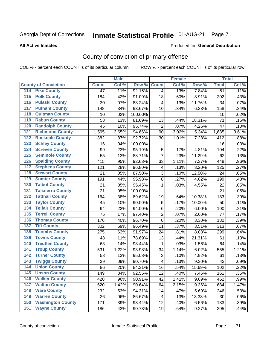# Inmate Statistical Profile 01-AUG-21 Page 71

#### **All Active Inmates**

#### Produced for General Distribution

## County of conviction of primary offense

COL % - percent each COUNT is of its particular column

|                                          |              | <b>Male</b> |         |                         | <b>Female</b> |        |                 | <b>Total</b> |
|------------------------------------------|--------------|-------------|---------|-------------------------|---------------|--------|-----------------|--------------|
| <b>County of Conviction</b>              | <b>Count</b> | Col %       | Row %   | <b>Count</b>            | Col %         | Row %  | <b>Total</b>    | Col %        |
| <b>Pike County</b><br>114                | 47           | .11%        | 92.16%  | $\overline{4}$          | .13%          | 7.84%  | $\overline{51}$ | .11%         |
| <b>Polk County</b><br>$\overline{115}$   | 184          | .42%        | 91.09%  | 18                      | .60%          | 8.91%  | 202             | .43%         |
| <b>Pulaski County</b><br>116             | 30           | .07%        | 88.24%  | 4                       | .13%          | 11.76% | 34              | .07%         |
| <b>Putnam County</b><br>117              | 148          | .34%        | 93.67%  | 10                      | .34%          | 6.33%  | 158             | .34%         |
| <b>Quitman County</b><br>118             | 10           | .02%        | 100.00% |                         |               |        | 10              | .02%         |
| <b>Rabun County</b><br>119               | 58           | .13%        | 81.69%  | 13                      | .44%          | 18.31% | 71              | .15%         |
| <b>Randolph County</b><br>120            | 45           | .10%        | 95.74%  | $\overline{2}$          | .07%          | 4.26%  | 47              | .10%         |
| <b>Richmond County</b><br>121            | 1,595        | 3.65%       | 94.66%  | 90                      | 3.02%         | 5.34%  | 1,685           | 3.61%        |
| <b>Rockdale County</b><br>122            | 382          | .87%        | 92.72%  | 30                      | 1.01%         | 7.28%  | 412             | .88%         |
| <b>Schley County</b><br>123              | 16           | .04%        | 100.00% |                         |               |        | 16              | .03%         |
| <b>Screven County</b><br>124             | 99           | .23%        | 95.19%  | $\mathbf 5$             | .17%          | 4.81%  | 104             | .22%         |
| <b>Seminole County</b><br>125            | 55           | .13%        | 88.71%  | $\overline{7}$          | .23%          | 11.29% | 62              | .13%         |
| <b>Spalding County</b><br>126            | 415          | .95%        | 92.63%  | 33                      | 1.11%         | 7.37%  | 448             | .96%         |
| <b>Stephens County</b><br>127            | 121          | .28%        | 96.80%  | 4                       | .13%          | 3.20%  | 125             | .27%         |
| <b>Stewart County</b><br>128             | 21           | .05%        | 87.50%  | 3                       | .10%          | 12.50% | 24              | .05%         |
| <b>Sumter County</b><br>129              | 191          | .44%        | 95.98%  | 8                       | .27%          | 4.02%  | 199             | .43%         |
| <b>Talbot County</b><br>130              | 21           | .05%        | 95.45%  | 1                       | .03%          | 4.55%  | 22              | .05%         |
| <b>Taliaferro County</b><br>131          | 21           | .05%        | 100.00% |                         |               |        | 21              | .05%         |
| <b>Tattnall County</b><br>132            | 164          | .38%        | 89.62%  | 19                      | .64%          | 10.38% | 183             | .39%         |
| <b>Taylor County</b><br>133              | 45           | .10%        | 90.00%  | 5                       | .17%          | 10.00% | 50              | .11%         |
| <b>Telfair County</b><br>134             | 94           | .22%        | 94.00%  | 6                       | .20%          | 6.00%  | 100             | .21%         |
| <b>Terrell County</b><br>135             | 75           | .17%        | 97.40%  | $\overline{2}$          | .07%          | 2.60%  | 77              | .17%         |
| <b>Thomas County</b><br>136              | 176          | .40%        | 96.70%  | 6                       | .20%          | 3.30%  | 182             | .39%         |
| <b>Tift County</b><br>137                | 302          | .69%        | 96.49%  | 11                      | .37%          | 3.51%  | 313             | .67%         |
| <b>Toombs County</b><br>138              | 275          | .63%        | 91.97%  | 24                      | .81%          | 8.03%  | 299             | .64%         |
| <b>Towns County</b><br>139               | 48           | .11%        | 78.69%  | 13                      | .44%          | 21.31% | 61              | .13%         |
| <b>Treutlen County</b><br>140            | 63           | .14%        | 98.44%  | 1                       | .03%          | 1.56%  | 64              | .14%         |
| <b>Troup County</b><br>141               | 531          | 1.22%       | 93.98%  | 34                      | 1.14%         | 6.02%  | 565             | 1.21%        |
| <b>Turner County</b><br>142              | 58           | .13%        | 95.08%  | 3                       | .10%          | 4.92%  | 61              | .13%         |
| <b>Twiggs County</b><br>$\overline{143}$ | 39           | .09%        | 90.70%  | $\overline{\mathbf{4}}$ | .13%          | 9.30%  | 43              | .09%         |
| <b>Union County</b><br>144               | 86           | .20%        | 84.31%  | 16                      | .54%          | 15.69% | 102             | .22%         |
| 145<br><b>Upson County</b>               | 149          | .34%        | 92.55%  | 12                      | .40%          | 7.45%  | 161             | .35%         |
| <b>Walker County</b><br>146              | 420          | .96%        | 90.91%  | 42                      | 1.41%         | 9.09%  | 462             | .99%         |
| <b>Walton County</b><br>147              | 620          | 1.42%       | 90.64%  | 64                      | 2.15%         | 9.36%  | 684             | 1.47%        |
| <b>Ware County</b><br>148                | 232          | .53%        | 94.31%  | 14                      | .47%          | 5.69%  | 246             | .53%         |
| <b>Warren County</b><br>149              | 26           | .06%        | 86.67%  | 4                       | .13%          | 13.33% | 30              | .06%         |
| <b>Washington County</b><br>150          | 171          | .39%        | 93.44%  | 12                      | .40%          | 6.56%  | 183             | .39%         |
| <b>Wayne County</b><br>151               | 186          | .43%        | 90.73%  | 19                      | .64%          | 9.27%  | 205             | .44%         |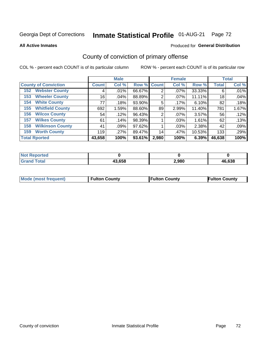# Inmate Statistical Profile 01-AUG-21 Page 72

**All Active Inmates** 

#### Produced for General Distribution

## County of conviction of primary offense

COL % - percent each COUNT is of its particular column

|                                |              | <b>Male</b> |             |       | <b>Female</b> |        |              | <b>Total</b> |
|--------------------------------|--------------|-------------|-------------|-------|---------------|--------|--------------|--------------|
| <b>County of Conviction</b>    | <b>Count</b> | Col %       | Row % Count |       | Col %         | Row %  | <b>Total</b> | Col %        |
| <b>Webster County</b><br>152   | 4            | .01%        | 66.67%      | 2     | $.07\%$       | 33.33% | 6            | .01%         |
| <b>Wheeler County</b><br>153   | 16           | $.04\%$     | 88.89%      | 2     | $.07\%$       | 11.11% | 18           | .04%         |
| <b>White County</b><br>154     | 77           | .18%        | 93.90%      | 5     | .17%          | 6.10%  | 82           | .18%         |
| <b>Whitfield County</b><br>155 | 692          | 1.59%       | 88.60%      | 89    | 2.99%         | 11.40% | 781          | 1.67%        |
| <b>Wilcox County</b><br>156    | 54           | .12%        | 96.43%      | 2     | $.07\%$       | 3.57%  | 56           | .12%         |
| <b>Wilkes County</b><br>157    | 61           | .14%        | 98.39%      |       | .03%          | 1.61%  | 62           | .13%         |
| <b>Wilkinson County</b><br>158 | 41           | .09%        | 97.62%      |       | .03%          | 2.38%  | 42           | .09%         |
| <b>Worth County</b><br>159     | 119          | .27%        | 89.47%      | 14    | .47%          | 10.53% | 133          | .29%         |
| <b>Total Rported</b>           | 43,658       | 100%        | 93.61%      | 2,980 | 100%          | 6.39%  | 46,638       | 100%         |

| <b>Not Reported</b> |        |       |        |
|---------------------|--------|-------|--------|
| <b>Grand Total</b>  | 43,658 | 2,980 | 46,638 |

| Mode (most frequent) | <b>Fulton County</b> | <b>Fulton County</b> | <b>Fulton County</b> |
|----------------------|----------------------|----------------------|----------------------|
|                      |                      |                      |                      |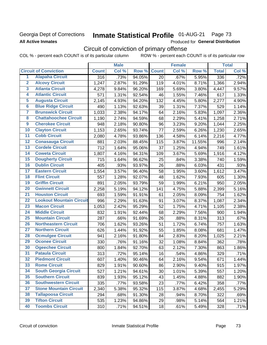### Georgia Dept of Corrections **All Active Inmates**

# Inmate Statistical Profile 01-AUG-21 Page 73

Produced for General Distribution

## Circuit of conviction of primary offense

COL % - percent each COUNT is of its particular column ROW % - percent each COUNT is of its particular row

|                         |                                 | <b>Male</b>  |       |        | <b>Female</b> |       |        | <b>Total</b> |       |
|-------------------------|---------------------------------|--------------|-------|--------|---------------|-------|--------|--------------|-------|
|                         | <b>Circuit of Conviction</b>    | <b>Count</b> | Col % | Row %  | <b>Count</b>  | Col % | Row %  | <b>Total</b> | Col % |
| $\overline{1}$          | <b>Alapaha Circuit</b>          | 316          | .73%  | 94.05% | 20            | .67%  | 5.95%  | 336          | .72%  |
| $\overline{2}$          | <b>Alcovy Circuit</b>           | 1,247        | 2.87% | 91.29% | 119           | 4.01% | 8.71%  | 1,366        | 2.94% |
| $\overline{\mathbf{3}}$ | <b>Atlanta Circuit</b>          | 4,278        | 9.84% | 96.20% | 169           | 5.69% | 3.80%  | 4,447        | 9.57% |
| 4                       | <b>Atlantic Circuit</b>         | 571          | 1.31% | 92.54% | 46            | 1.55% | 7.46%  | 617          | 1.33% |
| 5                       | <b>Augusta Circuit</b>          | 2,145        | 4.93% | 94.20% | 132           | 4.45% | 5.80%  | 2,277        | 4.90% |
| $\overline{\mathbf{6}}$ | <b>Blue Ridge Circuit</b>       | 490          | 1.13% | 92.63% | 39            | 1.31% | 7.37%  | 529          | 1.14% |
| $\overline{\mathbf{7}}$ | <b>Brunswick Circuit</b>        | 1,033        | 2.38% | 94.17% | 64            | 2.16% | 5.83%  | 1,097        | 2.36% |
| 8                       | <b>Chattahoochee Circuit</b>    | 1,190        | 2.74% | 94.59% | 68            | 2.29% | 5.41%  | 1,258        | 2.71% |
| $\overline{9}$          | <b>Cherokee Circuit</b>         | 948          | 2.18% | 90.80% | 96            | 3.23% | 9.20%  | 1,044        | 2.25% |
| 10                      | <b>Clayton Circuit</b>          | 1,153        | 2.65% | 93.74% | 77            | 2.59% | 6.26%  | 1,230        | 2.65% |
| $\overline{11}$         | <b>Cobb Circuit</b>             | 2,080        | 4.78% | 93.86% | 136           | 4.58% | 6.14%  | 2,216        | 4.77% |
| 12                      | <b>Conasauga Circuit</b>        | 881          | 2.03% | 88.45% | 115           | 3.87% | 11.55% | 996          | 2.14% |
| 13                      | <b>Cordele Circuit</b>          | 712          | 1.64% | 95.06% | 37            | 1.25% | 4.94%  | 749          | 1.61% |
| $\overline{14}$         | <b>Coweta Circuit</b>           | 1,807        | 4.16% | 94.31% | 109           | 3.67% | 5.69%  | 1,916        | 4.12% |
| $\overline{15}$         | <b>Dougherty Circuit</b>        | 715          | 1.64% | 96.62% | 25            | .84%  | 3.38%  | 740          | 1.59% |
| 16                      | <b>Dublin Circuit</b>           | 405          | .93%  | 93.97% | 26            | .88%  | 6.03%  | 431          | .93%  |
| $\overline{17}$         | <b>Eastern Circuit</b>          | 1,554        | 3.57% | 96.40% | 58            | 1.95% | 3.60%  | 1,612        | 3.47% |
| 18                      | <b>Flint Circuit</b>            | 557          | 1.28% | 92.07% | 48            | 1.62% | 7.93%  | 605          | 1.30% |
| 19                      | <b>Griffin Circuit</b>          | 891          | 2.05% | 93.79% | 59            | 1.99% | 6.21%  | 950          | 2.05% |
| 20                      | <b>Gwinnett Circuit</b>         | 2,258        | 5.19% | 94.12% | 141           | 4.75% | 5.88%  | 2,399        | 5.16% |
| $\overline{21}$         | <b>Houston Circuit</b>          | 693          | 1.59% | 91.91% | 61            | 2.05% | 8.09%  | 754          | 1.62% |
| $\overline{22}$         | <b>Lookout Mountain Circuit</b> | 996          | 2.29% | 91.63% | 91            | 3.07% | 8.37%  | 1,087        | 2.34% |
| 23                      | <b>Macon Circuit</b>            | 1,053        | 2.42% | 95.29% | 52            | 1.75% | 4.71%  | 1,105        | 2.38% |
| 24                      | <b>Middle Circuit</b>           | 832          | 1.91% | 92.44% | 68            | 2.29% | 7.56%  | 900          | 1.94% |
| $\overline{25}$         | <b>Mountain Circuit</b>         | 287          | .66%  | 91.69% | 26            | .88%  | 8.31%  | 313          | .67%  |
| 26                      | <b>Northeastern Circuit</b>     | 706          | 1.62% | 93.26% | 51            | 1.72% | 6.74%  | 757          | 1.63% |
| $\overline{27}$         | <b>Northern Circuit</b>         | 626          | 1.44% | 91.92% | 55            | 1.85% | 8.08%  | 681          | 1.47% |
| 28                      | <b>Ocmulgee Circuit</b>         | 941          | 2.16% | 91.80% | 84            | 2.83% | 8.20%  | 1,025        | 2.21% |
| 29                      | <b>Oconee Circuit</b>           | 330          | .76%  | 91.16% | 32            | 1.08% | 8.84%  | 362          | .78%  |
| 30                      | <b>Ogeechee Circuit</b>         | 800          | 1.84% | 92.70% | 63            | 2.12% | 7.30%  | 863          | 1.86% |
| $\overline{31}$         | <b>Pataula Circuit</b>          | 313          | .72%  | 95.14% | 16            | .54%  | 4.86%  | 329          | .71%  |
| 32                      | <b>Piedmont Circuit</b>         | 607          | 1.40% | 90.46% | 64            | 2.16% | 9.54%  | 671          | 1.44% |
| 33                      | <b>Rome Circuit</b>             | 829          | 1.91% | 90.60% | 86            | 2.90% | 9.40%  | 915          | 1.97% |
| 34                      | <b>South Georgia Circuit</b>    | 527          | 1.21% | 94.61% | 30            | 1.01% | 5.39%  | 557          | 1.20% |
| 35                      | <b>Southern Circuit</b>         | 839          | 1.93% | 95.12% | 43            | 1.45% | 4.88%  | 882          | 1.90% |
| 36                      | <b>Southwestern Circuit</b>     | 335          | .77%  | 93.58% | 23            | .77%  | 6.42%  | 358          | .77%  |
| 37                      | <b>Stone Mountain Circuit</b>   | 2,340        | 5.38% | 95.32% | 115           | 3.87% | 4.68%  | 2,455        | 5.29% |
| 38                      | <b>Tallapoosa Circuit</b>       | 294          | .68%  | 91.30% | 28            | .94%  | 8.70%  | 322          | .69%  |
| 39                      | <b>Tifton Circuit</b>           | 535          | 1.23% | 94.86% | 29            | .98%  | 5.14%  | 564          | 1.21% |
| 40                      | <b>Toombs Circuit</b>           | 310          | .71%  | 94.51% | 18            | .61%  | 5.49%  | 328          | .71%  |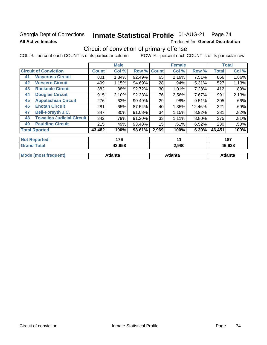## Georgia Dept of Corrections **All Active Inmates**

# Inmate Statistical Profile 01-AUG-21 Page 74

Produced for General Distribution

# Circuit of conviction of primary offense

|                    |                                  |              | <b>Male</b> |        |              | <b>Female</b> |        |              | <b>Total</b> |
|--------------------|----------------------------------|--------------|-------------|--------|--------------|---------------|--------|--------------|--------------|
|                    | <b>Circuit of Conviction</b>     | <b>Count</b> | Col %       | Row %  | <b>Count</b> | Col %         | Row %  | <b>Total</b> | Col %        |
| 41                 | <b>Waycross Circuit</b>          | 801          | 1.84%       | 92.49% | 65           | 2.19%         | 7.51%  | 866          | 1.86%        |
| 42                 | <b>Western Circuit</b>           | 499          | 1.15%       | 94.69% | 28           | .94%          | 5.31%  | 527          | 1.13%        |
| 43                 | <b>Rockdale Circuit</b>          | 382          | .88%        | 92.72% | 30           | 1.01%         | 7.28%  | 412          | .89%         |
| 44                 | <b>Douglas Circuit</b>           | 915          | 2.10%       | 92.33% | 76           | 2.56%         | 7.67%  | 991          | 2.13%        |
| 45                 | <b>Appalachian Circuit</b>       | 276          | .63%        | 90.49% | 29           | .98%          | 9.51%  | 305          | .66%         |
| 46                 | <b>Enotah Circuit</b>            | 281          | .65%        | 87.54% | 40           | 1.35%         | 12.46% | 321          | .69%         |
| 47                 | <b>Bell-Forsyth J.C.</b>         | 347          | $.80\%$     | 91.08% | 34           | 1.15%         | 8.92%  | 381          | .82%         |
| 48                 | <b>Towaliga Judicial Circuit</b> | 342          | .79%        | 91.20% | 33           | 1.11%         | 8.80%  | 375          | .81%         |
| 49                 | <b>Paulding Circuit</b>          | 215          | .49%        | 93.48% | 15           | .51%          | 6.52%  | 230          | .50%         |
|                    | <b>Total Rported</b>             | 43,482       | 100%        | 93.61% | 2,969        | 100%          | 6.39%  | 46,451       | 100%         |
|                    | <b>Not Reported</b>              |              | 176         |        |              | 11            |        |              | 187          |
| <b>Grand Total</b> |                                  |              | 43,658      |        |              | 2,980         |        |              | 46,638       |

| $\overline{\phantom{a}}$ oranu Tutan | 49.090  | L.JUU   | 90.UJU  |
|--------------------------------------|---------|---------|---------|
| Mo.<br>frequent)                     | Atlanta | Atlanta | Atlanta |
|                                      |         |         |         |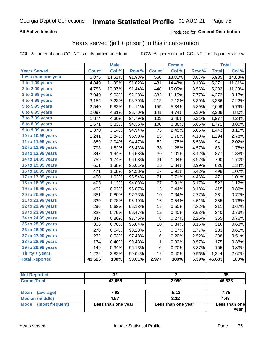#### **All Active Inmates**

#### Produced for **General Distribution**

## Years served (jail + prison) in this incarceration

COL % - percent each COUNT is of its particular column ROW % - percent each COUNT is of its particular row

|                       |              | <b>Male</b> |        |              | <b>Female</b> |       |              | <b>Total</b> |
|-----------------------|--------------|-------------|--------|--------------|---------------|-------|--------------|--------------|
| <b>Years Served</b>   | <b>Count</b> | Col %       | Row %  | <b>Count</b> | Col %         | Row % | <b>Total</b> | Col%         |
| Less than one year    | 6,375        | 14.61%      | 91.93% | 560          | 18.81%        | 8.07% | 6,935        | 14.88%       |
| 1 to 1.99 years       | 4,840        | 11.09%      | 91.82% | 431          | 14.48%        | 8.18% | 5,271        | 11.31%       |
| 2 to 2.99 years       | 4,785        | 10.97%      | 91.44% | 448          | 15.05%        | 8.56% | 5,233        | 11.23%       |
| 3 to 3.99 years       | 3,940        | 9.03%       | 92.23% | 332          | 11.15%        | 7.77% | 4,272        | 9.17%        |
| 4 to 4.99 years       | 3,154        | 7.23%       | 93.70% | 212          | 7.12%         | 6.30% | 3,366        | 7.22%        |
| 5 to 5.99 years       | 2,540        | 5.82%       | 94.11% | 159          | 5.34%         | 5.89% | 2,699        | 5.79%        |
| 6 to 6.99 years       | 2,097        | 4.81%       | 93.70% | 141          | 4.74%         | 6.30% | 2,238        | 4.80%        |
| 7 to 7.99 years       | 1,874        | 4.30%       | 94.79% | 103          | 3.46%         | 5.21% | 1,977        | 4.24%        |
| 8 to 8.99 years       | 1,671        | 3.83%       | 94.35% | 100          | 3.36%         | 5.65% | 1,771        | 3.80%        |
| 9 to 9.99 years       | 1,370        | 3.14%       | 94.94% | 73           | 2.45%         | 5.06% | 1,443        | 3.10%        |
| 10 to 10.99 years     | 1,241        | 2.84%       | 95.90% | 53           | 1.78%         | 4.10% | 1,294        | 2.78%        |
| 11 to 11.99 years     | 889          | 2.04%       | 94.47% | 52           | 1.75%         | 5.53% | 941          | 2.02%        |
| 12 to 12.99 years     | 793          | 1.82%       | 95.43% | 38           | 1.28%         | 4.57% | 831          | 1.78%        |
| 13 to 13.99 years     | 847          | 1.94%       | 96.58% | 30           | 1.01%         | 3.42% | 877          | 1.88%        |
| 14 to 14.99 years     | 759          | 1.74%       | 96.08% | 31           | 1.04%         | 3.92% | 790          | 1.70%        |
| 15 to 15.99 years     | 601          | 1.38%       | 96.01% | 25           | 0.84%         | 3.99% | 626          | 1.34%        |
| 16 to 16.99 years     | 471          | 1.08%       | 94.58% | 27           | 0.91%         | 5.42% | 498          | 1.07%        |
| 17 to 17.99 years     | 450          | 1.03%       | 95.54% | 21           | 0.71%         | 4.46% | 471          | 1.01%        |
| 18 to 18.99 years     | 495          | 1.13%       | 94.83% | 27           | 0.91%         | 5.17% | 522          | 1.12%        |
| 19 to 19.99 years     | 402          | 0.92%       | 96.87% | 13           | 0.44%         | 3.13% | 415          | 0.89%        |
| 20 to 20.99 years     | 351          | 0.80%       | 97.23% | 10           | 0.34%         | 2.77% | 361          | 0.77%        |
| 21 to 21.99 years     | 339          | 0.78%       | 95.49% | 16           | 0.54%         | 4.51% | 355          | 0.76%        |
| 22 to 22.99 years     | 296          | 0.68%       | 95.18% | 15           | 0.50%         | 4.82% | 311          | 0.67%        |
| 23 to 23.99 years     | 328          | 0.75%       | 96.47% | 12           | 0.40%         | 3.53% | 340          | 0.73%        |
| 24 to 24.99 years     | 347          | 0.80%       | 97.75% | 8            | 0.27%         | 2.25% | 355          | 0.76%        |
| 25 to 25.99 years     | 306          | 0.70%       | 96.84% | 10           | 0.34%         | 3.16% | 316          | 0.68%        |
| 26 to 26.99 years     | 278          | 0.64%       | 98.23% | $\sqrt{5}$   | 0.17%         | 1.77% | 283          | 0.61%        |
| 27 to 27.99 years     | 232          | 0.53%       | 97.48% | 6            | 0.20%         | 2.52% | 238          | 0.51%        |
| 28 to 28.99 years     | 174          | 0.40%       | 99.43% | $\mathbf 1$  | 0.03%         | 0.57% | 175          | 0.38%        |
| 29 to 29.99 years     | 149          | 0.34%       | 96.13% | $\,6$        | 0.20%         | 3.87% | 155          | 0.33%        |
| Thirty + years        | 1,232        | 2.82%       | 99.04% | 12           | 0.40%         | 0.96% | 1,244        | 2.67%        |
| <b>Total Reported</b> | 43,626       | 100%        | 93.61% | 2,977        | 100%          | 6.39% | 46,603       | 100%         |

| <b>Not Reported</b>     | 32                 |                    | 35            |
|-------------------------|--------------------|--------------------|---------------|
| <b>Grand Total</b>      | 43.658             | 2.980              | 46,638        |
| Mean                    | 7.92               | 5.13               | 7.75          |
| (average)               |                    |                    |               |
| <b>Median (middle)</b>  | 4.57               | 3.12               | 4.43          |
| Mode<br>(most frequent) | Less than one year | Less than one year | Less than one |

**year**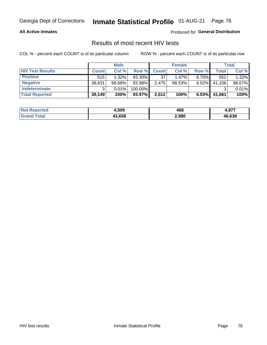#### **All Active Inmates**

Produced for **General Distribution**

### Results of most recent HIV tests

|                         |              | <b>Male</b> |         |              | <b>Female</b> |          |        | Total  |
|-------------------------|--------------|-------------|---------|--------------|---------------|----------|--------|--------|
| <b>HIV Test Results</b> | <b>Count</b> | Col %       | Row %I  | <b>Count</b> | Col %         | Row %    | Total  | Col %  |
| <b>Positive</b>         | 515          | $1.32\%$    | 93.30%  | 37           | $1.47\%$      | $6.70\%$ | 552    | 1.32%  |
| <b>Negative</b>         | 38,631       | $98.68\%$   | 93.98%  | 2,475        | $98.53\%$     | 6.02%    | 41,106 | 98.67% |
| Indeterminate           | ົ            | 0.01%       | 100.00% |              |               |          |        | 0.01%  |
| <b>Total Reported</b>   | 39,149       | 100%        | 93.97%  | 2,512        | 100%          | $6.03\%$ | 41,661 | 100%   |

| <b>Not Reported</b> | 4,509  | 468   | 077<br>4.JI I |
|---------------------|--------|-------|---------------|
| Гоtal               | 43,658 | 2,980 | 46,638        |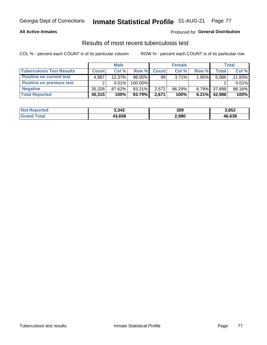#### **All Active Inmates**

#### Produced for **General Distribution**

### Results of most recent tuberculosis test

|                                  |              | <b>Male</b> |           |              | <b>Female</b> |          |              | Total  |
|----------------------------------|--------------|-------------|-----------|--------------|---------------|----------|--------------|--------|
| <b>Tuberculosis Test Results</b> | <b>Count</b> | Col%        | Row %     | <b>Count</b> | Col %         | Row %    | <b>Total</b> | Col %  |
| <b>Positive on current test</b>  | 4.987        | 12.37%      | $98.05\%$ | 99           | $3.71\%$      | 1.95%    | 5,086        | 11.83% |
| <b>Positive on previous test</b> | ົ            | $0.01\%$    | 100.00%   |              |               |          |              | 0.01%  |
| <b>Negative</b>                  | 35,326       | 87.62%      | $93.21\%$ | 2,572        | 96.29%        | $6.79\%$ | 37,898       | 88.16% |
| <b>Total Reported</b>            | 40,315       | 100%        | 93.79%    | 2,671        | 100%          | 6.21%    | 42.986       | 100%   |

| <b>Not Reported</b> | 3,343  | 309   | 3,652  |
|---------------------|--------|-------|--------|
| <b>Grand Total</b>  | 43,658 | 2,980 | 46,638 |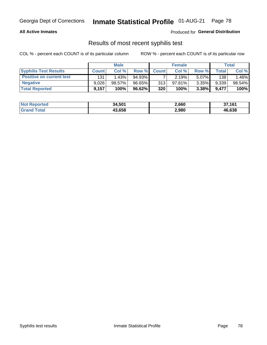#### **All Active Inmates**

Produced for **General Distribution**

### Results of most recent syphilis test

|                                 |              | <b>Male</b> |           |              | <b>Female</b> |          |       | Total  |
|---------------------------------|--------------|-------------|-----------|--------------|---------------|----------|-------|--------|
| <b>Syphilis Test Results</b>    | <b>Count</b> | Col%        | Row %I    | <b>Count</b> | Col %         | Row %I   | Total | Col %  |
| <b>Positive on current test</b> | 131          | 1.43%       | $94.93\%$ |              | 2.19%         | $5.07\%$ | 138   | .46%   |
| <b>Negative</b>                 | 9.026        | 98.57%      | 96.65%    | 313          | 97.81%        | 3.35%    | 9,339 | 98.54% |
| <b>Total Reported</b>           | 9,157        | 100%        | 96.62%    | 320          | 100%          | 3.38%    | 9.477 | 100%   |

| <b>Not Reported</b> | 34,501 | 2,660 | 37,161 |
|---------------------|--------|-------|--------|
| <b>Grand Total</b>  | 43,658 | 2,980 | 46,638 |